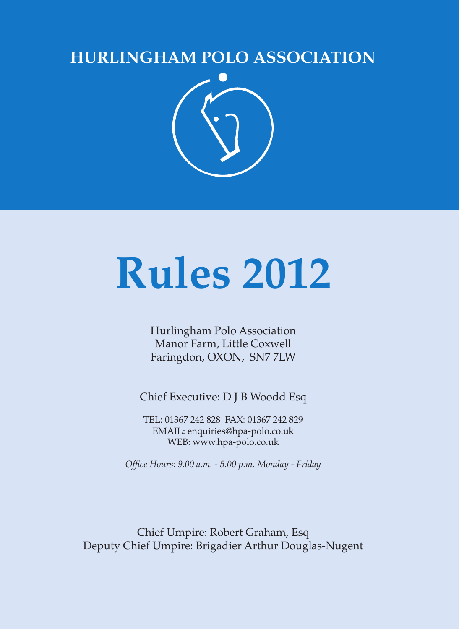# **HURLINGHAM POLO ASSOCIATION**



# **Rules 2012**

Hurlingham Polo Association Manor Farm, Little Coxwell Faringdon, OXON, SN7 7LW

Chief Executive: D J B Woodd Esq

TEL: 01367 242 828 FAX: 01367 242 829 EMAIL: enquiries@hpa-polo.co.uk WEB: www.hpa-polo.co.uk

*Office Hours: 9.00 a.m. - 5.00 p.m. Monday - Friday*

Chief Umpire: Robert Graham, Esq Deputy Chief Umpire: Brigadier Arthur Douglas-Nugent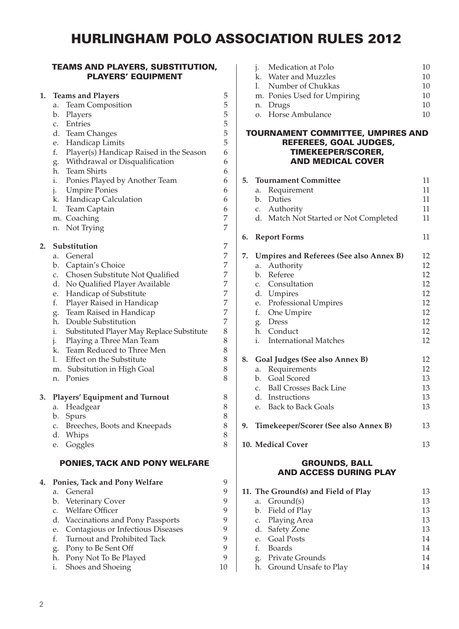## HURLINGHAM POLO ASSOCIATION RULES 2012

#### TEAMS AND PLAYERS, SUBSTITUTION, PLAYERS' EQUIPMENT

| 1. | <b>Teams and Players</b>                        | 5 |
|----|-------------------------------------------------|---|
|    | Team Composition<br>a.                          | 5 |
|    | b.<br>Players                                   | 5 |
|    | Entries<br>c.                                   | 5 |
|    | d.<br><b>Team Changes</b>                       | 5 |
|    | Handicap Limits<br>e.                           | 5 |
|    | f.<br>Player(s) Handicap Raised in the Season   | 6 |
|    | Withdrawal or Disqualification<br>g.            | 6 |
|    | <b>Team Shirts</b><br>h.                        | 6 |
|    | i.<br>Ponies Played by Another Team             | 6 |
|    | <b>Umpire Ponies</b><br>j.                      | 6 |
|    | k.<br>Handicap Calculation                      | 6 |
|    | 1.<br>Team Captain                              | 6 |
|    | Coaching<br>m.                                  | 7 |
|    | Not Trying<br>n.                                | 7 |
| 2. | Substitution                                    | 7 |
|    | General<br>a.                                   | 7 |
|    | Captain's Choice<br>b.                          | 7 |
|    | Chosen Substitute Not Qualified<br>c.           | 7 |
|    | No Qualified Player Available<br>d.             | 7 |
|    | Handicap of Substitute<br>e.                    | 7 |
|    | f.<br>Player Raised in Handicap                 | 7 |
|    | Team Raised in Handicap<br>g.                   | 7 |
|    | h.<br>Double Substitution                       | 7 |
|    | Substituted Player May Replace Substitute<br>i. | 8 |
|    | Playing a Three Man Team<br>j.                  | 8 |
|    | Team Reduced to Three Men<br>k.                 | 8 |
|    | Effect on the Substitute<br>1.                  | 8 |
|    | Subsitution in High Goal<br>m.                  | 8 |
|    | Ponies<br>n.                                    | 8 |
| 3. | <b>Players' Equipment and Turnout</b>           | 8 |
|    | Headgear<br>a.                                  | 8 |
|    | b.<br>Spurs                                     | 8 |
|    | Breeches, Boots and Kneepads<br>c.              | 8 |
|    | d.<br>Whips                                     | 8 |
|    | Goggles<br>e.                                   | 8 |
|    | <b>PONIES, TACK AND PONY WELFARE</b>            |   |
| 4. | Ponies, Tack and Pony Welfare                   | 9 |
|    | General<br>a.                                   | 9 |
|    | Veterinary Cover<br>b.                          | 9 |
|    | Welfare Officer<br>C.                           | 9 |
|    | d.<br>Vaccinations and Pony Passports           | 9 |
|    | Contagious or Infectious Diseases<br>e.         | 9 |
|    | f.<br>Turnout and Prohibited Tack               | 9 |
|    | Pony to Be Sent Off<br>g.                       | 9 |

h. Pony Not To Be Played 9 i. Shoes and Shoeing 10

| <i>i.</i> Medication at Polo | 10 |
|------------------------------|----|
| k. Water and Muzzles         | 10 |
| 1. Number of Chukkas         | 10 |
| m. Ponies Used for Umpiring  | 10 |
| n. Drugs                     | 10 |
| o. Horse Ambulance           | 10 |
|                              |    |

#### TOURNAMENT COMMITTEE, UMPIRES AND REFEREES, GOAL JUDGES, TIMEKEEPER/SCORER, AND MEDICAL COVER

|    | 5. Tournament Committee                 | 11 |
|----|-----------------------------------------|----|
|    | Requirement<br>a.                       | 11 |
|    | b. Duties                               | 11 |
|    | c. Authority                            | 11 |
|    | d. Match Not Started or Not Completed   | 11 |
| 6. | <b>Report Forms</b>                     | 11 |
| 7. | Umpires and Referees (See also Annex B) | 12 |
|    | Authority<br>a.                         | 12 |
|    | Referee<br>$h_{-}$                      | 12 |
|    | c. Consultation                         | 12 |
|    | d. Umpires                              | 12 |
|    | e. Professional Umpires                 | 12 |
|    | f. One Umpire                           | 12 |
|    | g. Dress                                | 12 |
|    | h. Conduct                              | 12 |
|    | <b>International Matches</b><br>i.      | 12 |
| 8. | Goal Judges (See also Annex B)          | 12 |
|    | Requirements<br>a.                      | 12 |
|    | Goal Scored<br>$h_{-}$                  | 13 |
|    | c. Ball Crosses Back Line               | 13 |
|    | d. Instructions                         | 13 |
|    | e. Back to Back Goals                   | 13 |
| 9. | Timekeeper/Scorer (See also Annex B)    | 13 |
|    | 10. Medical Cover                       | 13 |
|    | 1001111<br>----                         |    |

#### GROUNDS, BALL AND ACCESS DURING PLAY

| 11. The Ground(s) and Field of Play |                          |    |
|-------------------------------------|--------------------------|----|
|                                     | a. Ground(s)             | 13 |
|                                     | b. Field of Play         | 13 |
|                                     | c. Playing Area          | 13 |
|                                     | d. Safety Zone           | 13 |
|                                     | e. Goal Posts            | 14 |
| f.                                  | Boards                   | 14 |
| g.                                  | Private Grounds          | 14 |
|                                     | h. Ground Unsafe to Play | 14 |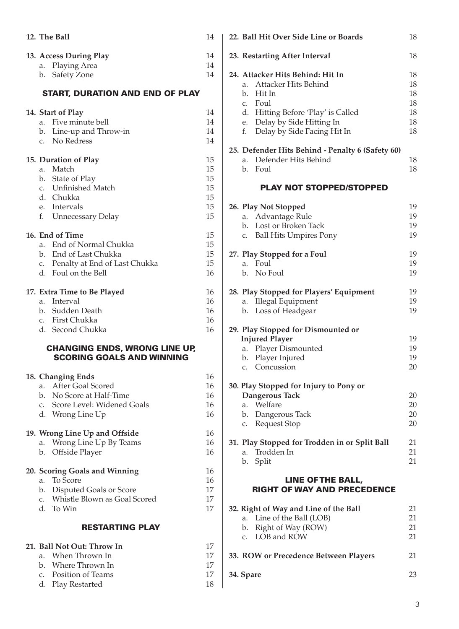| 12. The Ball                                                                                                                                                                              | 14                                     |
|-------------------------------------------------------------------------------------------------------------------------------------------------------------------------------------------|----------------------------------------|
| 13. Access During Play<br>Playing Area<br>а.<br>b. Safety Zone                                                                                                                            | 14<br>14<br>14                         |
| <b>START, DURATION AND END OF PLAY</b>                                                                                                                                                    |                                        |
| 14. Start of Play<br>Five minute bell<br>a.<br>Line-up and Throw-in<br>b.<br>No Redress<br>c.                                                                                             | 14<br>14<br>14<br>14                   |
| 15. Duration of Play<br>Match<br>a.<br>b. State of Play<br>c. Unfinished Match<br>d. Chukka<br>Intervals<br>e.<br>f. Unnecessary Delay                                                    | 15<br>15<br>15<br>15<br>15<br>15<br>15 |
| 16. End of Time<br>End of Normal Chukka<br>a.<br>b. End of Last Chukka<br>c. Penalty at End of Last Chukka<br>d. Foul on the Bell                                                         | 15<br>15<br>15<br>15<br>16             |
| 17. Extra Time to Be Played<br>Interval<br>a.<br>Sudden Death<br>b.<br>c. First Chukka<br>d.<br>Second Chukka<br><b>CHANGING ENDS, WRONG LINE UP,</b><br><b>SCORING GOALS AND WINNING</b> | 16<br>16<br>16<br>16<br>16             |
| 18. Changing Ends<br>a. After Goal Scored<br>b. No Score at Half-Time<br>c. Score Level: Widened Goals<br>d. Wrong Line Up                                                                | 16<br>16<br>16<br>16<br>16             |
| 19. Wrong Line Up and Offside<br>a. Wrong Line Up By Teams<br>Offside Player<br>b.                                                                                                        | 16<br>16<br>16                         |
| 20. Scoring Goals and Winning<br>To Score<br>a.<br>Disputed Goals or Score<br>$\mathbf{b}$ .<br>Whistle Blown as Goal Scored<br>c.<br>d.<br>To Win                                        | 16<br>16<br>17<br>17<br>17             |
| <b>RESTARTING PLAY</b>                                                                                                                                                                    |                                        |
| 21. Ball Not Out: Throw In<br>When Thrown In<br>a.<br>Where Thrown In<br>b.<br>Position of Teams<br>c.<br>Play Restarted<br>d.                                                            | 17<br>17<br>17<br>17<br>18             |

| 22. Ball Hit Over Side Line or Boards                                                                                                                                                               | 18                                     |
|-----------------------------------------------------------------------------------------------------------------------------------------------------------------------------------------------------|----------------------------------------|
| 23. Restarting After Interval                                                                                                                                                                       | 18                                     |
| 24. Attacker Hits Behind: Hit In<br>Attacker Hits Behind<br>a.<br>b.<br>Hit In<br>c. Foul<br>d. Hitting Before 'Play' is Called<br>e. Delay by Side Hitting In<br>f.<br>Delay by Side Facing Hit In | 18<br>18<br>18<br>18<br>18<br>18<br>18 |
| 25. Defender Hits Behind - Penalty 6 (Safety 60)<br>a. Defender Hits Behind<br>b.<br>Foul                                                                                                           | 18<br>18                               |
| <b>PLAY NOT STOPPED/STOPPED</b>                                                                                                                                                                     |                                        |
| 26. Play Not Stopped<br>a. Advantage Rule<br>Lost or Broken Tack<br>b.<br><b>Ball Hits Umpires Pony</b><br>c.                                                                                       | 19<br>19<br>19<br>19                   |
| 27. Play Stopped for a Foul<br>Foul<br>a.<br>No Foul<br>b.                                                                                                                                          | 19<br>19<br>19                         |
| 28. Play Stopped for Players' Equipment<br><b>Illegal Equipment</b><br>a.<br>Loss of Headgear<br>b.                                                                                                 | 19<br>19<br>19                         |
| 29. Play Stopped for Dismounted or<br><b>Injured Player</b><br>Player Dismounted<br>a.<br>Player Injured<br>b.<br>c. Concussion                                                                     | 19<br>19<br>19<br>20                   |
| 30. Play Stopped for Injury to Pony or<br>Dangerous Tack<br>a. Welfare<br>b. Dangerous Tack<br><b>Request Stop</b><br>C.                                                                            | 20<br>20<br>20<br>20                   |
| 31. Play Stopped for Trodden in or Split Ball<br>Trodden In<br>а.<br>Split<br>b.                                                                                                                    | 21<br>21<br>21                         |
| LINE OF THE BALL,<br><b>RIGHT OF WAY AND PRECEDENCE</b>                                                                                                                                             |                                        |
| 32. Right of Way and Line of the Ball<br>Line of the Ball (LOB)<br>a.<br>Right of Way (ROW)<br>b.<br>LOB and ROW<br>c.                                                                              | 21<br>21<br>21<br>21                   |
| 33. ROW or Precedence Between Players                                                                                                                                                               | 21                                     |

 $\overline{\phantom{a}}$ 

**34. Spare** 23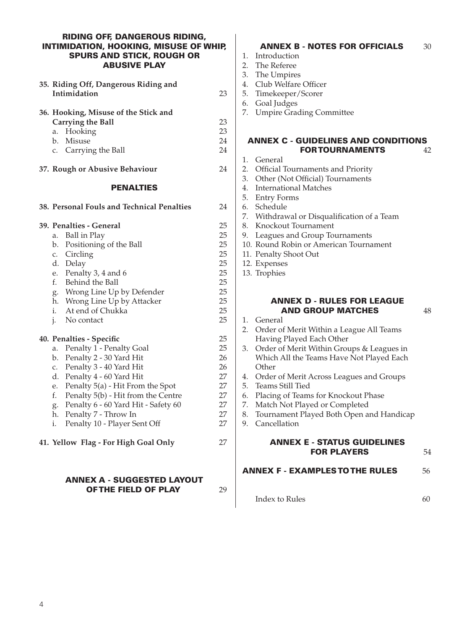#### RIDING OFF, DANGEROUS RIDING, INTIMIDATION, HOOKING, MISUSE OF WHIP, SPURS AND STICK, ROUGH OR ABUSIVE PLAY

| 35. Riding Off, Dangerous Riding and<br>Intimidation                                                                                                                                                                                                                                                                                                                 | 23                                                             |
|----------------------------------------------------------------------------------------------------------------------------------------------------------------------------------------------------------------------------------------------------------------------------------------------------------------------------------------------------------------------|----------------------------------------------------------------|
| 36. Hooking, Misuse of the Stick and<br>Carrying the Ball<br>Hooking<br>a.<br>b. Misuse<br>c. Carrying the Ball                                                                                                                                                                                                                                                      | 23<br>23<br>24<br>24                                           |
| 37. Rough or Abusive Behaviour<br><b>PENALTIES</b>                                                                                                                                                                                                                                                                                                                   | 24                                                             |
| 38. Personal Fouls and Technical Penalties                                                                                                                                                                                                                                                                                                                           | 24                                                             |
| 39. Penalties - General<br><b>Ball</b> in Play<br>a.<br>Positioning of the Ball<br>b.<br>c. Circling<br>d. Delay<br>Penalty 3, 4 and 6<br>e.<br>f.<br>Behind the Ball<br>g. Wrong Line Up by Defender<br>Wrong Line Up by Attacker<br>h.<br>i.<br>At end of Chukka<br>i.<br>No contact                                                                               | 25<br>25<br>25<br>25<br>25<br>25<br>25<br>25<br>25<br>25<br>25 |
| 40. Penalties - Specific<br>Penalty 1 - Penalty Goal<br>a.<br>Penalty 2 - 30 Yard Hit<br>b.<br>Penalty 3 - 40 Yard Hit<br>c.<br>d.<br>Penalty 4 - 60 Yard Hit<br>Penalty 5(a) - Hit From the Spot<br>e.<br>f.<br>Penalty 5(b) - Hit from the Centre<br>Penalty 6 - 60 Yard Hit - Safety 60<br>g.<br>Penalty 7 - Throw In<br>h.<br>Penalty 10 - Player Sent Off<br>i. | 25<br>25<br>26<br>26<br>27<br>27<br>27<br>27<br>27<br>27       |
| 41. Yellow Flag - For High Goal Only                                                                                                                                                                                                                                                                                                                                 | 27                                                             |

#### Annex A - Suggested Layout **OF THE FIELD OF PLAY** 29

#### ANNEX B - NOTES FOR OFFICIALS 30

- 1. Introduction
- 2. The Referee
- 3. The Umpires
- 4. Club Welfare Officer
- 5. Timekeeper/Scorer
- 6. Goal Judges
- 7. Umpire Grading Committee

#### Annex C - Guidelines AND CONDITIONS FOR TOURNAMENTS 42

- 1. General
- 2. Official Tournaments and Priority
- 3. Other (Not Official) Tournaments
- 4. International Matches
- 5. Entry Forms
- 6. Schedule
- 7. Withdrawal or Disqualification of a Team
- 8. Knockout Tournament
- 9. Leagues and Group Tournaments
- 10. Round Robin or American Tournament
- 11. Penalty Shoot Out
- 12. Expenses
- 13. Trophies

#### Annex D - Rules for League **AND GROUP MATCHES** 48

- 1. General
- 2. Order of Merit Within a League All Teams Having Played Each Other
- 3. Order of Merit Within Groups & Leagues in Which All the Teams Have Not Played Each **Other**
- 4. Order of Merit Across Leagues and Groups
- 5. Teams Still Tied
- 6. Placing of Teams for Knockout Phase
- 7. Match Not Played or Completed
- 8. Tournament Played Both Open and Handicap
- 9. Cancellation

#### ANNEX E - Status Guidelines **FOR PLAYERS** 54

#### ANNEX F - EXAMPLES TO THE RULES 56

Index to Rules 60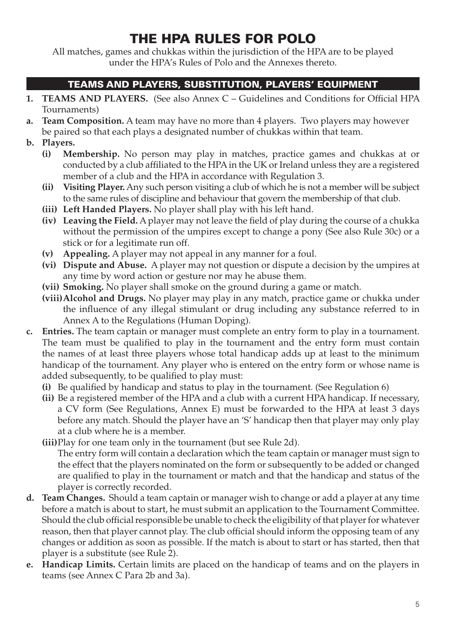# THE HPA RULES FOR POLO

All matches, games and chukkas within the jurisdiction of the HPA are to be played under the HPA's Rules of Polo and the Annexes thereto.

## TEAMS AND PLAYERS, SUBSTITUTION, PLAYERS' EQUIPMENT

- **1. TEAMS AND PLAYERS.** (See also Annex C Guidelines and Conditions for Official HPA Tournaments)
- **a. Team Composition.** A team may have no more than 4 players. Two players may however be paired so that each plays a designated number of chukkas within that team.
- **b. Players.**
	- **(i) Membership.** No person may play in matches, practice games and chukkas at or conducted by a club affiliated to the HPA in the UK or Ireland unless they are a registered member of a club and the HPA in accordance with Regulation 3.
	- **(ii) Visiting Player.** Any such person visiting a club of which he is not a member will be subject to the same rules of discipline and behaviour that govern the membership of that club.
	- **(iii) Left Handed Players.** No player shall play with his left hand.
	- **(iv) Leaving the Field.** A player may not leave the field of play during the course of a chukka without the permission of the umpires except to change a pony (See also Rule 30c) or a stick or for a legitimate run off.
	- **(v) Appealing.** A player may not appeal in any manner for a foul.
	- **(vi) Dispute and Abuse.** A player may not question or dispute a decision by the umpires at any time by word action or gesture nor may he abuse them.
	- **(vii) Smoking.** No player shall smoke on the ground during a game or match.
	- **(viii)Alcohol and Drugs.** No player may play in any match, practice game or chukka under the influence of any illegal stimulant or drug including any substance referred to in Annex A to the Regulations (Human Doping).
- **c. Entries.** The team captain or manager must complete an entry form to play in a tournament. The team must be qualified to play in the tournament and the entry form must contain the names of at least three players whose total handicap adds up at least to the minimum handicap of the tournament. Any player who is entered on the entry form or whose name is added subsequently, to be qualified to play must:
	- **(i)** Be qualified by handicap and status to play in the tournament. (See Regulation 6)
	- **(ii)** Be a registered member of the HPA and a club with a current HPA handicap. If necessary, a CV form (See Regulations, Annex E) must be forwarded to the HPA at least 3 days before any match. Should the player have an 'S' handicap then that player may only play at a club where he is a member.
	- **(iii)**Play for one team only in the tournament (but see Rule 2d). The entry form will contain a declaration which the team captain or manager must sign to the effect that the players nominated on the form or subsequently to be added or changed are qualified to play in the tournament or match and that the handicap and status of the player is correctly recorded.
- **d. Team Changes.** Should a team captain or manager wish to change or add a player at any time before a match is about to start, he must submit an application to the Tournament Committee. Should the club official responsible be unable to check the eligibility of that player for whatever reason, then that player cannot play. The club official should inform the opposing team of any changes or addition as soon as possible. If the match is about to start or has started, then that player is a substitute (see Rule 2).
- **e. Handicap Limits.** Certain limits are placed on the handicap of teams and on the players in teams (see Annex C Para 2b and 3a).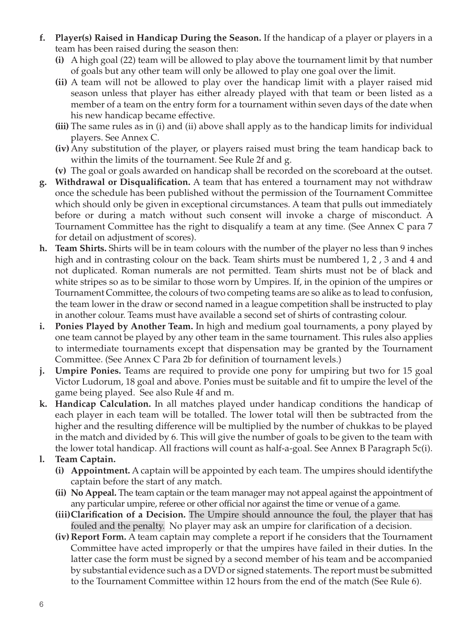- **f. Player(s) Raised in Handicap During the Season.** If the handicap of a player or players in a team has been raised during the season then:
	- **(i)** A high goal (22) team will be allowed to play above the tournament limit by that number of goals but any other team will only be allowed to play one goal over the limit.
	- **(ii)** A team will not be allowed to play over the handicap limit with a player raised mid season unless that player has either already played with that team or been listed as a member of a team on the entry form for a tournament within seven days of the date when his new handicap became effective.
	- **(iii)** The same rules as in (i) and (ii) above shall apply as to the handicap limits for individual players. See Annex C.
	- **(iv)**Any substitution of the player, or players raised must bring the team handicap back to within the limits of the tournament. See Rule 2f and g.
	- **(v)** The goal or goals awarded on handicap shall be recorded on the scoreboard at the outset.
- **g. Withdrawal or Disqualification.** A team that has entered a tournament may not withdraw once the schedule has been published without the permission of the Tournament Committee which should only be given in exceptional circumstances. A team that pulls out immediately before or during a match without such consent will invoke a charge of misconduct. A Tournament Committee has the right to disqualify a team at any time. (See Annex C para 7 for detail on adjustment of scores).
- **h. Team Shirts.** Shirts will be in team colours with the number of the player no less than 9 inches high and in contrasting colour on the back. Team shirts must be numbered 1, 2, 3 and 4 and not duplicated. Roman numerals are not permitted. Team shirts must not be of black and white stripes so as to be similar to those worn by Umpires. If, in the opinion of the umpires or Tournament Committee, the colours of two competing teams are so alike as to lead to confusion, the team lower in the draw or second named in a league competition shall be instructed to play in another colour. Teams must have available a second set of shirts of contrasting colour.
- **i. Ponies Played by Another Team.** In high and medium goal tournaments, a pony played by one team cannot be played by any other team in the same tournament. This rules also applies to intermediate tournaments except that dispensation may be granted by the Tournament Committee. (See Annex C Para 2b for definition of tournament levels.)
- **j. Umpire Ponies.** Teams are required to provide one pony for umpiring but two for 15 goal Victor Ludorum, 18 goal and above. Ponies must be suitable and fit to umpire the level of the game being played. See also Rule 4f and m.
- **k. Handicap Calculation.** In all matches played under handicap conditions the handicap of each player in each team will be totalled. The lower total will then be subtracted from the higher and the resulting difference will be multiplied by the number of chukkas to be played in the match and divided by 6. This will give the number of goals to be given to the team with the lower total handicap. All fractions will count as half-a-goal. See Annex B Paragraph 5c(i).
- **l. Team Captain.**
	- **(i) Appointment.** A captain will be appointed by each team. The umpires should identifythe captain before the start of any match.
	- **(ii) No Appeal.** The team captain or the team manager may not appeal against the appointment of any particular umpire, referee or other official nor against the time or venue of a game.
	- **(iii)Clarification of a Decision.** The Umpire should announce the foul, the player that has fouled and the penalty. No player may ask an umpire for clarification of a decision.
	- **(iv) Report Form.** A team captain may complete a report if he considers that the Tournament Committee have acted improperly or that the umpires have failed in their duties. In the latter case the form must be signed by a second member of his team and be accompanied by substantial evidence such as a DVD or signed statements. The report must be submitted to the Tournament Committee within 12 hours from the end of the match (See Rule 6).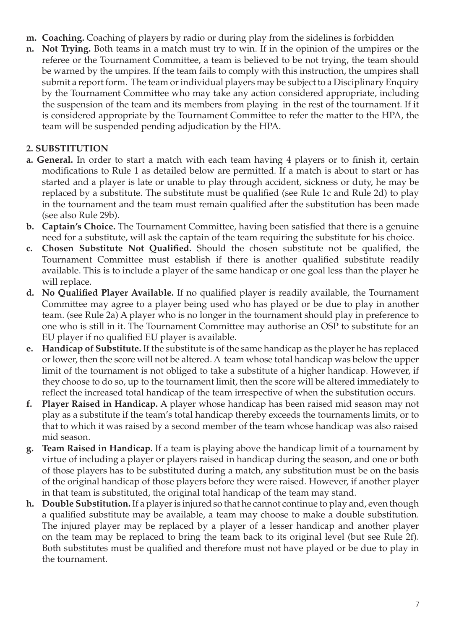- **m. Coaching.** Coaching of players by radio or during play from the sidelines is forbidden
- **n. Not Trying.** Both teams in a match must try to win. If in the opinion of the umpires or the referee or the Tournament Committee, a team is believed to be not trying, the team should be warned by the umpires. If the team fails to comply with this instruction, the umpires shall submit a report form. The team or individual players may be subject to a Disciplinary Enquiry by the Tournament Committee who may take any action considered appropriate, including the suspension of the team and its members from playing in the rest of the tournament. If it is considered appropriate by the Tournament Committee to refer the matter to the HPA, the team will be suspended pending adjudication by the HPA.

#### **2. SUBSTITUTION**

- **a. General.** In order to start a match with each team having 4 players or to finish it, certain modifications to Rule 1 as detailed below are permitted. If a match is about to start or has started and a player is late or unable to play through accident, sickness or duty, he may be replaced by a substitute. The substitute must be qualified (see Rule 1c and Rule 2d) to play in the tournament and the team must remain qualified after the substitution has been made (see also Rule 29b).
- **b. Captain's Choice.** The Tournament Committee, having been satisfied that there is a genuine need for a substitute, will ask the captain of the team requiring the substitute for his choice.
- **c. Chosen Substitute Not Qualified.** Should the chosen substitute not be qualified, the Tournament Committee must establish if there is another qualified substitute readily available. This is to include a player of the same handicap or one goal less than the player he will replace.
- **d. No Qualified Player Available.** If no qualified player is readily available, the Tournament Committee may agree to a player being used who has played or be due to play in another team. (see Rule 2a) A player who is no longer in the tournament should play in preference to one who is still in it. The Tournament Committee may authorise an OSP to substitute for an EU player if no qualified EU player is available.
- **e. Handicap of Substitute.** If the substitute is of the same handicap as the player he has replaced or lower, then the score will not be altered. A team whose total handicap was below the upper limit of the tournament is not obliged to take a substitute of a higher handicap. However, if they choose to do so, up to the tournament limit, then the score will be altered immediately to reflect the increased total handicap of the team irrespective of when the substitution occurs.
- **f. Player Raised in Handicap.** A player whose handicap has been raised mid season may not play as a substitute if the team's total handicap thereby exceeds the tournaments limits, or to that to which it was raised by a second member of the team whose handicap was also raised mid season.
- **g. Team Raised in Handicap.** If a team is playing above the handicap limit of a tournament by virtue of including a player or players raised in handicap during the season, and one or both of those players has to be substituted during a match, any substitution must be on the basis of the original handicap of those players before they were raised. However, if another player in that team is substituted, the original total handicap of the team may stand.
- **h. Double Substitution.** If a player is injured so that he cannot continue to play and, even though a qualified substitute may be available, a team may choose to make a double substitution. The injured player may be replaced by a player of a lesser handicap and another player on the team may be replaced to bring the team back to its original level (but see Rule 2f). Both substitutes must be qualified and therefore must not have played or be due to play in the tournament.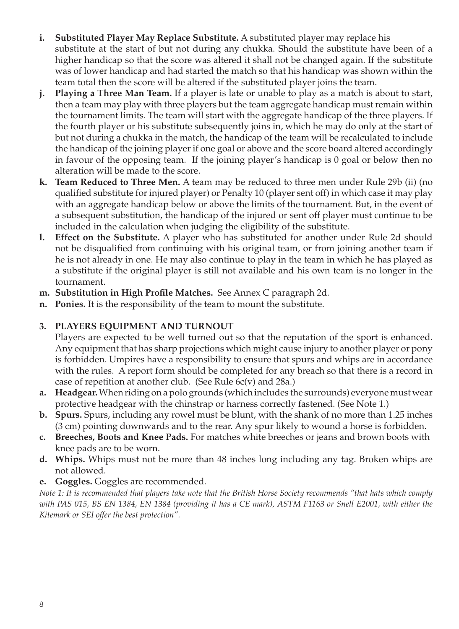- **i. Substituted Player May Replace Substitute.** A substituted player may replace his substitute at the start of but not during any chukka. Should the substitute have been of a higher handicap so that the score was altered it shall not be changed again. If the substitute was of lower handicap and had started the match so that his handicap was shown within the team total then the score will be altered if the substituted player joins the team.
- **j. Playing a Three Man Team.** If a player is late or unable to play as a match is about to start, then a team may play with three players but the team aggregate handicap must remain within the tournament limits. The team will start with the aggregate handicap of the three players. If the fourth player or his substitute subsequently joins in, which he may do only at the start of but not during a chukka in the match, the handicap of the team will be recalculated to include the handicap of the joining player if one goal or above and the score board altered accordingly in favour of the opposing team. If the joining player's handicap is 0 goal or below then no alteration will be made to the score.
- **k. Team Reduced to Three Men.** A team may be reduced to three men under Rule 29b (ii) (no qualified substitute for injured player) or Penalty 10 (player sent off) in which case it may play with an aggregate handicap below or above the limits of the tournament. But, in the event of a subsequent substitution, the handicap of the injured or sent off player must continue to be included in the calculation when judging the eligibility of the substitute.
- **l. Effect on the Substitute.** A player who has substituted for another under Rule 2d should not be disqualified from continuing with his original team, or from joining another team if he is not already in one. He may also continue to play in the team in which he has played as a substitute if the original player is still not available and his own team is no longer in the tournament.
- **m. Substitution in High Profile Matches.** See Annex C paragraph 2d.
- **n. Ponies.** It is the responsibility of the team to mount the substitute.

#### **3. PLAYERS EQUIPMENT AND TURNOUT**

Players are expected to be well turned out so that the reputation of the sport is enhanced. Any equipment that has sharp projections which might cause injury to another player or pony is forbidden. Umpires have a responsibility to ensure that spurs and whips are in accordance with the rules. A report form should be completed for any breach so that there is a record in case of repetition at another club. (See Rule 6c(v) and 28a.)

- **a. Headgear.** When riding on a polo grounds (which includes the surrounds) everyone must wear protective headgear with the chinstrap or harness correctly fastened. (See Note 1.)
- **b. Spurs.** Spurs, including any rowel must be blunt, with the shank of no more than 1.25 inches (3 cm) pointing downwards and to the rear. Any spur likely to wound a horse is forbidden.
- **c. Breeches, Boots and Knee Pads.** For matches white breeches or jeans and brown boots with knee pads are to be worn.
- **d. Whips.** Whips must not be more than 48 inches long including any tag. Broken whips are not allowed.
- **e. Goggles.** Goggles are recommended.

*Note 1: It is recommended that players take note that the British Horse Society recommends "that hats which comply with PAS 015, BS EN 1384, EN 1384 (providing it has a CE mark), ASTM F1163 or Snell E2001, with either the Kitemark or SEI offer the best protection".*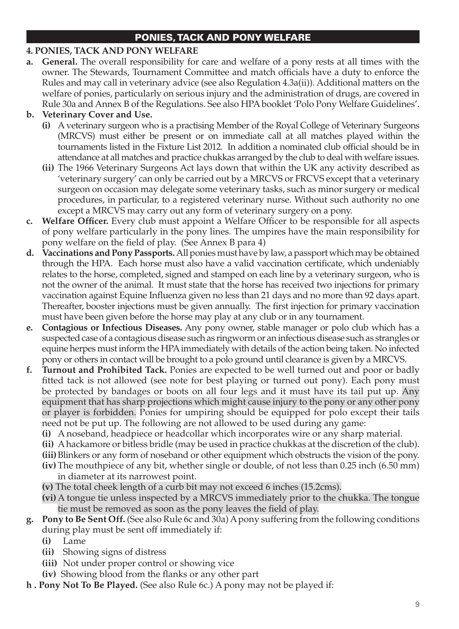## PONIES, TACK AND PONY WELFARE

#### **4. Ponies, tack and pony welfare**

**a. General.** The overall responsibility for care and welfare of a pony rests at all times with the owner. The Stewards, Tournament Committee and match officials have a duty to enforce the Rules and may call in veterinary advice (see also Regulation 4.3a(ii)). Additional matters on the welfare of ponies, particularly on serious injury and the administration of drugs, are covered in Rule 30a and Annex B of the Regulations. See also HPA booklet 'Polo Pony Welfare Guidelines'.

### **b. Veterinary Cover and Use.**

- **(i)** A veterinary surgeon who is a practising Member of the Royal College of Veterinary Surgeons (MRCVS) must either be present or on immediate call at all matches played within the tournaments listed in the Fixture List 2012. In addition a nominated club official should be in attendance at all matches and practice chukkas arranged by the club to deal with welfare issues.
- **(ii)** The 1966 Veterinary Surgeons Act lays down that within the UK any activity described as 'veterinary surgery' can only be carried out by a MRCVS or FRCVS except that a veterinary surgeon on occasion may delegate some veterinary tasks, such as minor surgery or medical procedures, in particular, to a registered veterinary nurse. Without such authority no one except a MRCVS may carry out any form of veterinary surgery on a pony.
- **c. Welfare Officer.** Every club must appoint a Welfare Officer to be responsible for all aspects of pony welfare particularly in the pony lines. The umpires have the main responsibility for pony welfare on the field of play. (See Annex B para 4)
- **d. Vaccinations and Pony Passports.** All ponies must have by law, a passport which may be obtained through the HPA. Each horse must also have a valid vaccination certificate, which undeniably relates to the horse, completed, signed and stamped on each line by a veterinary surgeon, who is not the owner of the animal. It must state that the horse has received two injections for primary vaccination against Equine Influenza given no less than 21 days and no more than 92 days apart. Thereafter, booster injections must be given annually. The first injection for primary vaccination must have been given before the horse may play at any club or in any tournament.
- **e. Contagious or Infectious Diseases.** Any pony owner, stable manager or polo club which has a suspected case of a contagious disease such as ringworm or an infectious disease such as strangles or equine herpes must inform the HPA immediately with details of the action being taken. No infected pony or others in contact will be brought to a polo ground until clearance is given by a MRCVS.
- **f. Turnout and Prohibited Tack.** Ponies are expected to be well turned out and poor or badly fitted tack is not allowed (see note for best playing or turned out pony). Each pony must be protected by bandages or boots on all four legs and it must have its tail put up. Any equipment that has sharp projections which might cause injury to the pony or any other pony or player is forbidden. Ponies for umpiring should be equipped for polo except their tails need not be put up. The following are not allowed to be used during any game:
	- **(i)** A noseband, headpiece or headcollar which incorporates wire or any sharp material.
	- **(ii)** A hackamore or bitless bridle (may be used in practice chukkas at the discretion of the club).
	- **(iii)**Blinkers or any form of noseband or other equipment which obstructs the vision of the pony.
	- **(iv)**The mouthpiece of any bit, whether single or double, of not less than 0.25 inch (6.50 mm) in diameter at its narrowest point.
	- **(v)** The total cheek length of a curb bit may not exceed 6 inches (15.2cms).
	- **(vi)**A tongue tie unless inspected by a MRCVS immediately prior to the chukka. The tongue tie must be removed as soon as the pony leaves the field of play.
- **g. Pony to Be Sent Off.** (See also Rule 6c and 30a) A pony suffering from the following conditions during play must be sent off immediately if:
	- **(i)** Lame
	- **(ii)** Showing signs of distress
	- **(iii)** Not under proper control or showing vice
	- **(iv)**  Showing blood from the flanks or any other part
- **h . Pony Not To Be Played.** (See also Rule 6c.) A pony may not be played if: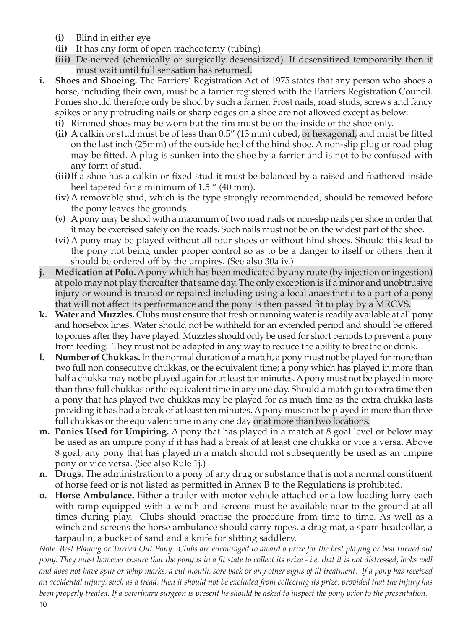- **(i)** Blind in either eye
- **(ii)** It has any form of open tracheotomy (tubing)
- **(iii)** De-nerved (chemically or surgically desensitized). If desensitized temporarily then it must wait until full sensation has returned.
- **i. Shoes and Shoeing.** The Farriers' Registration Act of 1975 states that any person who shoes a horse, including their own, must be a farrier registered with the Farriers Registration Council. Ponies should therefore only be shod by such a farrier. Frost nails, road studs, screws and fancy spikes or any protruding nails or sharp edges on a shoe are not allowed except as below:
	- **(i)** Rimmed shoes may be worn but the rim must be on the inside of the shoe only.
	- **(ii)** A calkin or stud must be of less than 0.5" (13 mm) cubed, or hexagonal, and must be fitted on the last inch (25mm) of the outside heel of the hind shoe. A non-slip plug or road plug may be fitted. A plug is sunken into the shoe by a farrier and is not to be confused with any form of stud.
	- **(iii)**If a shoe has a calkin or fixed stud it must be balanced by a raised and feathered inside heel tapered for a minimum of 1.5 " (40 mm).
	- **(iv)**A removable stud, which is the type strongly recommended, should be removed before the pony leaves the grounds.
	- **(v)** A pony may be shod with a maximum of two road nails or non-slip nails per shoe in order that it may be exercised safely on the roads. Such nails must not be on the widest part of the shoe.
	- **(vi)**A pony may be played without all four shoes or without hind shoes. Should this lead to the pony not being under proper control so as to be a danger to itself or others then it should be ordered off by the umpires. (See also 30a iv.)
- **j. Medication at Polo.** A pony which has been medicated by any route (by injection or ingestion) at polo may not play thereafter that same day. The only exception is if a minor and unobtrusive injury or wound is treated or repaired including using a local anaesthetic to a part of a pony that will not affect its performance and the pony is then passed fit to play by a MRCVS.
- **k. Water and Muzzles.** Clubs must ensure that fresh or running water is readily available at all pony and horsebox lines. Water should not be withheld for an extended period and should be offered to ponies after they have played. Muzzles should only be used for short periods to prevent a pony from feeding. They must not be adapted in any way to reduce the ability to breathe or drink.
- **l. Number of Chukkas.** In the normal duration of a match, a pony must not be played for more than two full non consecutive chukkas, or the equivalent time; a pony which has played in more than half a chukka may not be played again for at least ten minutes. A pony must not be played in more than three full chukkas or the equivalent time in any one day. Should a match go to extra time then a pony that has played two chukkas may be played for as much time as the extra chukka lasts providing it has had a break of at least ten minutes. A pony must not be played in more than three full chukkas or the equivalent time in any one day or at more than two locations.
- **m. Ponies Used for Umpiring.** A pony that has played in a match at 8 goal level or below may be used as an umpire pony if it has had a break of at least one chukka or vice a versa. Above 8 goal, any pony that has played in a match should not subsequently be used as an umpire pony or vice versa. (See also Rule 1j.)
- **n. Drugs.** The administration to a pony of any drug or substance that is not a normal constituent of horse feed or is not listed as permitted in Annex B to the Regulations is prohibited.
- **o. Horse Ambulance.** Either a trailer with motor vehicle attached or a low loading lorry each with ramp equipped with a winch and screens must be available near to the ground at all times during play. Clubs should practise the procedure from time to time. As well as a winch and screens the horse ambulance should carry ropes, a drag mat, a spare headcollar, a tarpaulin, a bucket of sand and a knife for slitting saddlery.

*Note. Best Playing or Turned Out Pony. Clubs are encouraged to award a prize for the best playing or best turned out pony. They must however ensure that the pony is in a fit state to collect its prize - i.e. that it is not distressed, looks well and does not have spur or whip marks, a cut mouth, sore back or any other signs of ill treatment. If a pony has received an accidental injury, such as a tread, then it should not be excluded from collecting its prize, provided that the injury has been properly treated. If a veterinary surgeon is present he should be asked to inspect the pony prior to the presentation.*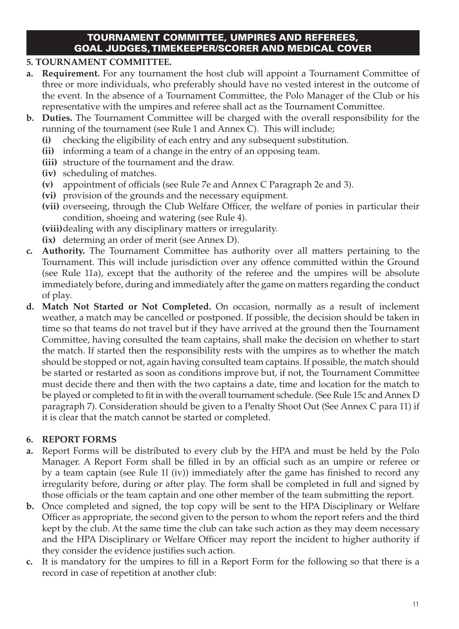#### TOURNAMENT COMMITTEE, UMPIRES AND REFEREES, GOAL JUDGES, TIMEKEEPER/SCORER AND MEDICAL COVER

#### **5. TOURNAMENT COMMITTEE.**

- **a. Requirement.** For any tournament the host club will appoint a Tournament Committee of three or more individuals, who preferably should have no vested interest in the outcome of the event. In the absence of a Tournament Committee, the Polo Manager of the Club or his representative with the umpires and referee shall act as the Tournament Committee.
- **b. Duties.** The Tournament Committee will be charged with the overall responsibility for the running of the tournament (see Rule 1 and Annex C). This will include;
	- **(i)** checking the eligibility of each entry and any subsequent substitution.
	- **(ii)** informing a team of a change in the entry of an opposing team.
	- **(iii)** structure of the tournament and the draw.
	- **(iv)** scheduling of matches.
	- **(v)** appointment of officials (see Rule 7e and Annex C Paragraph 2e and 3).
	- **(vi)** provision of the grounds and the necessary equipment.
	- **(vii)** overseeing, through the Club Welfare Officer, the welfare of ponies in particular their condition, shoeing and watering (see Rule 4).

**(viii)**dealing with any disciplinary matters or irregularity.

- **(ix)** determing an order of merit (see Annex D).
- **c. Authority.** The Tournament Committee has authority over all matters pertaining to the Tournament. This will include jurisdiction over any offence committed within the Ground (see Rule 11a), except that the authority of the referee and the umpires will be absolute immediately before, during and immediately after the game on matters regarding the conduct of play.
- **d. Match Not Started or Not Completed.** On occasion, normally as a result of inclement weather, a match may be cancelled or postponed. If possible, the decision should be taken in time so that teams do not travel but if they have arrived at the ground then the Tournament Committee, having consulted the team captains, shall make the decision on whether to start the match. If started then the responsibility rests with the umpires as to whether the match should be stopped or not, again having consulted team captains. If possible, the match should be started or restarted as soon as conditions improve but, if not, the Tournament Committee must decide there and then with the two captains a date, time and location for the match to be played or completed to fit in with the overall tournament schedule. (See Rule 15c and Annex D paragraph 7). Consideration should be given to a Penalty Shoot Out (See Annex C para 11) if it is clear that the match cannot be started or completed.

#### **6. REPORT FORMS**

- **a.** Report Forms will be distributed to every club by the HPA and must be held by the Polo Manager. A Report Form shall be filled in by an official such as an umpire or referee or by a team captain (see Rule 1l (iv)) immediately after the game has finished to record any irregularity before, during or after play. The form shall be completed in full and signed by those officials or the team captain and one other member of the team submitting the report.
- **b.** Once completed and signed, the top copy will be sent to the HPA Disciplinary or Welfare Officer as appropriate, the second given to the person to whom the report refers and the third kept by the club. At the same time the club can take such action as they may deem necessary and the HPA Disciplinary or Welfare Officer may report the incident to higher authority if they consider the evidence justifies such action.
- **c.** It is mandatory for the umpires to fill in a Report Form for the following so that there is a record in case of repetition at another club: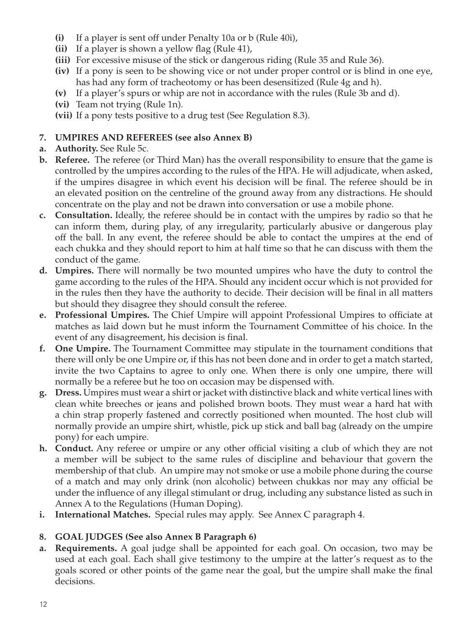- **(i)** If a player is sent off under Penalty 10a or b (Rule 40i),
- **(ii)** If a player is shown a yellow flag (Rule 41),
- **(iii)** For excessive misuse of the stick or dangerous riding (Rule 35 and Rule 36).
- **(iv)** If a pony is seen to be showing vice or not under proper control or is blind in one eye, has had any form of tracheotomy or has been desensitized (Rule 4g and h).
- **(v)** If a player's spurs or whip are not in accordance with the rules (Rule 3b and d).
- **(vi)** Team not trying (Rule 1n).
- **(vii)** If a pony tests positive to a drug test (See Regulation 8.3).

## **7. UMPIRES AND REFEREES (see also Annex B)**

- **a. Authority.** See Rule 5c.
- **b. Referee.** The referee (or Third Man) has the overall responsibility to ensure that the game is controlled by the umpires according to the rules of the HPA. He will adjudicate, when asked, if the umpires disagree in which event his decision will be final. The referee should be in an elevated position on the centreline of the ground away from any distractions. He should concentrate on the play and not be drawn into conversation or use a mobile phone.
- **c. Consultation.** Ideally, the referee should be in contact with the umpires by radio so that he can inform them, during play, of any irregularity, particularly abusive or dangerous play off the ball. In any event, the referee should be able to contact the umpires at the end of each chukka and they should report to him at half time so that he can discuss with them the conduct of the game.
- **d. Umpires.** There will normally be two mounted umpires who have the duty to control the game according to the rules of the HPA. Should any incident occur which is not provided for in the rules then they have the authority to decide. Their decision will be final in all matters but should they disagree they should consult the referee.
- **e. Professional Umpires.** The Chief Umpire will appoint Professional Umpires to officiate at matches as laid down but he must inform the Tournament Committee of his choice. In the event of any disagreement, his decision is final.
- **f. One Umpire.** The Tournament Committee may stipulate in the tournament conditions that there will only be one Umpire or, if this has not been done and in order to get a match started, invite the two Captains to agree to only one. When there is only one umpire, there will normally be a referee but he too on occasion may be dispensed with.
- **g. Dress.** Umpires must wear a shirt or jacket with distinctive black and white vertical lines with clean white breeches or jeans and polished brown boots. They must wear a hard hat with a chin strap properly fastened and correctly positioned when mounted. The host club will normally provide an umpire shirt, whistle, pick up stick and ball bag (already on the umpire pony) for each umpire.
- **h. Conduct.** Any referee or umpire or any other official visiting a club of which they are not a member will be subject to the same rules of discipline and behaviour that govern the membership of that club. An umpire may not smoke or use a mobile phone during the course of a match and may only drink (non alcoholic) between chukkas nor may any official be under the influence of any illegal stimulant or drug, including any substance listed as such in Annex A to the Regulations (Human Doping).
- **i. International Matches.** Special rules may apply. See Annex C paragraph 4.

## **8. GOAL JUDGES (See also Annex B Paragraph 6)**

**a. Requirements.** A goal judge shall be appointed for each goal. On occasion, two may be used at each goal. Each shall give testimony to the umpire at the latter's request as to the goals scored or other points of the game near the goal, but the umpire shall make the final decisions.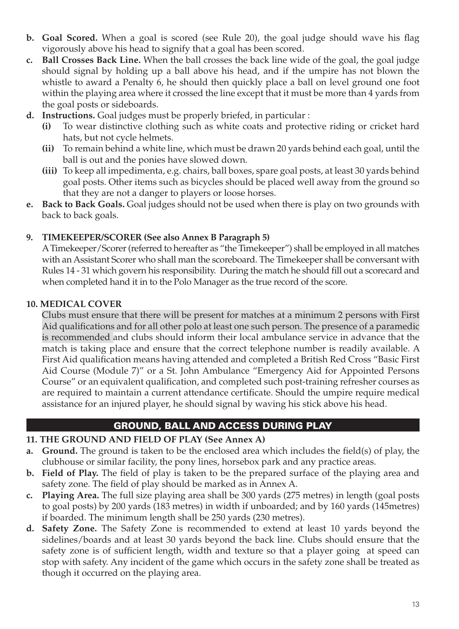- **b. Goal Scored.** When a goal is scored (see Rule 20), the goal judge should wave his flag vigorously above his head to signify that a goal has been scored.
- **c. Ball Crosses Back Line.** When the ball crosses the back line wide of the goal, the goal judge should signal by holding up a ball above his head, and if the umpire has not blown the whistle to award a Penalty 6, he should then quickly place a ball on level ground one foot within the playing area where it crossed the line except that it must be more than 4 yards from the goal posts or sideboards.
- **d. Instructions.** Goal judges must be properly briefed, in particular :
	- **(i)** To wear distinctive clothing such as white coats and protective riding or cricket hard hats, but not cycle helmets.
	- **(ii)** To remain behind a white line, which must be drawn 20 yards behind each goal, until the ball is out and the ponies have slowed down.
	- **(iii)** To keep all impedimenta, e.g. chairs, ball boxes, spare goal posts, at least 30 yards behind goal posts. Other items such as bicycles should be placed well away from the ground so that they are not a danger to players or loose horses.
- **e. Back to Back Goals.** Goal judges should not be used when there is play on two grounds with back to back goals.

#### **9. TIMEKEEPER/SCORER (See also Annex B Paragraph 5)**

A Timekeeper/Scorer (referred to hereafter as "the Timekeeper") shall be employed in all matches with an Assistant Scorer who shall man the scoreboard. The Timekeeper shall be conversant with Rules 14 - 31 which govern his responsibility. During the match he should fill out a scorecard and when completed hand it in to the Polo Manager as the true record of the score.

#### **10. MEDICAL COVER**

Clubs must ensure that there will be present for matches at a minimum 2 persons with First Aid qualifications and for all other polo at least one such person. The presence of a paramedic is recommended and clubs should inform their local ambulance service in advance that the match is taking place and ensure that the correct telephone number is readily available. A First Aid qualification means having attended and completed a British Red Cross "Basic First Aid Course (Module 7)" or a St. John Ambulance "Emergency Aid for Appointed Persons Course" or an equivalent qualification, and completed such post-training refresher courses as are required to maintain a current attendance certificate. Should the umpire require medical assistance for an injured player, he should signal by waving his stick above his head.

#### GROUND, BALL AND ACCESS DURING PLAY

#### **11. THE GROUND AND FIELD OF PLAY (See Annex A)**

- **a. Ground.** The ground is taken to be the enclosed area which includes the field(s) of play, the clubhouse or similar facility, the pony lines, horsebox park and any practice areas.
- **b. Field of Play.** The field of play is taken to be the prepared surface of the playing area and safety zone. The field of play should be marked as in Annex A.
- **c. Playing Area.** The full size playing area shall be 300 yards (275 metres) in length (goal posts to goal posts) by 200 yards (183 metres) in width if unboarded; and by 160 yards (145metres) if boarded. The minimum length shall be 250 yards (230 metres).
- **d. Safety Zone.** The Safety Zone is recommended to extend at least 10 yards beyond the sidelines/boards and at least 30 yards beyond the back line. Clubs should ensure that the safety zone is of sufficient length, width and texture so that a player going at speed can stop with safety. Any incident of the game which occurs in the safety zone shall be treated as though it occurred on the playing area.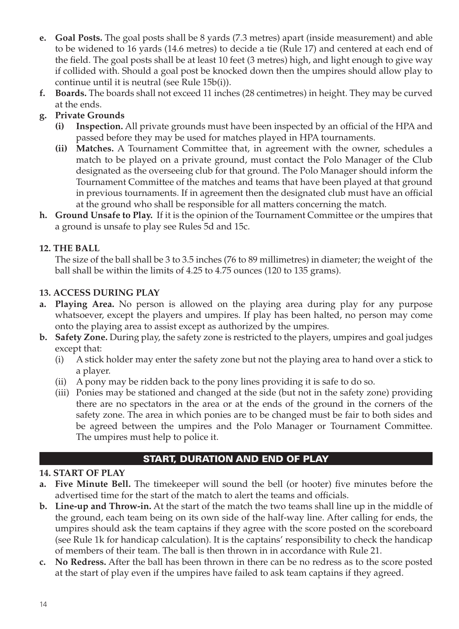- **e. Goal Posts.** The goal posts shall be 8 yards (7.3 metres) apart (inside measurement) and able to be widened to 16 yards (14.6 metres) to decide a tie (Rule 17) and centered at each end of the field. The goal posts shall be at least 10 feet (3 metres) high, and light enough to give way if collided with. Should a goal post be knocked down then the umpires should allow play to continue until it is neutral (see Rule 15b(i)).
- **f. Boards.** The boards shall not exceed 11 inches (28 centimetres) in height. They may be curved at the ends.

## **g. Private Grounds**

- **(i) Inspection.** All private grounds must have been inspected by an official of the HPA and passed before they may be used for matches played in HPA tournaments.
- **(ii) Matches.** A Tournament Committee that, in agreement with the owner, schedules a match to be played on a private ground, must contact the Polo Manager of the Club designated as the overseeing club for that ground. The Polo Manager should inform the Tournament Committee of the matches and teams that have been played at that ground in previous tournaments. If in agreement then the designated club must have an official at the ground who shall be responsible for all matters concerning the match.
- **h. Ground Unsafe to Play.** If it is the opinion of the Tournament Committee or the umpires that a ground is unsafe to play see Rules 5d and 15c.

#### **12. THE BALL**

The size of the ball shall be 3 to 3.5 inches (76 to 89 millimetres) in diameter; the weight of the ball shall be within the limits of 4.25 to 4.75 ounces (120 to 135 grams).

#### **13. ACCESS DURING PLAY**

- **a. Playing Area.** No person is allowed on the playing area during play for any purpose whatsoever, except the players and umpires. If play has been halted, no person may come onto the playing area to assist except as authorized by the umpires.
- **b. Safety Zone.** During play, the safety zone is restricted to the players, umpires and goal judges except that:
	- (i) A stick holder may enter the safety zone but not the playing area to hand over a stick to a player.
	- (ii) A pony may be ridden back to the pony lines providing it is safe to do so.
	- (iii) Ponies may be stationed and changed at the side (but not in the safety zone) providing there are no spectators in the area or at the ends of the ground in the corners of the safety zone. The area in which ponies are to be changed must be fair to both sides and be agreed between the umpires and the Polo Manager or Tournament Committee. The umpires must help to police it.

## START, DURATION AND END OF PLAY

## **14. START OF PLAY**

- **a. Five Minute Bell.** The timekeeper will sound the bell (or hooter) five minutes before the advertised time for the start of the match to alert the teams and officials.
- **b. Line-up and Throw-in.** At the start of the match the two teams shall line up in the middle of the ground, each team being on its own side of the half-way line. After calling for ends, the umpires should ask the team captains if they agree with the score posted on the scoreboard (see Rule 1k for handicap calculation). It is the captains' responsibility to check the handicap of members of their team. The ball is then thrown in in accordance with Rule 21.
- **c. No Redress.** After the ball has been thrown in there can be no redress as to the score posted at the start of play even if the umpires have failed to ask team captains if they agreed.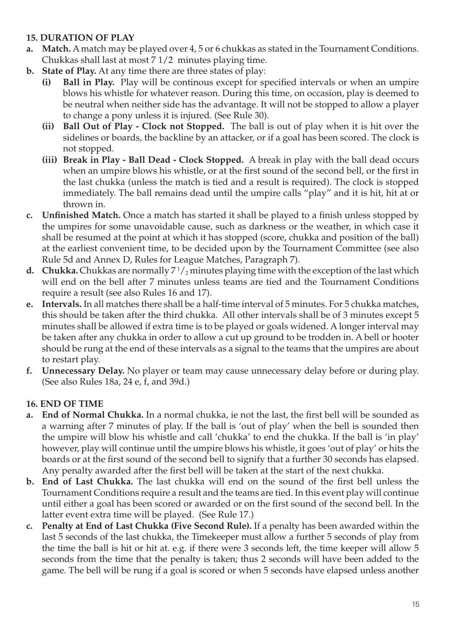### **15. DURATION OF PLAY**

- **a. Match.** A match may be played over 4, 5 or 6 chukkas as stated in the Tournament Conditions. Chukkas shall last at most 7 1/2 minutes playing time.
- **b. State of Play.** At any time there are three states of play:
	- **(i) Ball in Play.** Play will be continous except for specified intervals or when an umpire blows his whistle for whatever reason. During this time, on occasion, play is deemed to be neutral when neither side has the advantage. It will not be stopped to allow a player to change a pony unless it is injured. (See Rule 30).
	- **(ii) Ball Out of Play Clock not Stopped.** The ball is out of play when it is hit over the sidelines or boards, the backline by an attacker, or if a goal has been scored. The clock is not stopped.
	- **(iii) Break in Play Ball Dead Clock Stopped.** A break in play with the ball dead occurs when an umpire blows his whistle, or at the first sound of the second bell, or the first in the last chukka (unless the match is tied and a result is required). The clock is stopped immediately. The ball remains dead until the umpire calls "play" and it is hit, hit at or thrown in.
- **c. Unfinished Match.** Once a match has started it shall be played to a finish unless stopped by the umpires for some unavoidable cause, such as darkness or the weather, in which case it shall be resumed at the point at which it has stopped (score, chukka and position of the ball) at the earliest convenient time, to be decided upon by the Tournament Committee (see also Rule 5d and Annex D, Rules for League Matches, Paragraph 7).
- **d.** Chukka. Chukkas are normally  $7\frac{1}{2}$  minutes playing time with the exception of the last which will end on the bell after 7 minutes unless teams are tied and the Tournament Conditions require a result (see also Rules 16 and 17).
- **e. Intervals.** In all matches there shall be a half-time interval of 5 minutes. For 5 chukka matches, this should be taken after the third chukka. All other intervals shall be of 3 minutes except 5 minutes shall be allowed if extra time is to be played or goals widened. A longer interval may be taken after any chukka in order to allow a cut up ground to be trodden in. A bell or hooter should be rung at the end of these intervals as a signal to the teams that the umpires are about to restart play.
- **f. Unnecessary Delay.** No player or team may cause unnecessary delay before or during play. (See also Rules 18a, 24 e, f, and 39d.)

#### **16. END OF TIME**

- **a. End of Normal Chukka.** In a normal chukka, ie not the last, the first bell will be sounded as a warning after 7 minutes of play. If the ball is 'out of play' when the bell is sounded then the umpire will blow his whistle and call 'chukka' to end the chukka. If the ball is 'in play' however, play will continue until the umpire blows his whistle, it goes 'out of play' or hits the boards or at the first sound of the second bell to signify that a further 30 seconds has elapsed. Any penalty awarded after the first bell will be taken at the start of the next chukka.
- **b. End of Last Chukka.** The last chukka will end on the sound of the first bell unless the Tournament Conditions require a result and the teams are tied. In this event play will continue until either a goal has been scored or awarded or on the first sound of the second bell. In the latter event extra time will be played. (See Rule 17.)
- **c. Penalty at End of Last Chukka (Five Second Rule).** If a penalty has been awarded within the last 5 seconds of the last chukka, the Timekeeper must allow a further 5 seconds of play from the time the ball is hit or hit at. e.g. if there were 3 seconds left, the time keeper will allow 5 seconds from the time that the penalty is taken; thus 2 seconds will have been added to the game. The bell will be rung if a goal is scored or when 5 seconds have elapsed unless another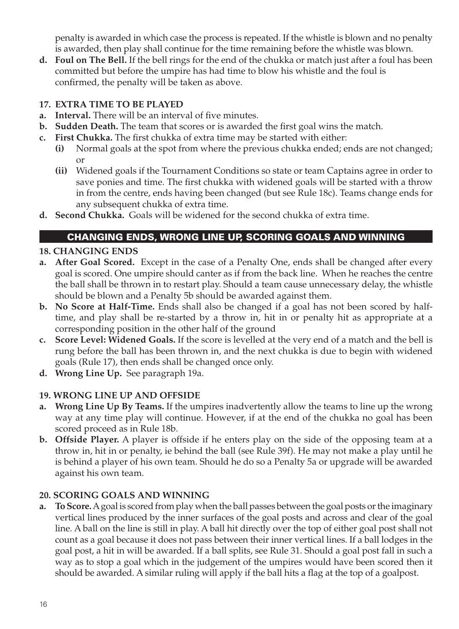penalty is awarded in which case the process is repeated. If the whistle is blown and no penalty is awarded, then play shall continue for the time remaining before the whistle was blown.

**d. Foul on The Bell.** If the bell rings for the end of the chukka or match just after a foul has been committed but before the umpire has had time to blow his whistle and the foul is confirmed, the penalty will be taken as above.

#### **17. EXTRA TIME TO BE PLAYED**

- **a. Interval.** There will be an interval of five minutes.
- **b. Sudden Death.** The team that scores or is awarded the first goal wins the match.
- **c. First Chukka.** The first chukka of extra time may be started with either:
	- **(i)** Normal goals at the spot from where the previous chukka ended; ends are not changed; or
	- **(ii)** Widened goals if the Tournament Conditions so state or team Captains agree in order to save ponies and time. The first chukka with widened goals will be started with a throw in from the centre, ends having been changed (but see Rule 18c). Teams change ends for any subsequent chukka of extra time.
- **d. Second Chukka.** Goals will be widened for the second chukka of extra time.

## CHANGING ENDS, WRONG LINE UP, SCORING GOALS AND WINNING

### **18. CHANGING ENDS**

- **a. After Goal Scored.** Except in the case of a Penalty One, ends shall be changed after every goal is scored. One umpire should canter as if from the back line. When he reaches the centre the ball shall be thrown in to restart play. Should a team cause unnecessary delay, the whistle should be blown and a Penalty 5b should be awarded against them.
- **b. No Score at Half-Time.** Ends shall also be changed if a goal has not been scored by halftime, and play shall be re-started by a throw in, hit in or penalty hit as appropriate at a corresponding position in the other half of the ground
- **c. Score Level: Widened Goals.** If the score is levelled at the very end of a match and the bell is rung before the ball has been thrown in, and the next chukka is due to begin with widened goals (Rule 17), then ends shall be changed once only.
- **d. Wrong Line Up.** See paragraph 19a.

## **19. WRONG LINE UP AND OFFSIDE**

- **a. Wrong Line Up By Teams.** If the umpires inadvertently allow the teams to line up the wrong way at any time play will continue. However, if at the end of the chukka no goal has been scored proceed as in Rule 18b.
- **b. Offside Player.** A player is offside if he enters play on the side of the opposing team at a throw in, hit in or penalty, ie behind the ball (see Rule 39f). He may not make a play until he is behind a player of his own team. Should he do so a Penalty 5a or upgrade will be awarded against his own team.

## **20. SCORING GOALS AND WINNING**

**a. To Score.** A goal is scored from play when the ball passes between the goal posts or the imaginary vertical lines produced by the inner surfaces of the goal posts and across and clear of the goal line. A ball on the line is still in play. A ball hit directly over the top of either goal post shall not count as a goal because it does not pass between their inner vertical lines. If a ball lodges in the goal post, a hit in will be awarded. If a ball splits, see Rule 31. Should a goal post fall in such a way as to stop a goal which in the judgement of the umpires would have been scored then it should be awarded. A similar ruling will apply if the ball hits a flag at the top of a goalpost.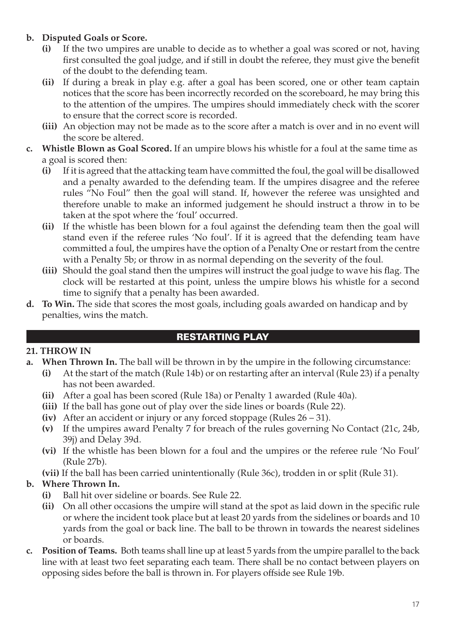## **b. Disputed Goals or Score.**

- **(i)** If the two umpires are unable to decide as to whether a goal was scored or not, having first consulted the goal judge, and if still in doubt the referee, they must give the benefit of the doubt to the defending team.
- **(ii)** If during a break in play e.g. after a goal has been scored, one or other team captain notices that the score has been incorrectly recorded on the scoreboard, he may bring this to the attention of the umpires. The umpires should immediately check with the scorer to ensure that the correct score is recorded.
- **(iii)** An objection may not be made as to the score after a match is over and in no event will the score be altered.
- **c. Whistle Blown as Goal Scored.** If an umpire blows his whistle for a foul at the same time as a goal is scored then:
	- **(i)** If it is agreed that the attacking team have committed the foul, the goal will be disallowed and a penalty awarded to the defending team. If the umpires disagree and the referee rules "No Foul" then the goal will stand. If, however the referee was unsighted and therefore unable to make an informed judgement he should instruct a throw in to be taken at the spot where the 'foul' occurred.
	- **(ii)** If the whistle has been blown for a foul against the defending team then the goal will stand even if the referee rules 'No foul'. If it is agreed that the defending team have committed a foul, the umpires have the option of a Penalty One or restart from the centre with a Penalty 5b; or throw in as normal depending on the severity of the foul.
	- **(iii)** Should the goal stand then the umpires will instruct the goal judge to wave his flag. The clock will be restarted at this point, unless the umpire blows his whistle for a second time to signify that a penalty has been awarded.
- **d. To Win.** The side that scores the most goals, including goals awarded on handicap and by penalties, wins the match.

#### RESTARTING PLAY

#### **21. THROW IN**

- **a. When Thrown In.** The ball will be thrown in by the umpire in the following circumstance:
	- **(i)** At the start of the match (Rule 14b) or on restarting after an interval (Rule 23) if a penalty has not been awarded.
	- **(ii)** After a goal has been scored (Rule 18a) or Penalty 1 awarded (Rule 40a).
	- **(iii)** If the ball has gone out of play over the side lines or boards (Rule 22).
	- **(iv)** After an accident or injury or any forced stoppage (Rules 26 31).
	- **(v)** If the umpires award Penalty 7 for breach of the rules governing No Contact (21c, 24b, 39j) and Delay 39d.
	- **(vi)** If the whistle has been blown for a foul and the umpires or the referee rule 'No Foul' (Rule 27b).

**(vii)** If the ball has been carried unintentionally (Rule 36c), trodden in or split (Rule 31).

#### **b. Where Thrown In.**

- **(i)** Ball hit over sideline or boards. See Rule 22.
- **(ii)** On all other occasions the umpire will stand at the spot as laid down in the specific rule or where the incident took place but at least 20 yards from the sidelines or boards and 10 yards from the goal or back line. The ball to be thrown in towards the nearest sidelines or boards.
- **c. Position of Teams.** Both teams shall line up at least 5 yards from the umpire parallel to the back line with at least two feet separating each team. There shall be no contact between players on opposing sides before the ball is thrown in. For players offside see Rule 19b.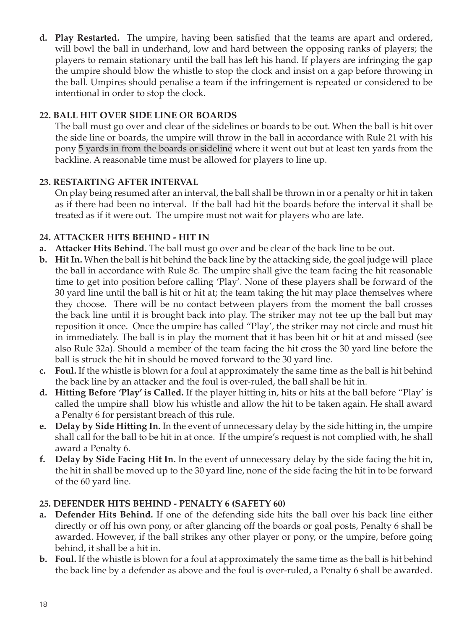**d. Play Restarted.** The umpire, having been satisfied that the teams are apart and ordered, will bowl the ball in underhand, low and hard between the opposing ranks of players; the players to remain stationary until the ball has left his hand. If players are infringing the gap the umpire should blow the whistle to stop the clock and insist on a gap before throwing in the ball. Umpires should penalise a team if the infringement is repeated or considered to be intentional in order to stop the clock.

### **22. BALL HIT OVER SIDE LINE OR BOARDS**

The ball must go over and clear of the sidelines or boards to be out. When the ball is hit over the side line or boards, the umpire will throw in the ball in accordance with Rule 21 with his pony 5 yards in from the boards or sideline where it went out but at least ten yards from the backline. A reasonable time must be allowed for players to line up.

#### **23. RESTARTING AFTER INTERVAL**

On play being resumed after an interval, the ball shall be thrown in or a penalty or hit in taken as if there had been no interval. If the ball had hit the boards before the interval it shall be treated as if it were out. The umpire must not wait for players who are late.

### **24. ATTACKER HITS BEHIND - HIT IN**

- **a. Attacker Hits Behind.** The ball must go over and be clear of the back line to be out.
- **b. Hit In.** When the ball is hit behind the back line by the attacking side, the goal judge will place the ball in accordance with Rule 8c. The umpire shall give the team facing the hit reasonable time to get into position before calling 'Play'. None of these players shall be forward of the 30 yard line until the ball is hit or hit at; the team taking the hit may place themselves where they choose. There will be no contact between players from the moment the ball crosses the back line until it is brought back into play. The striker may not tee up the ball but may reposition it once. Once the umpire has called "Play', the striker may not circle and must hit in immediately. The ball is in play the moment that it has been hit or hit at and missed (see also Rule 32a). Should a member of the team facing the hit cross the 30 yard line before the ball is struck the hit in should be moved forward to the 30 yard line.
- **c. Foul.** If the whistle is blown for a foul at approximately the same time as the ball is hit behind the back line by an attacker and the foul is over-ruled, the ball shall be hit in.
- **d. Hitting Before 'Play' is Called.** If the player hitting in, hits or hits at the ball before "Play' is called the umpire shall blow his whistle and allow the hit to be taken again. He shall award a Penalty 6 for persistant breach of this rule.
- **e. Delay by Side Hitting In.** In the event of unnecessary delay by the side hitting in, the umpire shall call for the ball to be hit in at once. If the umpire's request is not complied with, he shall award a Penalty 6.
- **f. Delay by Side Facing Hit In.** In the event of unnecessary delay by the side facing the hit in, the hit in shall be moved up to the 30 yard line, none of the side facing the hit in to be forward of the 60 yard line.

#### **25. DEFENDER HITS BEHIND - PENALTY 6 (SAFETY 60)**

- **a. Defender Hits Behind.** If one of the defending side hits the ball over his back line either directly or off his own pony, or after glancing off the boards or goal posts, Penalty 6 shall be awarded. However, if the ball strikes any other player or pony, or the umpire, before going behind, it shall be a hit in.
- **b. Foul.** If the whistle is blown for a foul at approximately the same time as the ball is hit behind the back line by a defender as above and the foul is over-ruled, a Penalty 6 shall be awarded.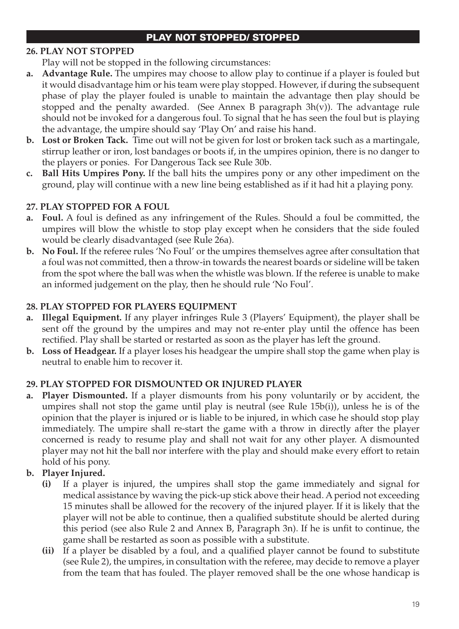#### PLAY NOT STOPPED/ STOPPED

### **26. PLAY NOT STOPPED**

Play will not be stopped in the following circumstances:

- **a. Advantage Rule.** The umpires may choose to allow play to continue if a player is fouled but it would disadvantage him or his team were play stopped. However, if during the subsequent phase of play the player fouled is unable to maintain the advantage then play should be stopped and the penalty awarded. (See Annex B paragraph  $3h(v)$ ). The advantage rule should not be invoked for a dangerous foul. To signal that he has seen the foul but is playing the advantage, the umpire should say 'Play On' and raise his hand.
- **b. Lost or Broken Tack.** Time out will not be given for lost or broken tack such as a martingale, stirrup leather or iron, lost bandages or boots if, in the umpires opinion, there is no danger to the players or ponies. For Dangerous Tack see Rule 30b.
- **c. Ball Hits Umpires Pony.** If the ball hits the umpires pony or any other impediment on the ground, play will continue with a new line being established as if it had hit a playing pony.

#### **27. PLAY STOPPED FOR A FOUL**

- **a. Foul.** A foul is defined as any infringement of the Rules. Should a foul be committed, the umpires will blow the whistle to stop play except when he considers that the side fouled would be clearly disadvantaged (see Rule 26a).
- **b. No Foul.** If the referee rules 'No Foul' or the umpires themselves agree after consultation that a foul was not committed, then a throw-in towards the nearest boards or sideline will be taken from the spot where the ball was when the whistle was blown. If the referee is unable to make an informed judgement on the play, then he should rule 'No Foul'.

#### **28. PLAY STOPPED FOR PLAYERS EQUIPMENT**

- **a. Illegal Equipment.** If any player infringes Rule 3 (Players' Equipment), the player shall be sent off the ground by the umpires and may not re-enter play until the offence has been rectified. Play shall be started or restarted as soon as the player has left the ground.
- **b. Loss of Headgear.** If a player loses his headgear the umpire shall stop the game when play is neutral to enable him to recover it.

#### **29. PLAY STOPPED FOR DISMOUNTED OR INJURED PLAYER**

**a. Player Dismounted.** If a player dismounts from his pony voluntarily or by accident, the umpires shall not stop the game until play is neutral (see Rule 15b(i)), unless he is of the opinion that the player is injured or is liable to be injured, in which case he should stop play immediately. The umpire shall re-start the game with a throw in directly after the player concerned is ready to resume play and shall not wait for any other player. A dismounted player may not hit the ball nor interfere with the play and should make every effort to retain hold of his pony.

#### **b. Player Injured.**

- **(i)** If a player is injured, the umpires shall stop the game immediately and signal for medical assistance by waving the pick-up stick above their head. A period not exceeding 15 minutes shall be allowed for the recovery of the injured player. If it is likely that the player will not be able to continue, then a qualified substitute should be alerted during this period (see also Rule 2 and Annex B, Paragraph 3n). If he is unfit to continue, the game shall be restarted as soon as possible with a substitute.
- **(ii)** If a player be disabled by a foul, and a qualified player cannot be found to substitute (see Rule 2), the umpires, in consultation with the referee, may decide to remove a player from the team that has fouled. The player removed shall be the one whose handicap is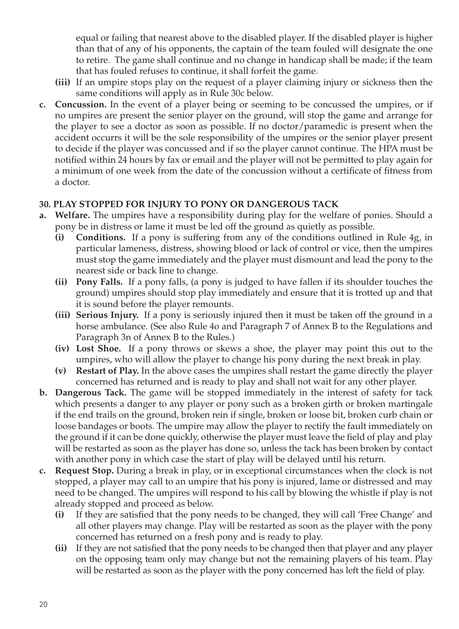equal or failing that nearest above to the disabled player. If the disabled player is higher than that of any of his opponents, the captain of the team fouled will designate the one to retire. The game shall continue and no change in handicap shall be made; if the team that has fouled refuses to continue, it shall forfeit the game.

- **(iii)** If an umpire stops play on the request of a player claiming injury or sickness then the same conditions will apply as in Rule 30c below.
- **c. Concussion.** In the event of a player being or seeming to be concussed the umpires, or if no umpires are present the senior player on the ground, will stop the game and arrange for the player to see a doctor as soon as possible. If no doctor/paramedic is present when the accident occurrs it will be the sole responsibility of the umpires or the senior player present to decide if the player was concussed and if so the player cannot continue. The HPA must be notified within 24 hours by fax or email and the player will not be permitted to play again for a minimum of one week from the date of the concussion without a certificate of fitness from a doctor.

#### **30. PLAY STOPPED FOR INJURY TO PONY OR DANGEROUS TACK**

- **a. Welfare.** The umpires have a responsibility during play for the welfare of ponies. Should a pony be in distress or lame it must be led off the ground as quietly as possible.
	- **(i) Conditions.** If a pony is suffering from any of the conditions outlined in Rule 4g, in particular lameness, distress, showing blood or lack of control or vice, then the umpires must stop the game immediately and the player must dismount and lead the pony to the nearest side or back line to change.
	- **(ii) Pony Falls.** If a pony falls, (a pony is judged to have fallen if its shoulder touches the ground) umpires should stop play immediately and ensure that it is trotted up and that it is sound before the player remounts.
	- **(iii) Serious Injury.** If a pony is seriously injured then it must be taken off the ground in a horse ambulance. (See also Rule 4o and Paragraph 7 of Annex B to the Regulations and Paragraph 3n of Annex B to the Rules.)
	- **(iv) Lost Shoe.** If a pony throws or skews a shoe, the player may point this out to the umpires, who will allow the player to change his pony during the next break in play.
	- **(v) Restart of Play.** In the above cases the umpires shall restart the game directly the player concerned has returned and is ready to play and shall not wait for any other player.
- **b. Dangerous Tack.** The game will be stopped immediately in the interest of safety for tack which presents a danger to any player or pony such as a broken girth or broken martingale if the end trails on the ground, broken rein if single, broken or loose bit, broken curb chain or loose bandages or boots. The umpire may allow the player to rectify the fault immediately on the ground if it can be done quickly, otherwise the player must leave the field of play and play will be restarted as soon as the player has done so, unless the tack has been broken by contact with another pony in which case the start of play will be delayed until his return.
- **c. Request Stop.** During a break in play, or in exceptional circumstances when the clock is not stopped, a player may call to an umpire that his pony is injured, lame or distressed and may need to be changed. The umpires will respond to his call by blowing the whistle if play is not already stopped and proceed as below.
	- **(i)** If they are satisfied that the pony needs to be changed, they will call 'Free Change' and all other players may change. Play will be restarted as soon as the player with the pony concerned has returned on a fresh pony and is ready to play.
	- **(ii)** If they are not satisfied that the pony needs to be changed then that player and any player on the opposing team only may change but not the remaining players of his team. Play will be restarted as soon as the player with the pony concerned has left the field of play.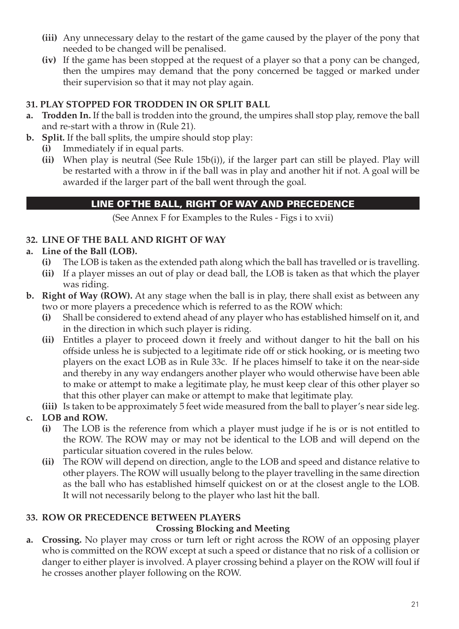- **(iii)** Any unnecessary delay to the restart of the game caused by the player of the pony that needed to be changed will be penalised.
- **(iv)** If the game has been stopped at the request of a player so that a pony can be changed, then the umpires may demand that the pony concerned be tagged or marked under their supervision so that it may not play again.

#### **31. PLAY STOPPED FOR TRODDEN IN OR SPLIT BALL**

- **a. Trodden In.** If the ball is trodden into the ground, the umpires shall stop play, remove the ball and re-start with a throw in (Rule 21).
- **b. Split.** If the ball splits, the umpire should stop play:
	- **(i)** Immediately if in equal parts.
	- **(ii)** When play is neutral (See Rule 15b(i)), if the larger part can still be played. Play will be restarted with a throw in if the ball was in play and another hit if not. A goal will be awarded if the larger part of the ball went through the goal.

## LINE OF THE BALL, RIGHT OF WAY AND PRECEDENCE

(See Annex F for Examples to the Rules - Figs i to xvii)

#### **32. LINE OF THE BALL AND RIGHT OF WAY**

### **a. Line of the Ball (LOB).**

- **(i)** The LOB is taken as the extended path along which the ball has travelled or is travelling.
- **(ii)** If a player misses an out of play or dead ball, the LOB is taken as that which the player was riding.
- **b. Right of Way (ROW).** At any stage when the ball is in play, there shall exist as between any two or more players a precedence which is referred to as the ROW which:
	- **(i)** Shall be considered to extend ahead of any player who has established himself on it, and in the direction in which such player is riding.
	- **(ii)** Entitles a player to proceed down it freely and without danger to hit the ball on his offside unless he is subjected to a legitimate ride off or stick hooking, or is meeting two players on the exact LOB as in Rule 33c. If he places himself to take it on the near-side and thereby in any way endangers another player who would otherwise have been able to make or attempt to make a legitimate play, he must keep clear of this other player so that this other player can make or attempt to make that legitimate play.
	- **(iii)** Is taken to be approximately 5 feet wide measured from the ball to player's near side leg.
- **c. LOB and ROW.** 
	- **(i)** The LOB is the reference from which a player must judge if he is or is not entitled to the ROW. The ROW may or may not be identical to the LOB and will depend on the particular situation covered in the rules below.
	- **(ii)** The ROW will depend on direction, angle to the LOB and speed and distance relative to other players. The ROW will usually belong to the player travelling in the same direction as the ball who has established himself quickest on or at the closest angle to the LOB. It will not necessarily belong to the player who last hit the ball.

#### **33. ROW OR PRECEDENCE BETWEEN PLAYERS**

#### **Crossing Blocking and Meeting**

**a. Crossing.** No player may cross or turn left or right across the ROW of an opposing player who is committed on the ROW except at such a speed or distance that no risk of a collision or danger to either player is involved. A player crossing behind a player on the ROW will foul if he crosses another player following on the ROW.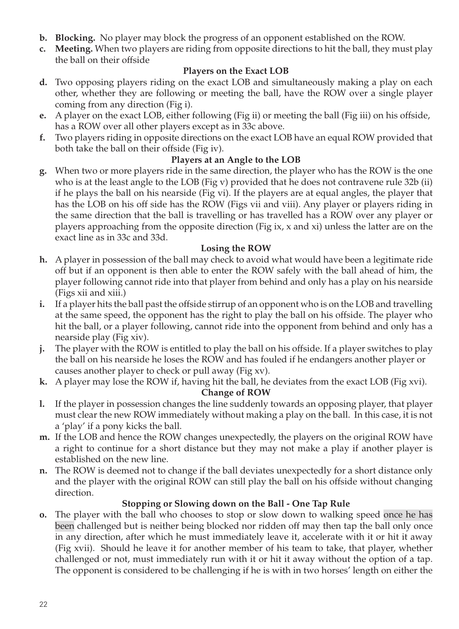- **b. Blocking.** No player may block the progress of an opponent established on the ROW.
- **c. Meeting.** When two players are riding from opposite directions to hit the ball, they must play the ball on their offside

#### **Players on the Exact LOB**

- **d.** Two opposing players riding on the exact LOB and simultaneously making a play on each other, whether they are following or meeting the ball, have the ROW over a single player coming from any direction (Fig i).
- **e.** A player on the exact LOB, either following (Fig ii) or meeting the ball (Fig iii) on his offside, has a ROW over all other players except as in 33c above.
- **f.** Two players riding in opposite directions on the exact LOB have an equal ROW provided that both take the ball on their offside (Fig iv).

### **Players at an Angle to the LOB**

**g.** When two or more players ride in the same direction, the player who has the ROW is the one who is at the least angle to the LOB (Fig v) provided that he does not contravene rule 32b (ii) if he plays the ball on his nearside (Fig vi). If the players are at equal angles, the player that has the LOB on his off side has the ROW (Figs vii and viii). Any player or players riding in the same direction that the ball is travelling or has travelled has a ROW over any player or players approaching from the opposite direction (Fig ix, x and xi) unless the latter are on the exact line as in 33c and 33d.

#### **Losing the ROW**

- **h.** A player in possession of the ball may check to avoid what would have been a legitimate ride off but if an opponent is then able to enter the ROW safely with the ball ahead of him, the player following cannot ride into that player from behind and only has a play on his nearside (Figs xii and xiii.)
- **i.** If a player hits the ball past the offside stirrup of an opponent who is on the LOB and travelling at the same speed, the opponent has the right to play the ball on his offside. The player who hit the ball, or a player following, cannot ride into the opponent from behind and only has a nearside play (Fig xiv).
- **j.** The player with the ROW is entitled to play the ball on his offside. If a player switches to play the ball on his nearside he loses the ROW and has fouled if he endangers another player or causes another player to check or pull away (Fig xv).
- **k.** A player may lose the ROW if, having hit the ball, he deviates from the exact LOB (Fig xvi).

#### **Change of ROW**

- **l.** If the player in possession changes the line suddenly towards an opposing player, that player must clear the new ROW immediately without making a play on the ball. In this case, it is not a 'play' if a pony kicks the ball.
- **m.** If the LOB and hence the ROW changes unexpectedly, the players on the original ROW have a right to continue for a short distance but they may not make a play if another player is established on the new line.
- **n.** The ROW is deemed not to change if the ball deviates unexpectedly for a short distance only and the player with the original ROW can still play the ball on his offside without changing direction.

## **Stopping or Slowing down on the Ball - One Tap Rule**

**o.** The player with the ball who chooses to stop or slow down to walking speed once he has been challenged but is neither being blocked nor ridden off may then tap the ball only once in any direction, after which he must immediately leave it, accelerate with it or hit it away (Fig xvii). Should he leave it for another member of his team to take, that player, whether challenged or not, must immediately run with it or hit it away without the option of a tap. The opponent is considered to be challenging if he is with in two horses' length on either the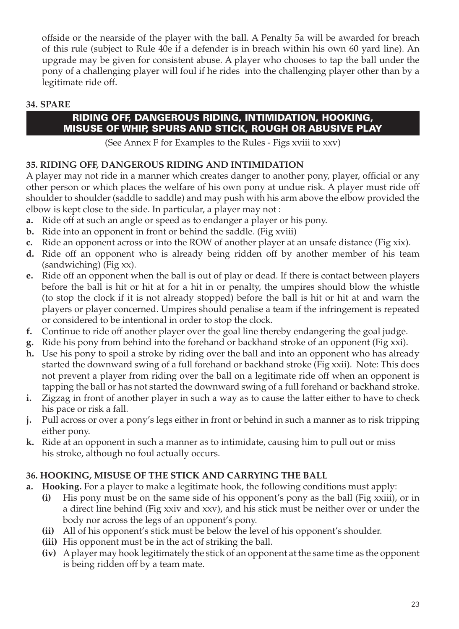offside or the nearside of the player with the ball. A Penalty 5a will be awarded for breach of this rule (subject to Rule 40e if a defender is in breach within his own 60 yard line). An upgrade may be given for consistent abuse. A player who chooses to tap the ball under the pony of a challenging player will foul if he rides into the challenging player other than by a legitimate ride off.

#### **34. SPARE**

#### RIDING OFF, DANGEROUS RIDING, INTIMIDATION, HOOKING, MISUSE OF WHIP, SPURS AND STICK, ROUGH OR ABUSIVE PLAY

(See Annex F for Examples to the Rules - Figs xviii to xxv)

#### **35. RIDING OFF, DANGEROUS RIDING AND INTIMIDATION**

A player may not ride in a manner which creates danger to another pony, player, official or any other person or which places the welfare of his own pony at undue risk. A player must ride off shoulder to shoulder (saddle to saddle) and may push with his arm above the elbow provided the elbow is kept close to the side. In particular, a player may not :

- **a.** Ride off at such an angle or speed as to endanger a player or his pony.
- **b.** Ride into an opponent in front or behind the saddle. (Fig xviii)
- **c.** Ride an opponent across or into the ROW of another player at an unsafe distance (Fig xix).
- **d.** Ride off an opponent who is already being ridden off by another member of his team (sandwiching) (Fig xx).
- **e.** Ride off an opponent when the ball is out of play or dead. If there is contact between players before the ball is hit or hit at for a hit in or penalty, the umpires should blow the whistle (to stop the clock if it is not already stopped) before the ball is hit or hit at and warn the players or player concerned. Umpires should penalise a team if the infringement is repeated or considered to be intentional in order to stop the clock.
- **f.** Continue to ride off another player over the goal line thereby endangering the goal judge.
- **g.** Ride his pony from behind into the forehand or backhand stroke of an opponent (Fig xxi).
- **h.** Use his pony to spoil a stroke by riding over the ball and into an opponent who has already started the downward swing of a full forehand or backhand stroke (Fig xxii). Note: This does not prevent a player from riding over the ball on a legitimate ride off when an opponent is tapping the ball or has not started the downward swing of a full forehand or backhand stroke.
- **i.** Zigzag in front of another player in such a way as to cause the latter either to have to check his pace or risk a fall.
- **j.** Pull across or over a pony's legs either in front or behind in such a manner as to risk tripping either pony.
- **k.** Ride at an opponent in such a manner as to intimidate, causing him to pull out or miss his stroke, although no foul actually occurs.

#### **36. HOOKING, MISUSE OF THE STICK AND CARRYING THE BALL**

- **a. Hooking.** For a player to make a legitimate hook, the following conditions must apply:
	- **(i)** His pony must be on the same side of his opponent's pony as the ball (Fig xxiii), or in a direct line behind (Fig xxiv and xxv), and his stick must be neither over or under the body nor across the legs of an opponent's pony.
	- **(ii)** All of his opponent's stick must be below the level of his opponent's shoulder.
	- **(iii)** His opponent must be in the act of striking the ball.
	- **(iv)** A player may hook legitimately the stick of an opponent at the same time as the opponent is being ridden off by a team mate.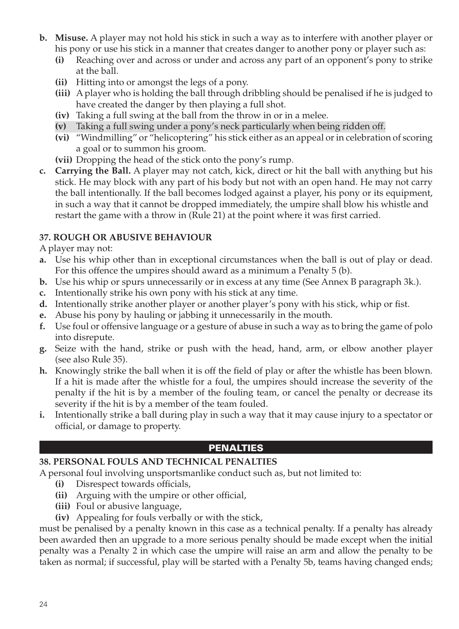- **b. Misuse.** A player may not hold his stick in such a way as to interfere with another player or his pony or use his stick in a manner that creates danger to another pony or player such as:
	- **(i)** Reaching over and across or under and across any part of an opponent's pony to strike at the ball.
	- **(ii)** Hitting into or amongst the legs of a pony.
	- **(iii)** A player who is holding the ball through dribbling should be penalised if he is judged to have created the danger by then playing a full shot.
	- **(iv)** Taking a full swing at the ball from the throw in or in a melee.
	- **(v)** Taking a full swing under a pony's neck particularly when being ridden off.
	- **(vi)** "Windmilling" or "helicoptering" his stick either as an appeal or in celebration of scoring a goal or to summon his groom.
	- **(vii)** Dropping the head of the stick onto the pony's rump.
- **c. Carrying the Ball.** A player may not catch, kick, direct or hit the ball with anything but his stick. He may block with any part of his body but not with an open hand. He may not carry the ball intentionally. If the ball becomes lodged against a player, his pony or its equipment, in such a way that it cannot be dropped immediately, the umpire shall blow his whistle and restart the game with a throw in (Rule 21) at the point where it was first carried.

#### **37. ROUGH OR ABUSIVE BEHAVIOUR**

A player may not:

- **a.** Use his whip other than in exceptional circumstances when the ball is out of play or dead. For this offence the umpires should award as a minimum a Penalty 5 (b).
- **b.** Use his whip or spurs unnecessarily or in excess at any time (See Annex B paragraph 3k.).
- **c.** Intentionally strike his own pony with his stick at any time.
- **d.** Intentionally strike another player or another player's pony with his stick, whip or fist.
- **e.** Abuse his pony by hauling or jabbing it unnecessarily in the mouth.
- **f.** Use foul or offensive language or a gesture of abuse in such a way as to bring the game of polo into disrepute.
- **g.** Seize with the hand, strike or push with the head, hand, arm, or elbow another player (see also Rule 35).
- **h.** Knowingly strike the ball when it is off the field of play or after the whistle has been blown. If a hit is made after the whistle for a foul, the umpires should increase the severity of the penalty if the hit is by a member of the fouling team, or cancel the penalty or decrease its severity if the hit is by a member of the team fouled.
- **i.** Intentionally strike a ball during play in such a way that it may cause injury to a spectator or official, or damage to property.

## PENALTIES

#### **38. PERSONAL FOULS AND TECHNICAL PENALTIES**

A personal foul involving unsportsmanlike conduct such as, but not limited to:

- **(i)** Disrespect towards officials,
- **(ii)** Arguing with the umpire or other official,
- **(iii)** Foul or abusive language,
- **(iv)** Appealing for fouls verbally or with the stick,

must be penalised by a penalty known in this case as a technical penalty. If a penalty has already been awarded then an upgrade to a more serious penalty should be made except when the initial penalty was a Penalty 2 in which case the umpire will raise an arm and allow the penalty to be taken as normal; if successful, play will be started with a Penalty 5b, teams having changed ends;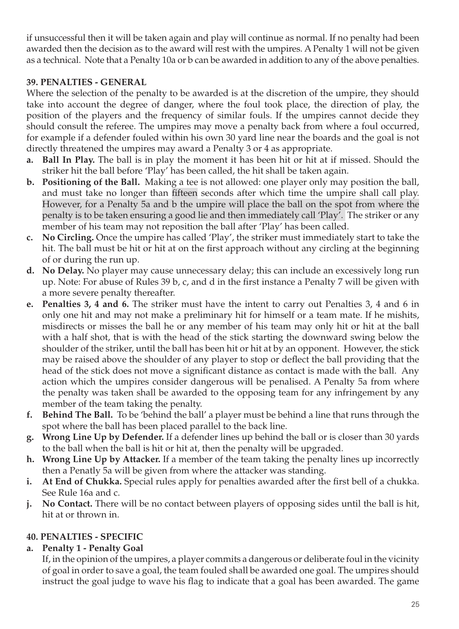if unsuccessful then it will be taken again and play will continue as normal. If no penalty had been awarded then the decision as to the award will rest with the umpires. A Penalty 1 will not be given as a technical. Note that a Penalty 10a or b can be awarded in addition to any of the above penalties.

#### **39. PENALTIES - GENERAL**

Where the selection of the penalty to be awarded is at the discretion of the umpire, they should take into account the degree of danger, where the foul took place, the direction of play, the position of the players and the frequency of similar fouls. If the umpires cannot decide they should consult the referee. The umpires may move a penalty back from where a foul occurred, for example if a defender fouled within his own 30 yard line near the boards and the goal is not directly threatened the umpires may award a Penalty 3 or 4 as appropriate.

- **a. Ball In Play.** The ball is in play the moment it has been hit or hit at if missed. Should the striker hit the ball before 'Play' has been called, the hit shall be taken again.
- **b. Positioning of the Ball.** Making a tee is not allowed: one player only may position the ball, and must take no longer than fifteen seconds after which time the umpire shall call play. However, for a Penalty 5a and b the umpire will place the ball on the spot from where the penalty is to be taken ensuring a good lie and then immediately call 'Play'. The striker or any member of his team may not reposition the ball after 'Play' has been called.
- **c. No Circling.** Once the umpire has called 'Play', the striker must immediately start to take the hit. The ball must be hit or hit at on the first approach without any circling at the beginning of or during the run up.
- **d. No Delay.** No player may cause unnecessary delay; this can include an excessively long run up. Note: For abuse of Rules 39 b, c, and d in the first instance a Penalty 7 will be given with a more severe penalty thereafter.
- **e. Penalties 3, 4 and 6.** The striker must have the intent to carry out Penalties 3, 4 and 6 in only one hit and may not make a preliminary hit for himself or a team mate. If he mishits, misdirects or misses the ball he or any member of his team may only hit or hit at the ball with a half shot, that is with the head of the stick starting the downward swing below the shoulder of the striker, until the ball has been hit or hit at by an opponent. However, the stick may be raised above the shoulder of any player to stop or deflect the ball providing that the head of the stick does not move a significant distance as contact is made with the ball. Any action which the umpires consider dangerous will be penalised. A Penalty 5a from where the penalty was taken shall be awarded to the opposing team for any infringement by any member of the team taking the penalty.
- **f. Behind The Ball.** To be 'behind the ball' a player must be behind a line that runs through the spot where the ball has been placed parallel to the back line.
- **g. Wrong Line Up by Defender.** If a defender lines up behind the ball or is closer than 30 yards to the ball when the ball is hit or hit at, then the penalty will be upgraded.
- **h. Wrong Line Up by Attacker.** If a member of the team taking the penalty lines up incorrectly then a Penatly 5a will be given from where the attacker was standing.
- **i. At End of Chukka.** Special rules apply for penalties awarded after the first bell of a chukka. See Rule 16a and c.
- **j. No Contact.** There will be no contact between players of opposing sides until the ball is hit, hit at or thrown in.

## **40. PENALTIES - SPECIFIC**

#### **a. Penalty 1 - Penalty Goal**

If, in the opinion of the umpires, a player commits a dangerous or deliberate foul in the vicinity of goal in order to save a goal, the team fouled shall be awarded one goal. The umpires should instruct the goal judge to wave his flag to indicate that a goal has been awarded. The game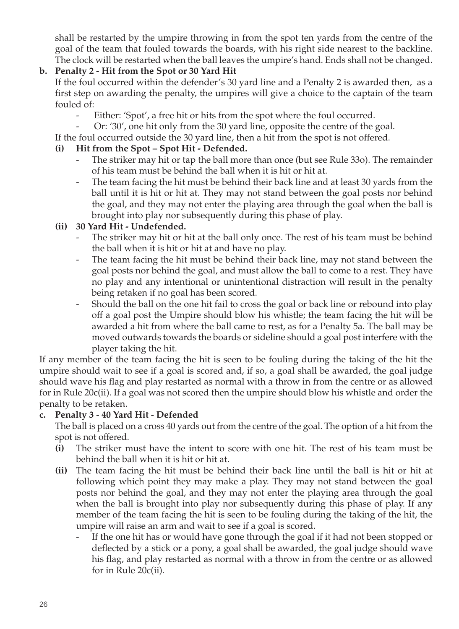shall be restarted by the umpire throwing in from the spot ten yards from the centre of the goal of the team that fouled towards the boards, with his right side nearest to the backline. The clock will be restarted when the ball leaves the umpire's hand. Ends shall not be changed.

#### **b. Penalty 2 - Hit from the Spot or 30 Yard Hit**

If the foul occurred within the defender's 30 yard line and a Penalty 2 is awarded then, as a first step on awarding the penalty, the umpires will give a choice to the captain of the team fouled of:

- Either: 'Spot', a free hit or hits from the spot where the foul occurred.
- Or: '30', one hit only from the 30 yard line, opposite the centre of the goal.

If the foul occurred outside the 30 yard line, then a hit from the spot is not offered.

#### **(i) Hit from the Spot – Spot Hit - Defended.**

- The striker may hit or tap the ball more than once (but see Rule 330). The remainder of his team must be behind the ball when it is hit or hit at.
- The team facing the hit must be behind their back line and at least 30 yards from the ball until it is hit or hit at. They may not stand between the goal posts nor behind the goal, and they may not enter the playing area through the goal when the ball is brought into play nor subsequently during this phase of play.

#### **(ii) 30 Yard Hit - Undefended.**

- The striker may hit or hit at the ball only once. The rest of his team must be behind the ball when it is hit or hit at and have no play.
- The team facing the hit must be behind their back line, may not stand between the goal posts nor behind the goal, and must allow the ball to come to a rest. They have no play and any intentional or unintentional distraction will result in the penalty being retaken if no goal has been scored.
- Should the ball on the one hit fail to cross the goal or back line or rebound into play off a goal post the Umpire should blow his whistle; the team facing the hit will be awarded a hit from where the ball came to rest, as for a Penalty 5a. The ball may be moved outwards towards the boards or sideline should a goal post interfere with the player taking the hit.

If any member of the team facing the hit is seen to be fouling during the taking of the hit the umpire should wait to see if a goal is scored and, if so, a goal shall be awarded, the goal judge should wave his flag and play restarted as normal with a throw in from the centre or as allowed for in Rule 20c(ii). If a goal was not scored then the umpire should blow his whistle and order the penalty to be retaken.

#### **c. Penalty 3 - 40 Yard Hit - Defended**

The ball is placed on a cross 40 yards out from the centre of the goal. The option of a hit from the spot is not offered.

- **(i)** The striker must have the intent to score with one hit. The rest of his team must be behind the ball when it is hit or hit at.
- **(ii)** The team facing the hit must be behind their back line until the ball is hit or hit at following which point they may make a play. They may not stand between the goal posts nor behind the goal, and they may not enter the playing area through the goal when the ball is brought into play nor subsequently during this phase of play. If any member of the team facing the hit is seen to be fouling during the taking of the hit, the umpire will raise an arm and wait to see if a goal is scored.
	- If the one hit has or would have gone through the goal if it had not been stopped or deflected by a stick or a pony, a goal shall be awarded, the goal judge should wave his flag, and play restarted as normal with a throw in from the centre or as allowed for in Rule 20c(ii).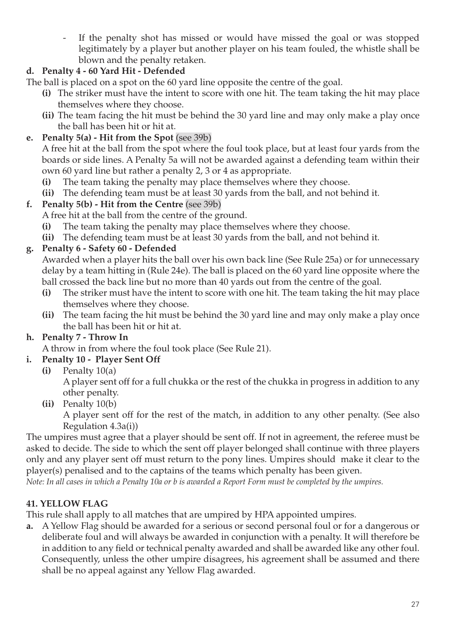- If the penalty shot has missed or would have missed the goal or was stopped legitimately by a player but another player on his team fouled, the whistle shall be blown and the penalty retaken.

## **d. Penalty 4 - 60 Yard Hit - Defended**

The ball is placed on a spot on the 60 yard line opposite the centre of the goal.

- **(i)** The striker must have the intent to score with one hit. The team taking the hit may place themselves where they choose.
- **(ii)** The team facing the hit must be behind the 30 yard line and may only make a play once the ball has been hit or hit at.

## **e. Penalty 5(a) - Hit from the Spot** (see 39b)

A free hit at the ball from the spot where the foul took place, but at least four yards from the boards or side lines. A Penalty 5a will not be awarded against a defending team within their own 60 yard line but rather a penalty 2, 3 or 4 as appropriate.

- **(i)** The team taking the penalty may place themselves where they choose.
- **(ii)** The defending team must be at least 30 yards from the ball, and not behind it.

## **f. Penalty 5(b) - Hit from the Centre** (see 39b)

A free hit at the ball from the centre of the ground.

- **(i)** The team taking the penalty may place themselves where they choose.
- **(ii)** The defending team must be at least 30 yards from the ball, and not behind it.

## **g. Penalty 6 - Safety 60 - Defended**

Awarded when a player hits the ball over his own back line (See Rule 25a) or for unnecessary delay by a team hitting in (Rule 24e). The ball is placed on the 60 yard line opposite where the ball crossed the back line but no more than 40 yards out from the centre of the goal.

- **(i)** The striker must have the intent to score with one hit. The team taking the hit may place themselves where they choose.
- **(ii)** The team facing the hit must be behind the 30 yard line and may only make a play once the ball has been hit or hit at.

## **h. Penalty 7 - Throw In**

A throw in from where the foul took place (See Rule 21).

## **i. Penalty 10 - Player Sent Off**

**(i)** Penalty 10(a)

A player sent off for a full chukka or the rest of the chukka in progress in addition to any other penalty.

**(ii)** Penalty 10(b)

A player sent off for the rest of the match, in addition to any other penalty. (See also Regulation 4.3a(i))

The umpires must agree that a player should be sent off. If not in agreement, the referee must be asked to decide. The side to which the sent off player belonged shall continue with three players only and any player sent off must return to the pony lines. Umpires should make it clear to the player(s) penalised and to the captains of the teams which penalty has been given.

*Note: In all cases in which a Penalty 10a or b is awarded a Report Form must be completed by the umpires.*

## **41. YELLOW FLAG**

This rule shall apply to all matches that are umpired by HPA appointed umpires.

**a.** A Yellow Flag should be awarded for a serious or second personal foul or for a dangerous or deliberate foul and will always be awarded in conjunction with a penalty. It will therefore be in addition to any field or technical penalty awarded and shall be awarded like any other foul. Consequently, unless the other umpire disagrees, his agreement shall be assumed and there shall be no appeal against any Yellow Flag awarded.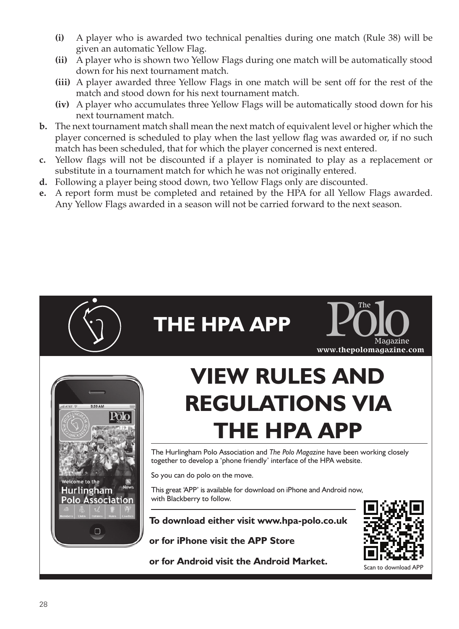- **(i)** A player who is awarded two technical penalties during one match (Rule 38) will be given an automatic Yellow Flag.
- **(ii)** A player who is shown two Yellow Flags during one match will be automatically stood down for his next tournament match.
- **(iii)** A player awarded three Yellow Flags in one match will be sent off for the rest of the match and stood down for his next tournament match.
- **(iv)** A player who accumulates three Yellow Flags will be automatically stood down for his next tournament match.
- **b.** The next tournament match shall mean the next match of equivalent level or higher which the player concerned is scheduled to play when the last yellow flag was awarded or, if no such match has been scheduled, that for which the player concerned is next entered.
- **c.** Yellow flags will not be discounted if a player is nominated to play as a replacement or substitute in a tournament match for which he was not originally entered.
- **d.** Following a player being stood down, two Yellow Flags only are discounted.
- **e.** A report form must be completed and retained by the HPA for all Yellow Flags awarded. Any Yellow Flags awarded in a season will not be carried forward to the next season.

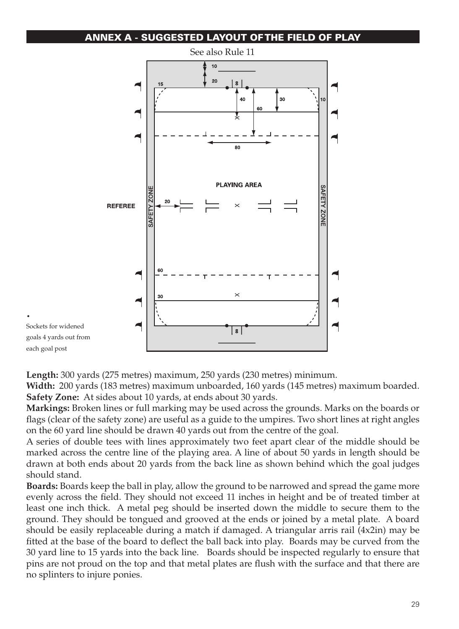#### ANNEX A - SUGGESTED LAYOUT OF THE FIELD OF PLAY



**Length:** 300 yards (275 metres) maximum, 250 yards (230 metres) minimum.

.

**Width:** 200 yards (183 metres) maximum unboarded, 160 yards (145 metres) maximum boarded. **Safety Zone:** At sides about 10 yards, at ends about 30 yards.

**Markings:** Broken lines or full marking may be used across the grounds. Marks on the boards or flags (clear of the safety zone) are useful as a guide to the umpires. Two short lines at right angles on the 60 yard line should be drawn 40 yards out from the centre of the goal.

A series of double tees with lines approximately two feet apart clear of the middle should be marked across the centre line of the playing area. A line of about 50 yards in length should be drawn at both ends about 20 yards from the back line as shown behind which the goal judges should stand.

**Boards:** Boards keep the ball in play, allow the ground to be narrowed and spread the game more evenly across the field. They should not exceed 11 inches in height and be of treated timber at least one inch thick. A metal peg should be inserted down the middle to secure them to the ground. They should be tongued and grooved at the ends or joined by a metal plate. A board should be easily replaceable during a match if damaged. A triangular arris rail (4x2in) may be fitted at the base of the board to deflect the ball back into play. Boards may be curved from the 30 yard line to 15 yards into the back line. Boards should be inspected regularly to ensure that pins are not proud on the top and that metal plates are flush with the surface and that there are no splinters to injure ponies.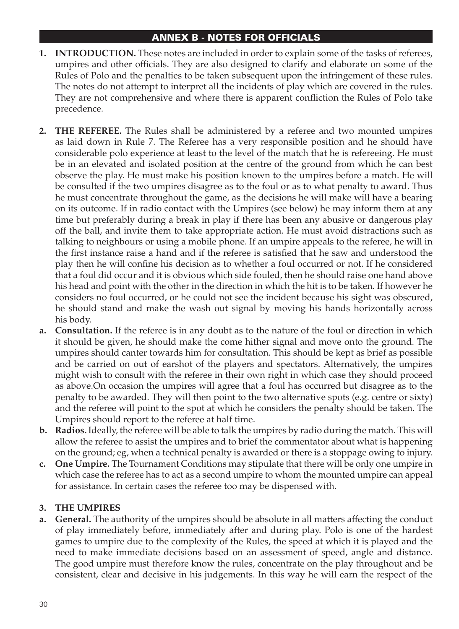#### ANNEX B - NOTES FOR OFFICIALS

- **1. INTRODUCTION.** These notes are included in order to explain some of the tasks of referees, umpires and other officials. They are also designed to clarify and elaborate on some of the Rules of Polo and the penalties to be taken subsequent upon the infringement of these rules. The notes do not attempt to interpret all the incidents of play which are covered in the rules. They are not comprehensive and where there is apparent confliction the Rules of Polo take precedence.
- **2. The Referee.** The Rules shall be administered by a referee and two mounted umpires as laid down in Rule 7. The Referee has a very responsible position and he should have considerable polo experience at least to the level of the match that he is refereeing. He must be in an elevated and isolated position at the centre of the ground from which he can best observe the play. He must make his position known to the umpires before a match. He will be consulted if the two umpires disagree as to the foul or as to what penalty to award. Thus he must concentrate throughout the game, as the decisions he will make will have a bearing on its outcome. If in radio contact with the Umpires (see below) he may inform them at any time but preferably during a break in play if there has been any abusive or dangerous play off the ball, and invite them to take appropriate action. He must avoid distractions such as talking to neighbours or using a mobile phone. If an umpire appeals to the referee, he will in the first instance raise a hand and if the referee is satisfied that he saw and understood the play then he will confine his decision as to whether a foul occurred or not. If he considered that a foul did occur and it is obvious which side fouled, then he should raise one hand above his head and point with the other in the direction in which the hit is to be taken. If however he considers no foul occurred, or he could not see the incident because his sight was obscured, he should stand and make the wash out signal by moving his hands horizontally across his body.
- **a. Consultation.** If the referee is in any doubt as to the nature of the foul or direction in which it should be given, he should make the come hither signal and move onto the ground. The umpires should canter towards him for consultation. This should be kept as brief as possible and be carried on out of earshot of the players and spectators. Alternatively, the umpires might wish to consult with the referee in their own right in which case they should proceed as above.On occasion the umpires will agree that a foul has occurred but disagree as to the penalty to be awarded. They will then point to the two alternative spots (e.g. centre or sixty) and the referee will point to the spot at which he considers the penalty should be taken. The Umpires should report to the referee at half time.
- **b. Radios.** Ideally, the referee will be able to talk the umpires by radio during the match. This will allow the referee to assist the umpires and to brief the commentator about what is happening on the ground; eg, when a technical penalty is awarded or there is a stoppage owing to injury.
- **c. One Umpire.** The Tournament Conditions may stipulate that there will be only one umpire in which case the referee has to act as a second umpire to whom the mounted umpire can appeal for assistance. In certain cases the referee too may be dispensed with.

#### **3. The Umpires**

**a. General.** The authority of the umpires should be absolute in all matters affecting the conduct of play immediately before, immediately after and during play. Polo is one of the hardest games to umpire due to the complexity of the Rules, the speed at which it is played and the need to make immediate decisions based on an assessment of speed, angle and distance. The good umpire must therefore know the rules, concentrate on the play throughout and be consistent, clear and decisive in his judgements. In this way he will earn the respect of the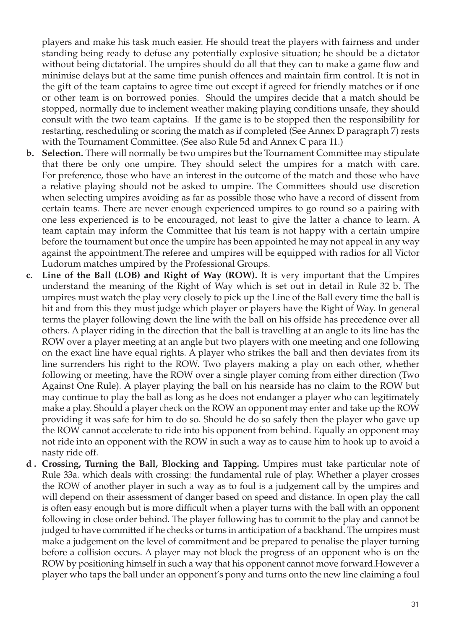players and make his task much easier. He should treat the players with fairness and under standing being ready to defuse any potentially explosive situation; he should be a dictator without being dictatorial. The umpires should do all that they can to make a game flow and minimise delays but at the same time punish offences and maintain firm control. It is not in the gift of the team captains to agree time out except if agreed for friendly matches or if one or other team is on borrowed ponies. Should the umpires decide that a match should be stopped, normally due to inclement weather making playing conditions unsafe, they should consult with the two team captains. If the game is to be stopped then the responsibility for restarting, rescheduling or scoring the match as if completed (See Annex D paragraph 7) rests with the Tournament Committee. (See also Rule 5d and Annex C para 11.)

- **b. Selection.** There will normally be two umpires but the Tournament Committee may stipulate that there be only one umpire. They should select the umpires for a match with care. For preference, those who have an interest in the outcome of the match and those who have a relative playing should not be asked to umpire. The Committees should use discretion when selecting umpires avoiding as far as possible those who have a record of dissent from certain teams. There are never enough experienced umpires to go round so a pairing with one less experienced is to be encouraged, not least to give the latter a chance to learn. A team captain may inform the Committee that his team is not happy with a certain umpire before the tournament but once the umpire has been appointed he may not appeal in any way against the appointment.The referee and umpires will be equipped with radios for all Victor Ludorum matches umpired by the Professional Groups.
- **c. Line of the Ball (LOB) and Right of Way (ROW).** It is very important that the Umpires understand the meaning of the Right of Way which is set out in detail in Rule 32 b. The umpires must watch the play very closely to pick up the Line of the Ball every time the ball is hit and from this they must judge which player or players have the Right of Way. In general terms the player following down the line with the ball on his offside has precedence over all others. A player riding in the direction that the ball is travelling at an angle to its line has the ROW over a player meeting at an angle but two players with one meeting and one following on the exact line have equal rights. A player who strikes the ball and then deviates from its line surrenders his right to the ROW. Two players making a play on each other, whether following or meeting, have the ROW over a single player coming from either direction (Two Against One Rule). A player playing the ball on his nearside has no claim to the ROW but may continue to play the ball as long as he does not endanger a player who can legitimately make a play. Should a player check on the ROW an opponent may enter and take up the ROW providing it was safe for him to do so. Should he do so safely then the player who gave up the ROW cannot accelerate to ride into his opponent from behind. Equally an opponent may not ride into an opponent with the ROW in such a way as to cause him to hook up to avoid a nasty ride off.
- **d . Crossing, Turning the Ball, Blocking and Tapping.** Umpires must take particular note of Rule 33a. which deals with crossing: the fundamental rule of play. Whether a player crosses the ROW of another player in such a way as to foul is a judgement call by the umpires and will depend on their assessment of danger based on speed and distance. In open play the call is often easy enough but is more difficult when a player turns with the ball with an opponent following in close order behind. The player following has to commit to the play and cannot be judged to have committed if he checks or turns in anticipation of a backhand. The umpires must make a judgement on the level of commitment and be prepared to penalise the player turning before a collision occurs. A player may not block the progress of an opponent who is on the ROW by positioning himself in such a way that his opponent cannot move forward.However a player who taps the ball under an opponent's pony and turns onto the new line claiming a foul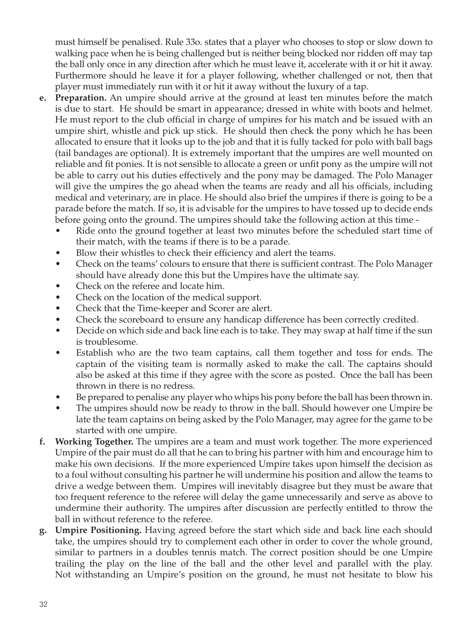must himself be penalised. Rule 33o. states that a player who chooses to stop or slow down to walking pace when he is being challenged but is neither being blocked nor ridden off may tap the ball only once in any direction after which he must leave it, accelerate with it or hit it away. Furthermore should he leave it for a player following, whether challenged or not, then that player must immediately run with it or hit it away without the luxury of a tap.

- **e. Preparation.** An umpire should arrive at the ground at least ten minutes before the match is due to start. He should be smart in appearance; dressed in white with boots and helmet. He must report to the club official in charge of umpires for his match and be issued with an umpire shirt, whistle and pick up stick. He should then check the pony which he has been allocated to ensure that it looks up to the job and that it is fully tacked for polo with ball bags (tail bandages are optional). It is extremely important that the umpires are well mounted on reliable and fit ponies. It is not sensible to allocate a green or unfit pony as the umpire will not be able to carry out his duties effectively and the pony may be damaged. The Polo Manager will give the umpires the go ahead when the teams are ready and all his officials, including medical and veterinary, are in place. He should also brief the umpires if there is going to be a parade before the match. If so, it is advisable for the umpires to have tossed up to decide ends before going onto the ground. The umpires should take the following action at this time -
	- Ride onto the ground together at least two minutes before the scheduled start time of their match, with the teams if there is to be a parade.
	- Blow their whistles to check their efficiency and alert the teams.
	- Check on the teams' colours to ensure that there is sufficient contrast. The Polo Manager should have already done this but the Umpires have the ultimate say.
	- Check on the referee and locate him.
	- Check on the location of the medical support.
	- Check that the Time-keeper and Scorer are alert.
	- Check the scoreboard to ensure any handicap difference has been correctly credited.
	- Decide on which side and back line each is to take. They may swap at half time if the sun is troublesome.
	- Establish who are the two team captains, call them together and toss for ends. The captain of the visiting team is normally asked to make the call. The captains should also be asked at this time if they agree with the score as posted. Once the ball has been thrown in there is no redress.
	- Be prepared to penalise any player who whips his pony before the ball has been thrown in.
	- The umpires should now be ready to throw in the ball. Should however one Umpire be late the team captains on being asked by the Polo Manager, may agree for the game to be started with one umpire.
- **f. Working Together.** The umpires are a team and must work together. The more experienced Umpire of the pair must do all that he can to bring his partner with him and encourage him to make his own decisions. If the more experienced Umpire takes upon himself the decision as to a foul without consulting his partner he will undermine his position and allow the teams to drive a wedge between them. Umpires will inevitably disagree but they must be aware that too frequent reference to the referee will delay the game unnecessarily and serve as above to undermine their authority. The umpires after discussion are perfectly entitled to throw the ball in without reference to the referee.
- **g. Umpire Positioning.** Having agreed before the start which side and back line each should take, the umpires should try to complement each other in order to cover the whole ground, similar to partners in a doubles tennis match. The correct position should be one Umpire trailing the play on the line of the ball and the other level and parallel with the play. Not withstanding an Umpire's position on the ground, he must not hesitate to blow his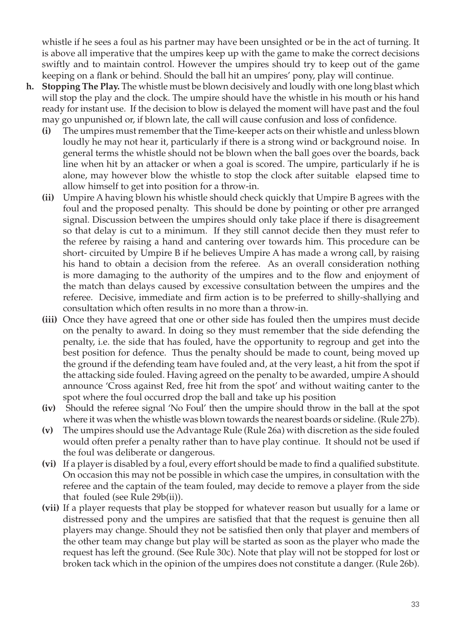whistle if he sees a foul as his partner may have been unsighted or be in the act of turning. It is above all imperative that the umpires keep up with the game to make the correct decisions swiftly and to maintain control. However the umpires should try to keep out of the game keeping on a flank or behind. Should the ball hit an umpires' pony, play will continue.

- **h. Stopping The Play.** The whistle must be blown decisively and loudly with one long blast which will stop the play and the clock. The umpire should have the whistle in his mouth or his hand ready for instant use. If the decision to blow is delayed the moment will have past and the foul may go unpunished or, if blown late, the call will cause confusion and loss of confidence.
	- **(i)** The umpires must remember that the Time-keeper acts on their whistle and unless blown loudly he may not hear it, particularly if there is a strong wind or background noise. In general terms the whistle should not be blown when the ball goes over the boards, back line when hit by an attacker or when a goal is scored. The umpire, particularly if he is alone, may however blow the whistle to stop the clock after suitable elapsed time to allow himself to get into position for a throw-in.
	- **(ii)** Umpire A having blown his whistle should check quickly that Umpire B agrees with the foul and the proposed penalty. This should be done by pointing or other pre arranged signal. Discussion between the umpires should only take place if there is disagreement so that delay is cut to a minimum. If they still cannot decide then they must refer to the referee by raising a hand and cantering over towards him. This procedure can be short- circuited by Umpire B if he believes Umpire A has made a wrong call, by raising his hand to obtain a decision from the referee. As an overall consideration nothing is more damaging to the authority of the umpires and to the flow and enjoyment of the match than delays caused by excessive consultation between the umpires and the referee. Decisive, immediate and firm action is to be preferred to shilly-shallying and consultation which often results in no more than a throw-in.
	- **(iii)** Once they have agreed that one or other side has fouled then the umpires must decide on the penalty to award. In doing so they must remember that the side defending the penalty, i.e. the side that has fouled, have the opportunity to regroup and get into the best position for defence. Thus the penalty should be made to count, being moved up the ground if the defending team have fouled and, at the very least, a hit from the spot if the attacking side fouled. Having agreed on the penalty to be awarded, umpire A should announce 'Cross against Red, free hit from the spot' and without waiting canter to the spot where the foul occurred drop the ball and take up his position
	- **(iv)** Should the referee signal 'No Foul' then the umpire should throw in the ball at the spot where it was when the whistle was blown towards the nearest boards or sideline. (Rule 27b).
	- **(v)** The umpires should use the Advantage Rule (Rule 26a) with discretion as the side fouled would often prefer a penalty rather than to have play continue. It should not be used if the foul was deliberate or dangerous.
	- **(vi)** If a player is disabled by a foul, every effort should be made to find a qualified substitute. On occasion this may not be possible in which case the umpires, in consultation with the referee and the captain of the team fouled, may decide to remove a player from the side that fouled (see Rule 29b(ii)).
	- **(vii)** If a player requests that play be stopped for whatever reason but usually for a lame or distressed pony and the umpires are satisfied that that the request is genuine then all players may change. Should they not be satisfied then only that player and members of the other team may change but play will be started as soon as the player who made the request has left the ground. (See Rule 30c). Note that play will not be stopped for lost or broken tack which in the opinion of the umpires does not constitute a danger. (Rule 26b).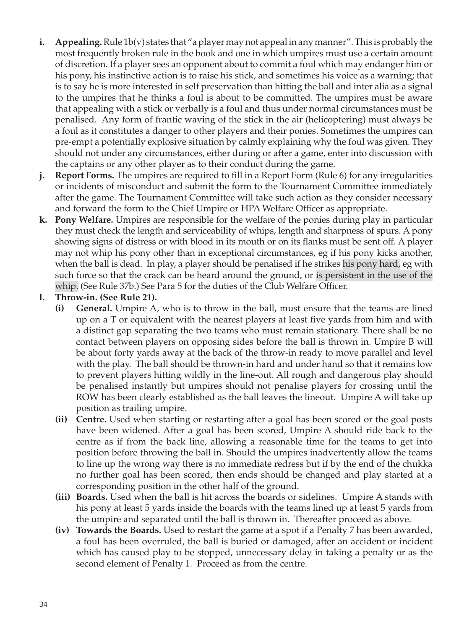- **i. Appealing.** Rule 1b(v) states that "a player may not appeal in any manner". This is probably the most frequently broken rule in the book and one in which umpires must use a certain amount of discretion. If a player sees an opponent about to commit a foul which may endanger him or his pony, his instinctive action is to raise his stick, and sometimes his voice as a warning; that is to say he is more interested in self preservation than hitting the ball and inter alia as a signal to the umpires that he thinks a foul is about to be committed. The umpires must be aware that appealing with a stick or verbally is a foul and thus under normal circumstances must be penalised. Any form of frantic waving of the stick in the air (helicoptering) must always be a foul as it constitutes a danger to other players and their ponies. Sometimes the umpires can pre-empt a potentially explosive situation by calmly explaining why the foul was given. They should not under any circumstances, either during or after a game, enter into discussion with the captains or any other player as to their conduct during the game.
- **j. Report Forms.** The umpires are required to fill in a Report Form (Rule 6) for any irregularities or incidents of misconduct and submit the form to the Tournament Committee immediately after the game. The Tournament Committee will take such action as they consider necessary and forward the form to the Chief Umpire or HPA Welfare Officer as appropriate.
- **k. Pony Welfare.** Umpires are responsible for the welfare of the ponies during play in particular they must check the length and serviceability of whips, length and sharpness of spurs. A pony showing signs of distress or with blood in its mouth or on its flanks must be sent off. A player may not whip his pony other than in exceptional circumstances, eg if his pony kicks another, when the ball is dead. In play, a player should be penalised if he strikes his pony hard, eg with such force so that the crack can be heard around the ground, or is persistent in the use of the whip. (See Rule 37b.) See Para 5 for the duties of the Club Welfare Officer.
- **l. Throw-in. (See Rule 21).**
	- **(i) General.** Umpire A, who is to throw in the ball, must ensure that the teams are lined up on a T or equivalent with the nearest players at least five yards from him and with a distinct gap separating the two teams who must remain stationary. There shall be no contact between players on opposing sides before the ball is thrown in. Umpire B will be about forty yards away at the back of the throw-in ready to move parallel and level with the play. The ball should be thrown-in hard and under hand so that it remains low to prevent players hitting wildly in the line-out. All rough and dangerous play should be penalised instantly but umpires should not penalise players for crossing until the ROW has been clearly established as the ball leaves the lineout. Umpire A will take up position as trailing umpire.
	- **(ii) Centre.** Used when starting or restarting after a goal has been scored or the goal posts have been widened. After a goal has been scored, Umpire A should ride back to the centre as if from the back line, allowing a reasonable time for the teams to get into position before throwing the ball in. Should the umpires inadvertently allow the teams to line up the wrong way there is no immediate redress but if by the end of the chukka no further goal has been scored, then ends should be changed and play started at a corresponding position in the other half of the ground.
	- **(iii) Boards.** Used when the ball is hit across the boards or sidelines. Umpire A stands with his pony at least 5 yards inside the boards with the teams lined up at least 5 yards from the umpire and separated until the ball is thrown in. Thereafter proceed as above.
	- **(iv) Towards the Boards.** Used to restart the game at a spot if a Penalty 7 has been awarded, a foul has been overruled, the ball is buried or damaged, after an accident or incident which has caused play to be stopped, unnecessary delay in taking a penalty or as the second element of Penalty 1. Proceed as from the centre.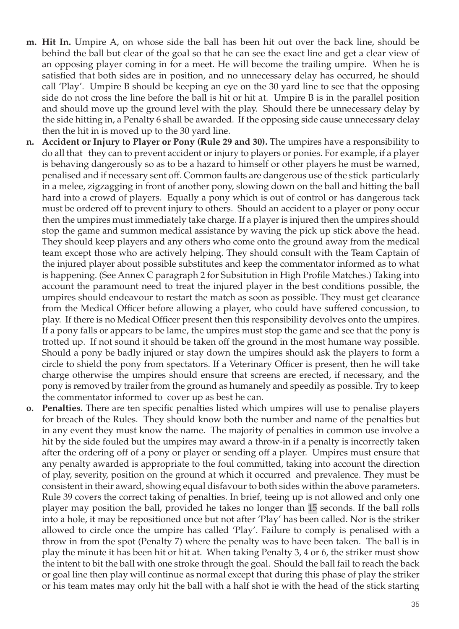- **m. Hit In.** Umpire A, on whose side the ball has been hit out over the back line, should be behind the ball but clear of the goal so that he can see the exact line and get a clear view of an opposing player coming in for a meet. He will become the trailing umpire. When he is satisfied that both sides are in position, and no unnecessary delay has occurred, he should call 'Play'. Umpire B should be keeping an eye on the 30 yard line to see that the opposing side do not cross the line before the ball is hit or hit at. Umpire B is in the parallel position and should move up the ground level with the play. Should there be unnecessary delay by the side hitting in, a Penalty 6 shall be awarded. If the opposing side cause unnecessary delay then the hit in is moved up to the 30 yard line.
- **n. Accident or Injury to Player or Pony (Rule 29 and 30).** The umpires have a responsibility to do all that they can to prevent accident or injury to players or ponies. For example, if a player is behaving dangerously so as to be a hazard to himself or other players he must be warned, penalised and if necessary sent off. Common faults are dangerous use of the stick particularly in a melee, zigzagging in front of another pony, slowing down on the ball and hitting the ball hard into a crowd of players. Equally a pony which is out of control or has dangerous tack must be ordered off to prevent injury to others. Should an accident to a player or pony occur then the umpires must immediately take charge. If a player is injured then the umpires should stop the game and summon medical assistance by waving the pick up stick above the head. They should keep players and any others who come onto the ground away from the medical team except those who are actively helping. They should consult with the Team Captain of the injured player about possible substitutes and keep the commentator informed as to what is happening. (See Annex C paragraph 2 for Subsitution in High Profile Matches.) Taking into account the paramount need to treat the injured player in the best conditions possible, the umpires should endeavour to restart the match as soon as possible. They must get clearance from the Medical Officer before allowing a player, who could have suffered concussion, to play. If there is no Medical Officer present then this responsibility devolves onto the umpires. If a pony falls or appears to be lame, the umpires must stop the game and see that the pony is trotted up. If not sound it should be taken off the ground in the most humane way possible. Should a pony be badly injured or stay down the umpires should ask the players to form a circle to shield the pony from spectators. If a Veterinary Officer is present, then he will take charge otherwise the umpires should ensure that screens are erected, if necessary, and the pony is removed by trailer from the ground as humanely and speedily as possible. Try to keep the commentator informed to cover up as best he can.
- **o. Penalties.** There are ten specific penalties listed which umpires will use to penalise players for breach of the Rules. They should know both the number and name of the penalties but in any event they must know the name. The majority of penalties in common use involve a hit by the side fouled but the umpires may award a throw-in if a penalty is incorrectly taken after the ordering off of a pony or player or sending off a player. Umpires must ensure that any penalty awarded is appropriate to the foul committed, taking into account the direction of play, severity, position on the ground at which it occurred and prevalence. They must be consistent in their award, showing equal disfavour to both sides within the above parameters. Rule 39 covers the correct taking of penalties. In brief, teeing up is not allowed and only one player may position the ball, provided he takes no longer than 15 seconds. If the ball rolls into a hole, it may be repositioned once but not after 'Play' has been called. Nor is the striker allowed to circle once the umpire has called 'Play'. Failure to comply is penalised with a throw in from the spot (Penalty 7) where the penalty was to have been taken. The ball is in play the minute it has been hit or hit at. When taking Penalty 3, 4 or 6, the striker must show the intent to bit the ball with one stroke through the goal. Should the ball fail to reach the back or goal line then play will continue as normal except that during this phase of play the striker or his team mates may only hit the ball with a half shot ie with the head of the stick starting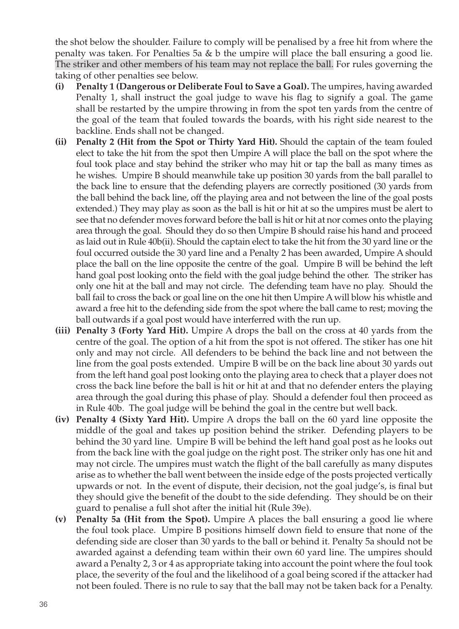the shot below the shoulder. Failure to comply will be penalised by a free hit from where the penalty was taken. For Penalties 5a & b the umpire will place the ball ensuring a good lie. The striker and other members of his team may not replace the ball. For rules governing the taking of other penalties see below.

- **(i) Penalty 1 (Dangerous or Deliberate Foul to Save a Goal).** The umpires, having awarded Penalty 1, shall instruct the goal judge to wave his flag to signify a goal. The game shall be restarted by the umpire throwing in from the spot ten yards from the centre of the goal of the team that fouled towards the boards, with his right side nearest to the backline. Ends shall not be changed.
- **(ii) Penalty 2 (Hit from the Spot or Thirty Yard Hit).** Should the captain of the team fouled elect to take the hit from the spot then Umpire A will place the ball on the spot where the foul took place and stay behind the striker who may hit or tap the ball as many times as he wishes. Umpire B should meanwhile take up position 30 yards from the ball parallel to the back line to ensure that the defending players are correctly positioned (30 yards from the ball behind the back line, off the playing area and not between the line of the goal posts extended.) They may play as soon as the ball is hit or hit at so the umpires must be alert to see that no defender moves forward before the ball is hit or hit at nor comes onto the playing area through the goal. Should they do so then Umpire B should raise his hand and proceed as laid out in Rule 40b(ii). Should the captain elect to take the hit from the 30 yard line or the foul occurred outside the 30 yard line and a Penalty 2 has been awarded, Umpire A should place the ball on the line opposite the centre of the goal. Umpire B will be behind the left hand goal post looking onto the field with the goal judge behind the other. The striker has only one hit at the ball and may not circle. The defending team have no play. Should the ball fail to cross the back or goal line on the one hit then Umpire A will blow his whistle and award a free hit to the defending side from the spot where the ball came to rest; moving the ball outwards if a goal post would have interferred with the run up.
- **(iii) Penalty 3 (Forty Yard Hit).** Umpire A drops the ball on the cross at 40 yards from the centre of the goal. The option of a hit from the spot is not offered. The stiker has one hit only and may not circle. All defenders to be behind the back line and not between the line from the goal posts extended. Umpire B will be on the back line about 30 yards out from the left hand goal post looking onto the playing area to check that a player does not cross the back line before the ball is hit or hit at and that no defender enters the playing area through the goal during this phase of play. Should a defender foul then proceed as in Rule 40b. The goal judge will be behind the goal in the centre but well back.
- **(iv) Penalty 4 (Sixty Yard Hit).** Umpire A drops the ball on the 60 yard line opposite the middle of the goal and takes up position behind the striker. Defending players to be behind the 30 yard line. Umpire B will be behind the left hand goal post as he looks out from the back line with the goal judge on the right post. The striker only has one hit and may not circle. The umpires must watch the flight of the ball carefully as many disputes arise as to whether the ball went between the inside edge of the posts projected vertically upwards or not. In the event of dispute, their decision, not the goal judge's, is final but they should give the benefit of the doubt to the side defending. They should be on their guard to penalise a full shot after the initial hit (Rule 39e).
- **(v) Penalty 5a (Hit from the Spot).** Umpire A places the ball ensuring a good lie where the foul took place. Umpire B positions himself down field to ensure that none of the defending side are closer than 30 yards to the ball or behind it. Penalty 5a should not be awarded against a defending team within their own 60 yard line. The umpires should award a Penalty 2, 3 or 4 as appropriate taking into account the point where the foul took place, the severity of the foul and the likelihood of a goal being scored if the attacker had not been fouled. There is no rule to say that the ball may not be taken back for a Penalty.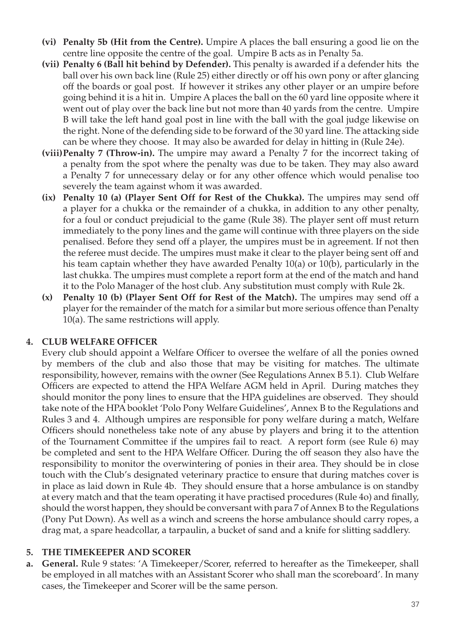- **(vi) Penalty 5b (Hit from the Centre).** Umpire A places the ball ensuring a good lie on the centre line opposite the centre of the goal. Umpire B acts as in Penalty 5a.
- **(vii) Penalty 6 (Ball hit behind by Defender).** This penalty is awarded if a defender hits the ball over his own back line (Rule 25) either directly or off his own pony or after glancing off the boards or goal post. If however it strikes any other player or an umpire before going behind it is a hit in. Umpire A places the ball on the 60 yard line opposite where it went out of play over the back line but not more than 40 yards from the centre. Umpire B will take the left hand goal post in line with the ball with the goal judge likewise on the right. None of the defending side to be forward of the 30 yard line. The attacking side can be where they choose. It may also be awarded for delay in hitting in (Rule 24e).
- **(viii)Penalty 7 (Throw-in).** The umpire may award a Penalty 7 for the incorrect taking of a penalty from the spot where the penalty was due to be taken. They may also award a Penalty 7 for unnecessary delay or for any other offence which would penalise too severely the team against whom it was awarded.
- **(ix) Penalty 10 (a) (Player Sent Off for Rest of the Chukka).** The umpires may send off a player for a chukka or the remainder of a chukka, in addition to any other penalty, for a foul or conduct prejudicial to the game (Rule 38). The player sent off must return immediately to the pony lines and the game will continue with three players on the side penalised. Before they send off a player, the umpires must be in agreement. If not then the referee must decide. The umpires must make it clear to the player being sent off and his team captain whether they have awarded Penalty 10(a) or 10(b), particularly in the last chukka. The umpires must complete a report form at the end of the match and hand it to the Polo Manager of the host club. Any substitution must comply with Rule 2k.
- **(x) Penalty 10 (b) (Player Sent Off for Rest of the Match).** The umpires may send off a player for the remainder of the match for a similar but more serious offence than Penalty 10(a). The same restrictions will apply.

#### **4. CLUB WeLFARE OFFICER**

Every club should appoint a Welfare Officer to oversee the welfare of all the ponies owned by members of the club and also those that may be visiting for matches. The ultimate responsibility, however, remains with the owner (See Regulations Annex B 5.1). Club Welfare Officers are expected to attend the HPA Welfare AGM held in April. During matches they should monitor the pony lines to ensure that the HPA guidelines are observed. They should take note of the HPA booklet 'Polo Pony Welfare Guidelines', Annex B to the Regulations and Rules 3 and 4. Although umpires are responsible for pony welfare during a match, Welfare Officers should nonetheless take note of any abuse by players and bring it to the attention of the Tournament Committee if the umpires fail to react. A report form (see Rule 6) may be completed and sent to the HPA Welfare Officer. During the off season they also have the responsibility to monitor the overwintering of ponies in their area. They should be in close touch with the Club's designated veterinary practice to ensure that during matches cover is in place as laid down in Rule 4b. They should ensure that a horse ambulance is on standby at every match and that the team operating it have practised procedures (Rule 4o) and finally, should the worst happen, they should be conversant with para 7 of Annex B to the Regulations (Pony Put Down). As well as a winch and screens the horse ambulance should carry ropes, a drag mat, a spare headcollar, a tarpaulin, a bucket of sand and a knife for slitting saddlery.

#### **5. The Timekeeper and Scorer**

**a. General.** Rule 9 states: 'A Timekeeper/Scorer, referred to hereafter as the Timekeeper, shall be employed in all matches with an Assistant Scorer who shall man the scoreboard'. In many cases, the Timekeeper and Scorer will be the same person.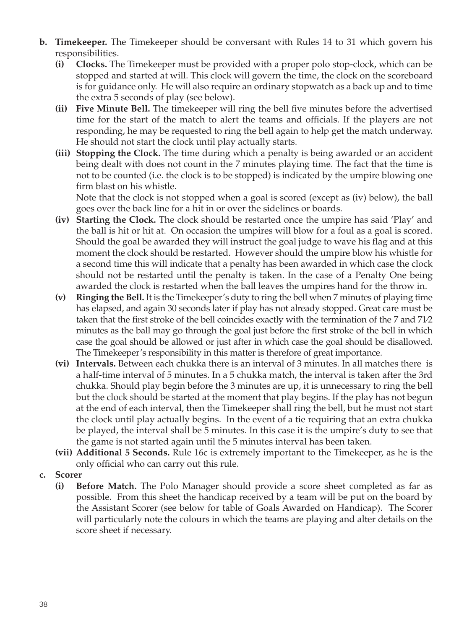- **b. Timekeeper.** The Timekeeper should be conversant with Rules 14 to 31 which govern his responsibilities.
	- **(i) Clocks.** The Timekeeper must be provided with a proper polo stop-clock, which can be stopped and started at will. This clock will govern the time, the clock on the scoreboard is for guidance only. He will also require an ordinary stopwatch as a back up and to time the extra 5 seconds of play (see below).
	- **(ii) Five Minute Bell.** The timekeeper will ring the bell five minutes before the advertised time for the start of the match to alert the teams and officials. If the players are not responding, he may be requested to ring the bell again to help get the match underway. He should not start the clock until play actually starts.
	- **(iii) Stopping the Clock.** The time during which a penalty is being awarded or an accident being dealt with does not count in the 7 minutes playing time. The fact that the time is not to be counted (i.e. the clock is to be stopped) is indicated by the umpire blowing one firm blast on his whistle.

Note that the clock is not stopped when a goal is scored (except as (iv) below), the ball goes over the back line for a hit in or over the sidelines or boards.

- **(iv) Starting the Clock.** The clock should be restarted once the umpire has said 'Play' and the ball is hit or hit at. On occasion the umpires will blow for a foul as a goal is scored. Should the goal be awarded they will instruct the goal judge to wave his flag and at this moment the clock should be restarted. However should the umpire blow his whistle for a second time this will indicate that a penalty has been awarded in which case the clock should not be restarted until the penalty is taken. In the case of a Penalty One being awarded the clock is restarted when the ball leaves the umpires hand for the throw in.
- **(v) Ringing the Bell.** It is the Timekeeper's duty to ring the bell when 7 minutes of playing time has elapsed, and again 30 seconds later if play has not already stopped. Great care must be taken that the first stroke of the bell coincides exactly with the termination of the 7 and 71⁄2 minutes as the ball may go through the goal just before the first stroke of the bell in which case the goal should be allowed or just after in which case the goal should be disallowed. The Timekeeper's responsibility in this matter is therefore of great importance.
- **(vi) Intervals.** Between each chukka there is an interval of 3 minutes. In all matches there is a half-time interval of 5 minutes. In a 5 chukka match, the interval is taken after the 3rd chukka. Should play begin before the 3 minutes are up, it is unnecessary to ring the bell but the clock should be started at the moment that play begins. If the play has not begun at the end of each interval, then the Timekeeper shall ring the bell, but he must not start the clock until play actually begins. In the event of a tie requiring that an extra chukka be played, the interval shall be 5 minutes. In this case it is the umpire's duty to see that the game is not started again until the 5 minutes interval has been taken.
- **(vii) Additional 5 Seconds.** Rule 16c is extremely important to the Timekeeper, as he is the only official who can carry out this rule.
- **c. Scorer**
	- **(i) Before Match.** The Polo Manager should provide a score sheet completed as far as possible. From this sheet the handicap received by a team will be put on the board by the Assistant Scorer (see below for table of Goals Awarded on Handicap). The Scorer will particularly note the colours in which the teams are playing and alter details on the score sheet if necessary.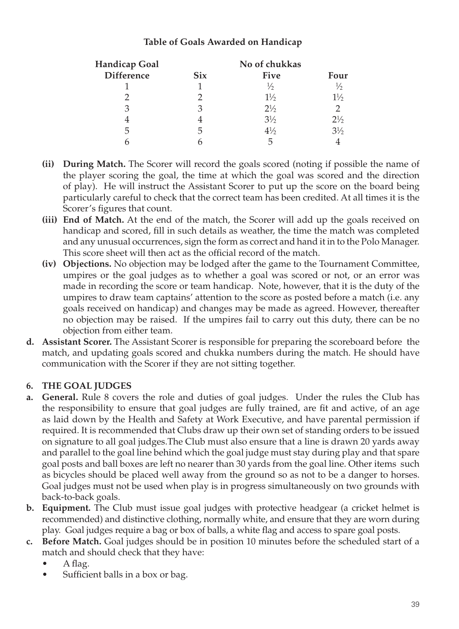#### **Table of Goals Awarded on Handicap**

| Handicap Goal     |            |                |                |
|-------------------|------------|----------------|----------------|
| <b>Difference</b> | <b>Six</b> | <b>Five</b>    | Four           |
|                   |            | ⅓              | $\frac{1}{2}$  |
|                   |            | $1\frac{1}{2}$ | $1\frac{1}{2}$ |
| З                 | З          | $2\frac{1}{2}$ | $\mathcal{P}$  |
|                   |            | $3\frac{1}{2}$ | $2\frac{1}{2}$ |
| 5                 | 5          | $4\frac{1}{2}$ | $3\frac{1}{2}$ |
|                   |            | 5              |                |

- **(ii) During Match.** The Scorer will record the goals scored (noting if possible the name of the player scoring the goal, the time at which the goal was scored and the direction of play). He will instruct the Assistant Scorer to put up the score on the board being particularly careful to check that the correct team has been credited. At all times it is the Scorer's figures that count.
- **(iii) End of Match.** At the end of the match, the Scorer will add up the goals received on handicap and scored, fill in such details as weather, the time the match was completed and any unusual occurrences, sign the form as correct and hand it in to the Polo Manager. This score sheet will then act as the official record of the match.
- **(iv) Objections.** No objection may be lodged after the game to the Tournament Committee, umpires or the goal judges as to whether a goal was scored or not, or an error was made in recording the score or team handicap. Note, however, that it is the duty of the umpires to draw team captains' attention to the score as posted before a match (i.e. any goals received on handicap) and changes may be made as agreed. However, thereafter no objection may be raised. If the umpires fail to carry out this duty, there can be no objection from either team.
- **d. Assistant Scorer.** The Assistant Scorer is responsible for preparing the scoreboard before the match, and updating goals scored and chukka numbers during the match. He should have communication with the Scorer if they are not sitting together.

#### **6. The Goal Judges**

- **a. General.** Rule 8 covers the role and duties of goal judges. Under the rules the Club has the responsibility to ensure that goal judges are fully trained, are fit and active, of an age as laid down by the Health and Safety at Work Executive, and have parental permission if required. It is recommended that Clubs draw up their own set of standing orders to be issued on signature to all goal judges.The Club must also ensure that a line is drawn 20 yards away and parallel to the goal line behind which the goal judge must stay during play and that spare goal posts and ball boxes are left no nearer than 30 yards from the goal line. Other items such as bicycles should be placed well away from the ground so as not to be a danger to horses. Goal judges must not be used when play is in progress simultaneously on two grounds with back-to-back goals.
- **b. Equipment.** The Club must issue goal judges with protective headgear (a cricket helmet is recommended) and distinctive clothing, normally white, and ensure that they are worn during play. Goal judges require a bag or box of balls, a white flag and access to spare goal posts.
- **c. Before Match.** Goal judges should be in position 10 minutes before the scheduled start of a match and should check that they have:
	- A flag.
	- Sufficient balls in a box or bag.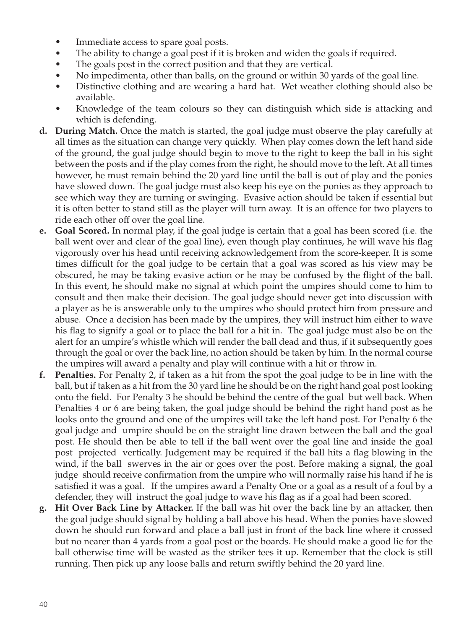- Immediate access to spare goal posts.
- The ability to change a goal post if it is broken and widen the goals if required.
- The goals post in the correct position and that they are vertical.
- No impedimenta, other than balls, on the ground or within 30 yards of the goal line.
- Distinctive clothing and are wearing a hard hat. Wet weather clothing should also be available.
- Knowledge of the team colours so they can distinguish which side is attacking and which is defending.
- **d. During Match.** Once the match is started, the goal judge must observe the play carefully at all times as the situation can change very quickly. When play comes down the left hand side of the ground, the goal judge should begin to move to the right to keep the ball in his sight between the posts and if the play comes from the right, he should move to the left. At all times however, he must remain behind the 20 yard line until the ball is out of play and the ponies have slowed down. The goal judge must also keep his eye on the ponies as they approach to see which way they are turning or swinging. Evasive action should be taken if essential but it is often better to stand still as the player will turn away. It is an offence for two players to ride each other off over the goal line.
- **e. Goal Scored.** In normal play, if the goal judge is certain that a goal has been scored (i.e. the ball went over and clear of the goal line), even though play continues, he will wave his flag vigorously over his head until receiving acknowledgement from the score-keeper. It is some times difficult for the goal judge to be certain that a goal was scored as his view may be obscured, he may be taking evasive action or he may be confused by the flight of the ball. In this event, he should make no signal at which point the umpires should come to him to consult and then make their decision. The goal judge should never get into discussion with a player as he is answerable only to the umpires who should protect him from pressure and abuse. Once a decision has been made by the umpires, they will instruct him either to wave his flag to signify a goal or to place the ball for a hit in. The goal judge must also be on the alert for an umpire's whistle which will render the ball dead and thus, if it subsequently goes through the goal or over the back line, no action should be taken by him. In the normal course the umpires will award a penalty and play will continue with a hit or throw in.
- **f. Penalties.** For Penalty 2, if taken as a hit from the spot the goal judge to be in line with the ball, but if taken as a hit from the 30 yard line he should be on the right hand goal post looking onto the field. For Penalty 3 he should be behind the centre of the goal but well back. When Penalties 4 or 6 are being taken, the goal judge should be behind the right hand post as he looks onto the ground and one of the umpires will take the left hand post. For Penalty 6 the goal judge and umpire should be on the straight line drawn between the ball and the goal post. He should then be able to tell if the ball went over the goal line and inside the goal post projected vertically. Judgement may be required if the ball hits a flag blowing in the wind, if the ball swerves in the air or goes over the post. Before making a signal, the goal judge should receive confirmation from the umpire who will normally raise his hand if he is satisfied it was a goal. If the umpires award a Penalty One or a goal as a result of a foul by a defender, they will instruct the goal judge to wave his flag as if a goal had been scored.
- **g. Hit Over Back Line by Attacker.** If the ball was hit over the back line by an attacker, then the goal judge should signal by holding a ball above his head. When the ponies have slowed down he should run forward and place a ball just in front of the back line where it crossed but no nearer than 4 yards from a goal post or the boards. He should make a good lie for the ball otherwise time will be wasted as the striker tees it up. Remember that the clock is still running. Then pick up any loose balls and return swiftly behind the 20 yard line.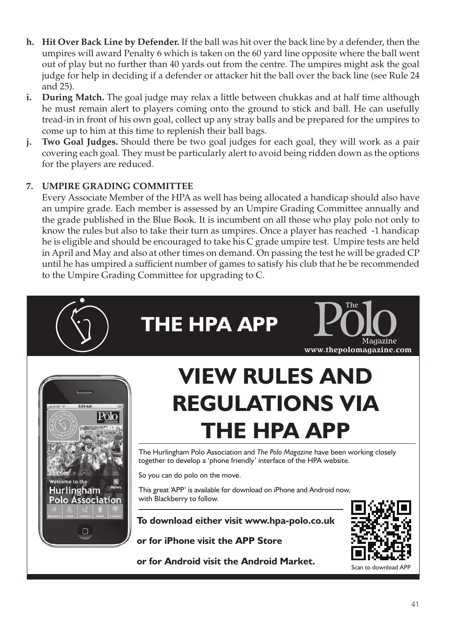- **h. Hit Over Back Line by Defender.** If the ball was hit over the back line by a defender, then the umpires will award Penalty 6 which is taken on the 60 yard line opposite where the ball went out of play but no further than 40 yards out from the centre. The umpires might ask the goal judge for help in deciding if a defender or attacker hit the ball over the back line (see Rule 24 and 25).
- **i. During Match.** The goal judge may relax a little between chukkas and at half time although he must remain alert to players coming onto the ground to stick and ball. He can usefully tread-in in front of his own goal, collect up any stray balls and be prepared for the umpires to come up to him at this time to replenish their ball bags.
- **j. Two Goal Judges.** Should there be two goal judges for each goal, they will work as a pair covering each goal. They must be particularly alert to avoid being ridden down as the options for the players are reduced.

### **7. Umpire Grading Committee**

Every Associate Member of the HPA as well has being allocated a handicap should also have an umpire grade. Each member is assessed by an Umpire Grading Committee annually and the grade published in the Blue Book. It is incumbent on all those who play polo not only to know the rules but also to take their turn as umpires. Once a player has reached -1 handicap he is eligible and should be encouraged to take his C grade umpire test. Umpire tests are held in April and May and also at other times on demand. On passing the test he will be graded CP until he has umpired a sufficient number of games to satisfy his club that he be recommended to the Umpire Grading Committee for upgrading to C.

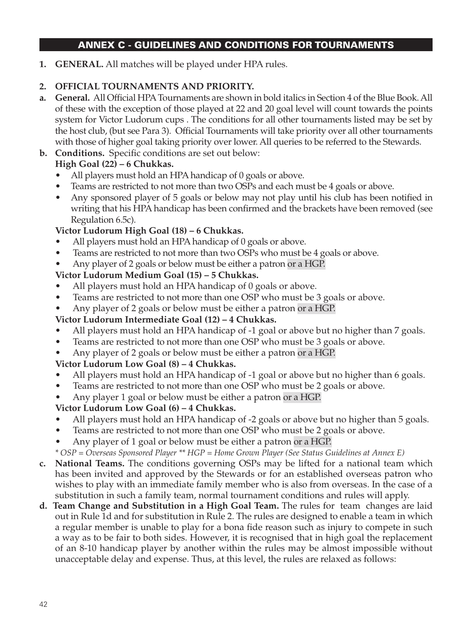## ANNEX C - GUIDELINES AND CONDITIONS FOR TOURNAMENTS

**1. GENERAL.** All matches will be played under HPA rules.

#### **2. OFFICIAL TOURNAMENTS AND PRIORITY.**

- **a. General.** All Official HPA Tournaments are shown in bold italics in Section 4 of the Blue Book. All of these with the exception of those played at 22 and 20 goal level will count towards the points system for Victor Ludorum cups . The conditions for all other tournaments listed may be set by the host club, (but see Para 3). Official Tournaments will take priority over all other tournaments with those of higher goal taking priority over lower. All queries to be referred to the Stewards.
- **b. Conditions.** Specific conditions are set out below:

## **High Goal (22) – 6 Chukkas.**

- All players must hold an HPA handicap of 0 goals or above.
- Teams are restricted to not more than two OSPs and each must be 4 goals or above.
- Any sponsored player of 5 goals or below may not play until his club has been notified in writing that his HPA handicap has been confirmed and the brackets have been removed (see Regulation 6.5c).

### **Victor Ludorum High Goal (18) – 6 Chukkas.**

- All players must hold an HPA handicap of 0 goals or above.
- Teams are restricted to not more than two OSPs who must be 4 goals or above.
- Any player of 2 goals or below must be either a patron or a HGP.

### **Victor Ludorum Medium Goal (15) – 5 Chukkas.**

- All players must hold an HPA handicap of 0 goals or above.
- Teams are restricted to not more than one OSP who must be 3 goals or above.
- Any player of 2 goals or below must be either a patron or a HGP.

#### **Victor Ludorum Intermediate Goal (12) – 4 Chukkas.**

- All players must hold an HPA handicap of -1 goal or above but no higher than 7 goals.
- Teams are restricted to not more than one OSP who must be 3 goals or above.
- Any player of 2 goals or below must be either a patron or a HGP.

#### **Victor Ludorum Low Goal (8) – 4 Chukkas.**

- All players must hold an HPA handicap of -1 goal or above but no higher than 6 goals.
- Teams are restricted to not more than one OSP who must be 2 goals or above.
- Any player 1 goal or below must be either a patron or a HGP.

#### **Victor Ludorum Low Goal (6) – 4 Chukkas.**

- All players must hold an HPA handicap of -2 goals or above but no higher than 5 goals.
- Teams are restricted to not more than one OSP who must be 2 goals or above.
- Any player of 1 goal or below must be either a patron or a HGP.

*\* OSP = Overseas Sponsored Player \*\* HGP = Home Grown Player (See Status Guidelines at Annex E)*

- **c. National Teams.** The conditions governing OSPs may be lifted for a national team which has been invited and approved by the Stewards or for an established overseas patron who wishes to play with an immediate family member who is also from overseas. In the case of a substitution in such a family team, normal tournament conditions and rules will apply.
- **d. Team Change and Substitution in a High Goal Team.** The rules for team changes are laid out in Rule 1d and for substitution in Rule 2. The rules are designed to enable a team in which a regular member is unable to play for a bona fide reason such as injury to compete in such a way as to be fair to both sides. However, it is recognised that in high goal the replacement of an 8-10 handicap player by another within the rules may be almost impossible without unacceptable delay and expense. Thus, at this level, the rules are relaxed as follows: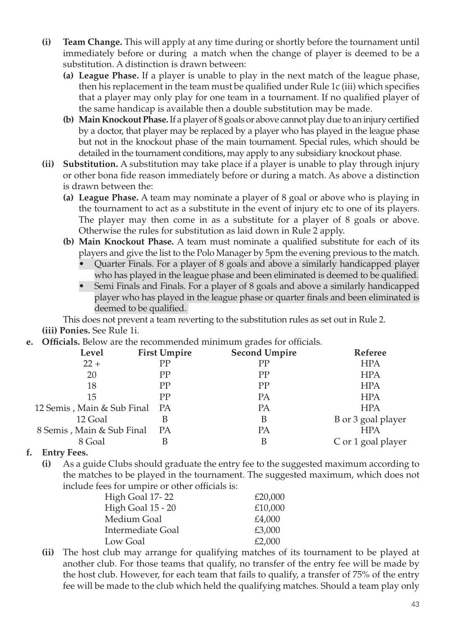- **(i) Team Change.** This will apply at any time during or shortly before the tournament until immediately before or during a match when the change of player is deemed to be a substitution. A distinction is drawn between:
	- **(a) League Phase.** If a player is unable to play in the next match of the league phase, then his replacement in the team must be qualified under Rule 1c (iii) which specifies that a player may only play for one team in a tournament. If no qualified player of the same handicap is available then a double substitution may be made.
	- **(b) Main Knockout Phase.** If a player of 8 goals or above cannot play due to an injury certified by a doctor, that player may be replaced by a player who has played in the league phase but not in the knockout phase of the main tournament. Special rules, which should be detailed in the tournament conditions, may apply to any subsidiary knockout phase.
- **(ii) Substitution.** A substitution may take place if a player is unable to play through injury or other bona fide reason immediately before or during a match. As above a distinction is drawn between the:
	- **(a) League Phase.** A team may nominate a player of 8 goal or above who is playing in the tournament to act as a substitute in the event of injury etc to one of its players. The player may then come in as a substitute for a player of 8 goals or above. Otherwise the rules for substitution as laid down in Rule 2 apply.
	- **(b) Main Knockout Phase.** A team must nominate a qualified substitute for each of its players and give the list to the Polo Manager by 5pm the evening previous to the match.
		- Quarter Finals. For a player of 8 goals and above a similarly handicapped player who has played in the league phase and been eliminated is deemed to be qualified.
		- Semi Finals and Finals. For a player of 8 goals and above a similarly handicapped player who has played in the league phase or quarter finals and been eliminated is deemed to be qualified.

This does not prevent a team reverting to the substitution rules as set out in Rule 2. **(iii) Ponies.** See Rule 1i.

**e. Officials.** Below are the recommended minimum grades for officials.

|           | <b>Second Umpire</b> | Referee            |
|-----------|----------------------|--------------------|
| PP        | <b>PP</b>            | <b>HPA</b>         |
| PP        | PP                   | <b>HPA</b>         |
| PP        | PP                   | <b>HPA</b>         |
| PP        | PA                   | <b>HPA</b>         |
| <b>PA</b> | PА                   | <b>HPA</b>         |
| В         | B                    | B or 3 goal player |
| PА        | PА                   | <b>HPA</b>         |
|           | В                    | C or 1 goal player |
|           | <b>First Umpire</b>  |                    |

#### **f. Entry Fees.**

**(i)** As a guide Clubs should graduate the entry fee to the suggested maximum according to the matches to be played in the tournament. The suggested maximum, which does not include fees for umpire or other officials is:

| High Goal 17-22   | £20.000 |
|-------------------|---------|
| High Goal 15 - 20 | £10.000 |
| Medium Goal       | £4.000  |
| Intermediate Goal | £3.000  |
| Low Goal          | £2.000  |

**(ii)** The host club may arrange for qualifying matches of its tournament to be played at another club. For those teams that qualify, no transfer of the entry fee will be made by the host club. However, for each team that fails to qualify, a transfer of 75% of the entry fee will be made to the club which held the qualifying matches. Should a team play only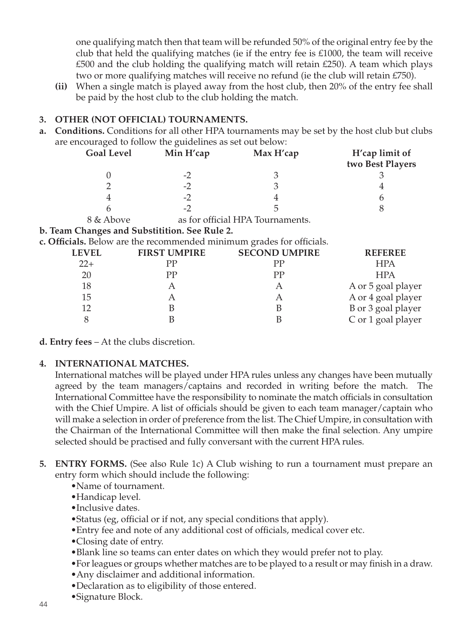one qualifying match then that team will be refunded 50% of the original entry fee by the club that held the qualifying matches (ie if the entry fee is £1000, the team will receive  $£500$  and the club holding the qualifying match will retain  $£250$ . A team which plays two or more qualifying matches will receive no refund (ie the club will retain £750).

**(ii)** When a single match is played away from the host club, then 20% of the entry fee shall be paid by the host club to the club holding the match.

#### **3. OTHER (NOT OFFICIAL) TOURNAMENTS.**

**a. Conditions.** Conditions for all other HPA tournaments may be set by the host club but clubs are encouraged to follow the guidelines as set out below:

| <b>Goal Level</b> | Min H'cap | Max H'cap                        | H'cap limit of<br>two Best Players |
|-------------------|-----------|----------------------------------|------------------------------------|
|                   | $-2$      |                                  |                                    |
|                   | $-2$      |                                  |                                    |
|                   | $-2$      |                                  |                                    |
|                   | $-2$      |                                  |                                    |
| 8 & Above         |           | as for official HPA Tournaments. |                                    |
| --                | _____     |                                  |                                    |

#### **b. Team Changes and Substitition. See Rule 2.**

**c. Officials.** Below are the recommended minimum grades for officials.

| <b>LEVEL</b> | <b>FIRST UMPIRE</b> | <b>SECOND UMPIRE</b> | <b>REFEREE</b>     |
|--------------|---------------------|----------------------|--------------------|
| $22+$        | РP                  | РP                   | <b>HPA</b>         |
| 20           | РP                  | <b>PP</b>            | <b>HPA</b>         |
| 18           |                     | А                    | A or 5 goal player |
| 15           |                     | А                    | A or 4 goal player |
| 12           |                     |                      | B or 3 goal player |
|              |                     |                      | C or 1 goal player |

**d. Entry fees** – At the clubs discretion.

#### **4. INTERNATIONAL MATCHES.**

International matches will be played under HPA rules unless any changes have been mutually agreed by the team managers/captains and recorded in writing before the match. The International Committee have the responsibility to nominate the match officials in consultation with the Chief Umpire. A list of officials should be given to each team manager/captain who will make a selection in order of preference from the list. The Chief Umpire, in consultation with the Chairman of the International Committee will then make the final selection. Any umpire selected should be practised and fully conversant with the current HPA rules.

- **5. ENTRY FORMS.** (See also Rule 1c) A Club wishing to run a tournament must prepare an entry form which should include the following:
	- •Name of tournament.
	- •Handicap level.
	- •Inclusive dates.
	- •Status (eg, official or if not, any special conditions that apply).
	- •Entry fee and note of any additional cost of officials, medical cover etc.
	- •Closing date of entry.
	- •Blank line so teams can enter dates on which they would prefer not to play.
	- •For leagues or groups whether matches are to be played to a result or may finish in a draw.
	- •Any disclaimer and additional information.
	- •Declaration as to eligibility of those entered.
	- •Signature Block.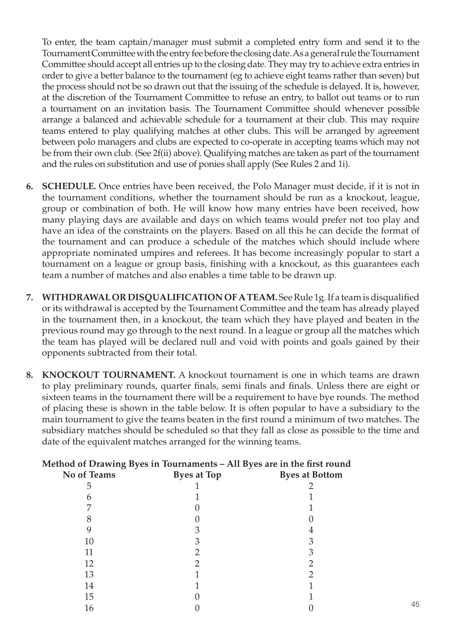To enter, the team captain/manager must submit a completed entry form and send it to the Tournament Committee with the entry fee before the closing date. As a general rule the Tournament Committee should accept all entries up to the closing date. They may try to achieve extra entries in order to give a better balance to the tournament (eg to achieve eight teams rather than seven) but the process should not be so drawn out that the issuing of the schedule is delayed. It is, however, at the discretion of the Tournament Committee to refuse an entry, to ballot out teams or to run a tournament on an invitation basis. The Tournament Committee should whenever possible arrange a balanced and achievable schedule for a tournament at their club. This may require teams entered to play qualifying matches at other clubs. This will be arranged by agreement between polo managers and clubs are expected to co-operate in accepting teams which may not be from their own club. (See 2f(ii) above). Qualifying matches are taken as part of the tournament and the rules on substitution and use of ponies shall apply (See Rules 2 and 1i).

- **6. SCHEDULE.** Once entries have been received, the Polo Manager must decide, if it is not in the tournament conditions, whether the tournament should be run as a knockout, league, group or combination of both. He will know how many entries have been received, how many playing days are available and days on which teams would prefer not too play and have an idea of the constraints on the players. Based on all this he can decide the format of the tournament and can produce a schedule of the matches which should include where appropriate nominated umpires and referees. It has become increasingly popular to start a tournament on a league or group basis, finishing with a knockout, as this guarantees each team a number of matches and also enables a time table to be drawn up.
- **7. WITHDRAWAL OR DISQUALIFICATION OF A TEAM.** See Rule 1g. If a team is disqualified or its withdrawal is accepted by the Tournament Committee and the team has already played in the tournament then, in a knockout, the team which they have played and beaten in the previous round may go through to the next round. In a league or group all the matches which the team has played will be declared null and void with points and goals gained by their opponents subtracted from their total.
- **8. KNOCKOUT TOURNAMENT.** A knockout tournament is one in which teams are drawn to play preliminary rounds, quarter finals, semi finals and finals. Unless there are eight or sixteen teams in the tournament there will be a requirement to have bye rounds. The method of placing these is shown in the table below. It is often popular to have a subsidiary to the main tournament to give the teams beaten in the first round a minimum of two matches. The subsidiary matches should be scheduled so that they fall as close as possible to the time and date of the equivalent matches arranged for the winning teams.

|             | Method of Drawing Byes in Tournaments – All Byes are in the first round |                       |
|-------------|-------------------------------------------------------------------------|-----------------------|
| No of Teams | <b>Byes at Top</b>                                                      | <b>Byes at Bottom</b> |
|             |                                                                         |                       |
|             |                                                                         |                       |
|             |                                                                         |                       |
|             |                                                                         |                       |
|             |                                                                         |                       |
| 10          |                                                                         |                       |
| 11          |                                                                         |                       |
| 12          |                                                                         |                       |
| 13          |                                                                         |                       |
| 14          |                                                                         |                       |
| 15          |                                                                         |                       |
| 16          |                                                                         |                       |

45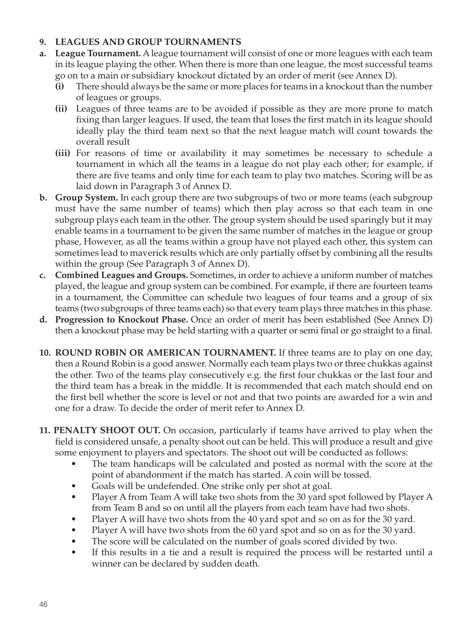#### **9. LEAGUES AND GROUP TOURNAMENTS**

- **a. League Tournament.** A league tournament will consist of one or more leagues with each team in its league playing the other. When there is more than one league, the most successful teams go on to a main or subsidiary knockout dictated by an order of merit (see Annex D).
	- **(i)** There should always be the same or more places for teams in a knockout than the number of leagues or groups.
	- **(ii)** Leagues of three teams are to be avoided if possible as they are more prone to match fixing than larger leagues. If used, the team that loses the first match in its league should ideally play the third team next so that the next league match will count towards the overall result
	- **(iii)** For reasons of time or availability it may sometimes be necessary to schedule a tournament in which all the teams in a league do not play each other; for example, if there are five teams and only time for each team to play two matches. Scoring will be as laid down in Paragraph 3 of Annex D.
- **b. Group System.** In each group there are two subgroups of two or more teams (each subgroup must have the same number of teams) which then play across so that each team in one subgroup plays each team in the other. The group system should be used sparingly but it may enable teams in a tournament to be given the same number of matches in the league or group phase, However, as all the teams within a group have not played each other, this system can sometimes lead to maverick results which are only partially offset by combining all the results within the group (See Paragraph 3 of Annex D).
- **c. Combined Leagues and Groups.** Sometimes, in order to achieve a uniform number of matches played, the league and group system can be combined. For example, if there are fourteen teams in a tournament, the Committee can schedule two leagues of four teams and a group of six teams (two subgroups of three teams each) so that every team plays three matches in this phase.
- **d. Progression to Knockout Phase.** Once an order of merit has been established (See Annex D) then a knockout phase may be held starting with a quarter or semi final or go straight to a final.
- **10. ROUND ROBIN OR AMERICAN TOURNAMENT.** If three teams are to play on one day, then a Round Robin is a good answer. Normally each team plays two or three chukkas against the other. Two of the teams play consecutively e.g. the first four chukkas or the last four and the third team has a break in the middle. It is recommended that each match should end on the first bell whether the score is level or not and that two points are awarded for a win and one for a draw. To decide the order of merit refer to Annex D.
- **11. PENALTY SHOOT OUT.** On occasion, particularly if teams have arrived to play when the field is considered unsafe, a penalty shoot out can be held. This will produce a result and give some enjoyment to players and spectators. The shoot out will be conducted as follows:
	- The team handicaps will be calculated and posted as normal with the score at the point of abandonment if the match has started. A coin will be tossed.
	- Goals will be undefended. One strike only per shot at goal.
	- Player A from Team A will take two shots from the 30 yard spot followed by Player A from Team B and so on until all the players from each team have had two shots.
	- Player A will have two shots from the 40 yard spot and so on as for the 30 yard.
	- Player A will have two shots from the 60 yard spot and so on as for the 30 yard.
	- The score will be calculated on the number of goals scored divided by two.
	- If this results in a tie and a result is required the process will be restarted until a winner can be declared by sudden death.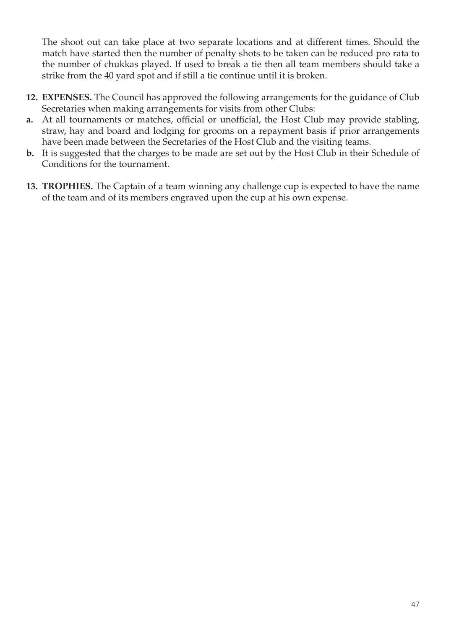The shoot out can take place at two separate locations and at different times. Should the match have started then the number of penalty shots to be taken can be reduced pro rata to the number of chukkas played. If used to break a tie then all team members should take a strike from the 40 yard spot and if still a tie continue until it is broken.

- **12. EXPENSES.** The Council has approved the following arrangements for the guidance of Club Secretaries when making arrangements for visits from other Clubs:
- **a.** At all tournaments or matches, official or unofficial, the Host Club may provide stabling, straw, hay and board and lodging for grooms on a repayment basis if prior arrangements have been made between the Secretaries of the Host Club and the visiting teams.
- **b.** It is suggested that the charges to be made are set out by the Host Club in their Schedule of Conditions for the tournament.
- **13. TROPHIES.** The Captain of a team winning any challenge cup is expected to have the name of the team and of its members engraved upon the cup at his own expense.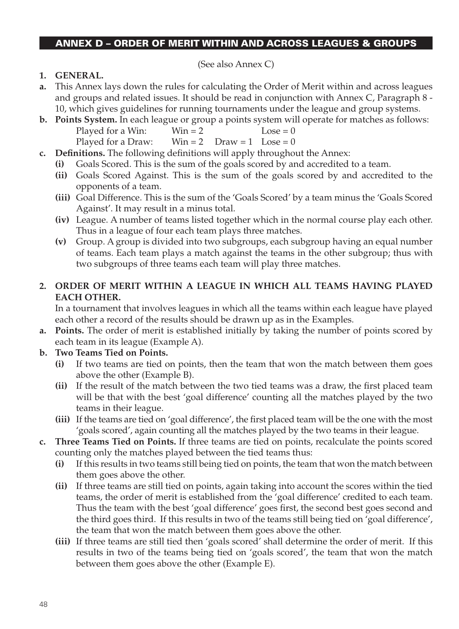#### ANNEX D – ORDER OF MERIT WITHIN AND ACROSS LEAGUES & GROUPS

(See also Annex C)

- **1. General.**
- **a.** This Annex lays down the rules for calculating the Order of Merit within and across leagues and groups and related issues. It should be read in conjunction with Annex C, Paragraph 8 - 10, which gives guidelines for running tournaments under the league and group systems.
- **b. Points System.** In each league or group a points system will operate for matches as follows: Played for a Win:  $Win = 2$   $Loss = 0$ Played for a Draw:  $Win = 2$  Draw = 1 Lose = 0
- **c. Definitions.** The following definitions will apply throughout the Annex:
	- **(i)** Goals Scored. This is the sum of the goals scored by and accredited to a team.
	- **(ii)** Goals Scored Against. This is the sum of the goals scored by and accredited to the opponents of a team.
	- **(iii)** Goal Difference. This is the sum of the 'Goals Scored' by a team minus the 'Goals Scored Against'. It may result in a minus total.
	- **(iv)** League. A number of teams listed together which in the normal course play each other. Thus in a league of four each team plays three matches.
	- **(v)** Group. A group is divided into two subgroups, each subgroup having an equal number of teams. Each team plays a match against the teams in the other subgroup; thus with two subgroups of three teams each team will play three matches.

#### **2. Order of Merit within a League IN WHICH ALL TEAMS HAVING PLAYED EACH OTHER.**

In a tournament that involves leagues in which all the teams within each league have played each other a record of the results should be drawn up as in the Examples.

- **a. Points.** The order of merit is established initially by taking the number of points scored by each team in its league (Example A).
- **b. Two Teams Tied on Points.** 
	- **(i)** If two teams are tied on points, then the team that won the match between them goes above the other (Example B).
	- **(ii)** If the result of the match between the two tied teams was a draw, the first placed team will be that with the best 'goal difference' counting all the matches played by the two teams in their league.
	- **(iii)** If the teams are tied on 'goal difference', the first placed team will be the one with the most 'goals scored', again counting all the matches played by the two teams in their league.
- **c. Three Teams Tied on Points.** If three teams are tied on points, recalculate the points scored counting only the matches played between the tied teams thus:
	- **(i)** If this results in two teams still being tied on points, the team that won the match between them goes above the other.
	- **(ii)** If three teams are still tied on points, again taking into account the scores within the tied teams, the order of merit is established from the 'goal difference' credited to each team. Thus the team with the best 'goal difference' goes first, the second best goes second and the third goes third. If this results in two of the teams still being tied on 'goal difference', the team that won the match between them goes above the other.
	- **(iii)** If three teams are still tied then 'goals scored' shall determine the order of merit. If this results in two of the teams being tied on 'goals scored', the team that won the match between them goes above the other (Example E).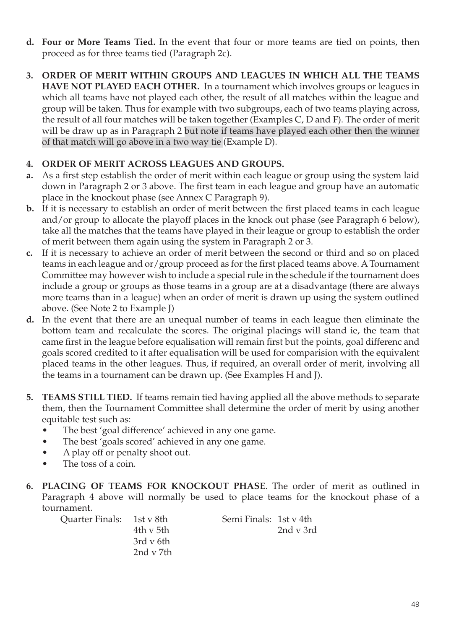- **d. Four or More Teams Tied.** In the event that four or more teams are tied on points, then proceed as for three teams tied (Paragraph 2c).
- **3. ORDER OF MERIT WITHIN GROUPS AND LEAGUES IN WHICH ALL THE TEAMS HAVE NOT PLAYED EACH OTHER.** In a tournament which involves groups or leagues in which all teams have not played each other, the result of all matches within the league and group will be taken. Thus for example with two subgroups, each of two teams playing across, the result of all four matches will be taken together (Examples C, D and F). The order of merit will be draw up as in Paragraph 2 but note if teams have played each other then the winner of that match will go above in a two way tie (Example D).

### **4. Order of Merit across Leagues and Groups.**

- **a.** As a first step establish the order of merit within each league or group using the system laid down in Paragraph 2 or 3 above. The first team in each league and group have an automatic place in the knockout phase (see Annex C Paragraph 9).
- **b.** If it is necessary to establish an order of merit between the first placed teams in each league and/or group to allocate the playoff places in the knock out phase (see Paragraph 6 below), take all the matches that the teams have played in their league or group to establish the order of merit between them again using the system in Paragraph 2 or 3.
- **c.** If it is necessary to achieve an order of merit between the second or third and so on placed teams in each league and or/group proceed as for the first placed teams above. A Tournament Committee may however wish to include a special rule in the schedule if the tournament does include a group or groups as those teams in a group are at a disadvantage (there are always more teams than in a league) when an order of merit is drawn up using the system outlined above. (See Note 2 to Example J)
- **d.** In the event that there are an unequal number of teams in each league then eliminate the bottom team and recalculate the scores. The original placings will stand ie, the team that came first in the league before equalisation will remain first but the points, goal differenc and goals scored credited to it after equalisation will be used for comparision with the equivalent placed teams in the other leagues. Thus, if required, an overall order of merit, involving all the teams in a tournament can be drawn up. (See Examples H and J).
- **5. TEAMS STILL TIED.** If teams remain tied having applied all the above methods to separate them, then the Tournament Committee shall determine the order of merit by using another equitable test such as:
	- The best 'goal difference' achieved in any one game.
	- The best 'goals scored' achieved in any one game.
	- A play off or penalty shoot out.
	- The toss of a coin.
- **6. Placing of Teams for Knockout Phase**. The order of merit as outlined in Paragraph 4 above will normally be used to place teams for the knockout phase of a tournament.

| Ouarter Finals: 1st y 8th |           | Semi Finals: 1st v 4th |           |
|---------------------------|-----------|------------------------|-----------|
|                           | 4th v 5th |                        | 2nd v 3rd |
|                           | 3rd v 6th |                        |           |
|                           | 2nd v 7th |                        |           |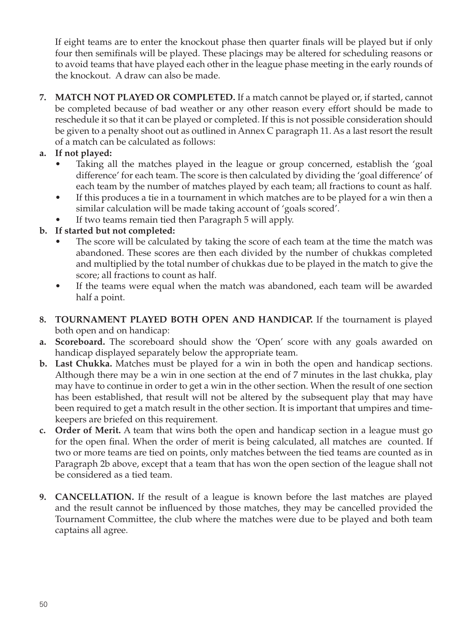If eight teams are to enter the knockout phase then quarter finals will be played but if only four then semifinals will be played. These placings may be altered for scheduling reasons or to avoid teams that have played each other in the league phase meeting in the early rounds of the knockout. A draw can also be made.

- **7. Match Not Played or Completed.** If a match cannot be played or, if started, cannot be completed because of bad weather or any other reason every effort should be made to reschedule it so that it can be played or completed. If this is not possible consideration should be given to a penalty shoot out as outlined in Annex C paragraph 11. As a last resort the result of a match can be calculated as follows:
- **a. If not played:** 
	- Taking all the matches played in the league or group concerned, establish the 'goal difference' for each team. The score is then calculated by dividing the 'goal difference' of each team by the number of matches played by each team; all fractions to count as half.
	- If this produces a tie in a tournament in which matches are to be played for a win then a similar calculation will be made taking account of 'goals scored'.
	- If two teams remain tied then Paragraph 5 will apply.

#### **b. If started but not completed:**

- The score will be calculated by taking the score of each team at the time the match was abandoned. These scores are then each divided by the number of chukkas completed and multiplied by the total number of chukkas due to be played in the match to give the score; all fractions to count as half.
- If the teams were equal when the match was abandoned, each team will be awarded half a point.
- **8. Tournament Played Both Open and Handicap.** If the tournament is played both open and on handicap:
- **a. Scoreboard.** The scoreboard should show the 'Open' score with any goals awarded on handicap displayed separately below the appropriate team.
- **b. Last Chukka.** Matches must be played for a win in both the open and handicap sections. Although there may be a win in one section at the end of 7 minutes in the last chukka, play may have to continue in order to get a win in the other section. When the result of one section has been established, that result will not be altered by the subsequent play that may have been required to get a match result in the other section. It is important that umpires and timekeepers are briefed on this requirement.
- **c. Order of Merit.** A team that wins both the open and handicap section in a league must go for the open final. When the order of merit is being calculated, all matches are counted. If two or more teams are tied on points, only matches between the tied teams are counted as in Paragraph 2b above, except that a team that has won the open section of the league shall not be considered as a tied team.
- **9. Cancellation.** If the result of a league is known before the last matches are played and the result cannot be influenced by those matches, they may be cancelled provided the Tournament Committee, the club where the matches were due to be played and both team captains all agree.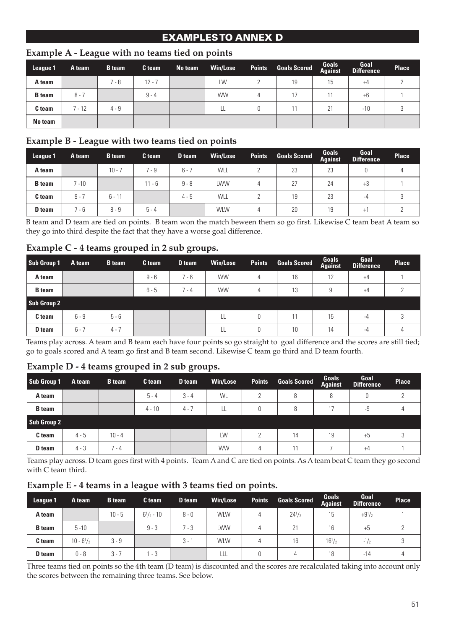## EXAMPLES TO ANNEX D

#### **League 1 A team B team C team No team Win/Lose Points Goals Scored Goals Against Goal Difference Place A team** | 7-8 | 12-7 | LW | 2 | 19 | 15 | +4 | 2 **B team** 8 - 7 9 - 4 WW 4 17 11 +6 1 **C team** 7 - 12 4 - 9 LL 0 11 21 -10 3 **No team**

#### **Example A - League with no teams tied on points**

#### **Example B - League with two teams tied on points**

| League 1      | A team   | <b>B</b> team | C team   | D team  | <b>Win/Lose</b> | <b>Points</b> | <b>Goals Scored</b> | Goals<br>Against | Goal<br><b>Difference</b> | Place |
|---------------|----------|---------------|----------|---------|-----------------|---------------|---------------------|------------------|---------------------------|-------|
| A team        |          | $10 - 7$      | $7 - 9$  | $6 - 7$ | WLL             |               | 23                  | 23               |                           |       |
| <b>B</b> team | $7 - 10$ |               | $11 - 6$ | $9 - 8$ | LWW             | 4             | 27                  | 24               | $+3$                      |       |
| C team        | $9 - 7$  | $6 - 11$      |          | $4 - 5$ | WLL             |               | 19                  | 23               | -4                        |       |
| D team        | $7 - 6$  | $8 - 9$       | $5 - 4$  |         | <b>WLW</b>      | 4             | 20                  | 19               | $^+$                      |       |

B team and D team are tied on points. B team won the match beween them so go first. Likewise C team beat A team so they go into third despite the fact that they have a worse goal difference.

#### **Example C - 4 teams grouped in 2 sub groups.**

| Sub Group 1   | A team  | <b>B</b> team | C team  | D team | <b>Win/Lose</b> | <b>Points</b> | <b>Goals Scored</b> | <b>Goals</b><br><b>Against</b> | Goal<br><b>Difference</b> | Place |
|---------------|---------|---------------|---------|--------|-----------------|---------------|---------------------|--------------------------------|---------------------------|-------|
| A team        |         |               | $9 - 6$ | 7 - 6  | <b>WW</b>       | 4             | 16                  | 12                             | $+4$                      |       |
| <b>B</b> team |         |               | $6 - 5$ | 7 - 4  | <b>WW</b>       | 4             | 13                  | 9                              | $+4$                      |       |
| Sub Group 2   |         |               |         |        |                 |               |                     |                                |                           |       |
| C team        | $6 - 9$ | $5 - 6$       |         |        | LL              | 0             | 11                  | 15                             | -4                        | 3     |
| <b>D</b> team | $6 - 7$ | $4 - 7$       |         |        | LL              | 0             | 10                  | 14                             | -4                        | 4     |

Teams play across. A team and B team each have four points so go straight to goal difference and the scores are still tied; go to goals scored and A team go first and B team second. Likewise C team go third and D team fourth.

#### **Example D - 4 teams grouped in 2 sub groups.**

| Sub Group 1   | A team  | <b>B</b> team | C team   | D team  | <b>Win/Lose</b> | <b>Points</b> | <b>Goals Scored</b> | Goals<br>Against | Goal<br><b>Difference</b> | Place |
|---------------|---------|---------------|----------|---------|-----------------|---------------|---------------------|------------------|---------------------------|-------|
| A team        |         |               | $5 - 4$  | $3 - 4$ | WL              | 2             | 8                   | 8                |                           |       |
| <b>B</b> team |         |               | $4 - 10$ | $4 - 7$ | LL              | 0             | 8                   | 17               | $-9$                      |       |
| Sub Group 2   |         |               |          |         |                 |               |                     |                  |                           |       |
| C team        | $4 - 5$ | $10 - 4$      |          |         | LW              | 2             | 14                  | 19               | $+5$                      |       |
| <b>D</b> team | $4 - 3$ | $7 - 4$       |          |         | <b>WW</b>       | 4             | 11                  |                  | $+4$                      |       |

Teams play across. D team goes first with 4 points. Team A and C are tied on points. As A team beat C team they go second with C team third.

#### **Example E - 4 teams in a league with 3 teams tied on points.**

| League 1      | A team         | <b>B</b> team | C team            | D team  | <b>Win/Lose</b> | <b>Points</b> | <b>Goals Scored</b> | Goals<br>Against | Goal<br><b>Difference</b> | Place |
|---------------|----------------|---------------|-------------------|---------|-----------------|---------------|---------------------|------------------|---------------------------|-------|
| A team        |                | $10 - 5$      | $6^{1}/_{2} - 10$ | $8 - 0$ | <b>WLW</b>      | 4             | $24^{1}/2$          | 15               | $+9^{1}/2$                |       |
| <b>B</b> team | $5 - 10$       |               | $9 - 3$           | $7 - 3$ | LWW             | 4             | 21                  | 16               | +5                        |       |
| C team        | $10 - 6^{1}/2$ | $3 - 9$       |                   | $3 - 7$ | <b>WLW</b>      | 4             | 16                  | $16^{1/2}$       | $-1/2$                    |       |
| D team        | $0 - 8$        | $3 - 7$       | -3                |         | LLL             | 0             |                     | 18               | $-14$                     |       |

Three teams tied on points so the 4th team (D team) is discounted and the scores are recalculated taking into account only the scores between the remaining three teams. See below.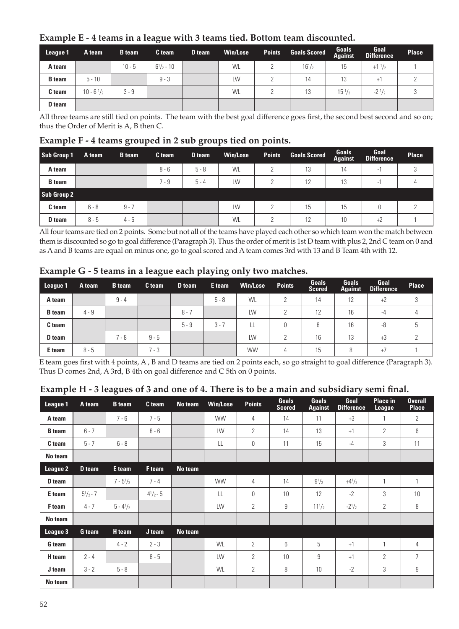#### **Example E - 4 teams in a league with 3 teams tied. Bottom team discounted.**

| League 1      | A team              | <b>B</b> team | C team            | D team | <b>Win/Lose</b> | <b>Points</b> | <b>Goals Scored</b> | Goals<br>Against | Goal<br><b>Difference</b> | <b>Place</b> |
|---------------|---------------------|---------------|-------------------|--------|-----------------|---------------|---------------------|------------------|---------------------------|--------------|
| A team        |                     | $10 - 5$      | $6^{1}/_{2} - 10$ |        | WL              |               | $16^{1/2}$          | 15               | $+1\frac{1}{2}$           |              |
| <b>B</b> team | $5 - 10$            |               | $9 - 3$           |        | <b>IW</b>       |               | 14                  | 13               | $+$                       |              |
| C team        | $10 - 6\frac{1}{2}$ | $3 - 9$       |                   |        | WL              |               | 13                  | $15\frac{1}{2}$  | $-2^{1/2}$                |              |
| <b>D</b> team |                     |               |                   |        |                 |               |                     |                  |                           |              |

All three teams are still tied on points. The team with the best goal difference goes first, the second best second and so on; thus the Order of Merit is A, B then C.

#### **Example F - 4 teams grouped in 2 sub groups tied on points.**

| Sub Group 1   | A team  | <b>B</b> team | C team  | D team  | <b>Win/Lose</b> | <b>Points</b> | <b>Goals Scored</b> | Goals<br><b>Against</b> | Goal<br><b>Difference</b> | Place |
|---------------|---------|---------------|---------|---------|-----------------|---------------|---------------------|-------------------------|---------------------------|-------|
| A team        |         |               | $8 - 6$ | $5 - 8$ | WL              | $\mathcal{D}$ | 13                  | 14                      |                           |       |
| <b>B</b> team |         |               | 7 - 9   | $5 - 4$ | <b>IW</b>       | っ             | 12                  | 13                      | ۰                         |       |
| Sub Group 2   |         |               |         |         |                 |               |                     |                         |                           |       |
| C team        | $6 - 8$ | $9 - 7$       |         |         | <b>IW</b>       | 2             | 15                  | 15                      | Ω                         |       |
| <b>D</b> team | $8 - 5$ | $4 - 5$       |         |         | WL              |               | 12                  | 10                      | $+2$                      |       |

All four teams are tied on 2 points. Some but not all of the teams have played each other so which team won the match between them is discounted so go to goal difference (Paragraph 3). Thus the order of merit is 1st D team with plus 2, 2nd C team on 0 and as A and B teams are equal on minus one, go to goal scored and A team comes 3rd with 13 and B Team 4th with 12.

|  |  |  |  | Example G - 5 teams in a league each playing only two matches. |
|--|--|--|--|----------------------------------------------------------------|
|  |  |  |  |                                                                |

| League 1      | A team  | <b>B</b> team | C team  | D team  | E team  | Win/Lose  | <b>Points</b> | Goals<br><b>Scored</b> | Goals<br><b>Against</b> | Goal<br><b>Difference</b> | Place  |
|---------------|---------|---------------|---------|---------|---------|-----------|---------------|------------------------|-------------------------|---------------------------|--------|
| A team        |         | $9 - 4$       |         |         | $5 - 8$ | WL        | c             | 14                     | 12                      | $+2$                      | 3      |
| <b>B</b> team | $4 - 9$ |               |         | $8 - 7$ |         | LW        | C             | 12                     | 16                      | $-4$                      | 4      |
| C team        |         |               |         | $5 - 9$ | $3 - 7$ | Щ         | $\Omega$      | 8                      | 16                      | -8                        | ხ      |
| D team        |         | 7 - 8         | $9 - 5$ |         |         | LW        | C             | 16                     | 13                      | $+3$                      | $\sim$ |
| E team        | $8 - 5$ |               | $7 - 3$ |         |         | <b>WW</b> | 4             | 15                     |                         | $+7$                      |        |

E team goes first with 4 points, A , B and D teams are tied on 2 points each, so go straight to goal difference (Paragraph 3). Thus D comes 2nd, A 3rd, B 4th on goal difference and C 5th on 0 points.

| League 1      | A team        | <b>B</b> team | C team           | No team | Win/Lose  | <b>Points</b>  | <b>Goals</b><br><b>Scored</b> | <b>Goals</b><br><b>Against</b> | Goal<br><b>Difference</b> | Place in<br>League | <b>Overall</b><br><b>Place</b> |
|---------------|---------------|---------------|------------------|---------|-----------|----------------|-------------------------------|--------------------------------|---------------------------|--------------------|--------------------------------|
| A team        |               | $7 - 6$       | $7 - 5$          |         | <b>WW</b> | 4              | 14                            | 11                             | $+3$                      | 1                  | $\overline{2}$                 |
| <b>B</b> team | $6 - 7$       |               | $8 - 6$          |         | LW        | $\overline{2}$ | 14                            | 13                             | $+1$                      | $\overline{2}$     | 6                              |
| C team        | $5 - 7$       | $6 - 8$       |                  |         | LL        | $\Omega$       | 11                            | 15                             | $-4$                      | 3                  | 11                             |
| No team       |               |               |                  |         |           |                |                               |                                |                           |                    |                                |
| League 2      | D team        | E team        | F team           | No team |           |                |                               |                                |                           |                    |                                |
| D team        |               | $7 - 5^{1}/2$ | $7 - 4$          |         | <b>WW</b> | 4              | 14                            | $9^{1}/2$                      | $+4^{1}/2$                | 1                  | 1                              |
| E team        | $5^{1}/2 - 7$ |               | $4^{1}/_{2}$ - 5 |         | LL        | 0              | 10                            | 12                             | $-2$                      | 3                  | 10                             |
| F team        | $4 - 7$       | $5 - 4^{1}/2$ |                  |         | LW        | $\mathcal{P}$  | 9                             | $11^{1}/_{2}$                  | $-2^{1}/2$                | $\mathcal{P}$      | 8                              |
| No team       |               |               |                  |         |           |                |                               |                                |                           |                    |                                |
| League 3      | G team        | <b>H</b> team | J team           | No team |           |                |                               |                                |                           |                    |                                |
| G team        |               | $4 - 2$       | $2 - 3$          |         | WL        | $\overline{2}$ | 6                             | 5                              | $+1$                      | 1                  | $\overline{4}$                 |
| H team        | $2 - 4$       |               | $8 - 5$          |         | LW        | $\mathcal{P}$  | 10                            | 9                              | $+1$                      | $\mathcal{P}$      | $\overline{7}$                 |
| J team        | $3 - 2$       | $5 - 8$       |                  |         | WL        | $\overline{2}$ | 8                             | 10                             | $-2$                      | 3                  | 9                              |
| No team       |               |               |                  |         |           |                |                               |                                |                           |                    |                                |

#### **Example H - 3 leagues of 3 and one of 4. There is to be a main and subsidiary semi final.**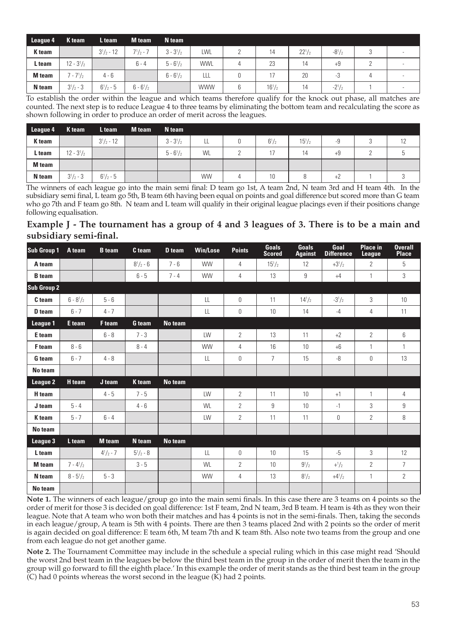| League 4 | K team           | L team            | <b>M</b> team      | N team             |            |            |            |            |   |  |
|----------|------------------|-------------------|--------------------|--------------------|------------|------------|------------|------------|---|--|
| K team   |                  | $3^{1}/_{2}$ - 12 | $7^{1}/2 - 7$      | $3 - 3^{1}/2$      | LWL        | 14         | $22^{1/2}$ | $-8^{1}/2$ | J |  |
| L team   | $12 - 3^{1}/2$   |                   | $6 - 4$            | $5 - 6\frac{1}{2}$ | <b>WWL</b> | 23         | 14         | $+9$       |   |  |
| M team   | $7 - 7^{1}/2$    | $4 - 6$           |                    | $6 - 6\frac{1}{2}$ | LLL        |            | 20         | -3         | д |  |
| N team   | $3^{1}/_{2} - 3$ | $6^{1}/_{2} - 5$  | $6 - 6\frac{1}{2}$ |                    | <b>WWW</b> | $16^{1/2}$ | 14         | $-2^{1}/2$ |   |  |

To establish the order within the league and which teams therefore qualify for the knock out phase, all matches are counted. The next step is to reduce League 4 to three teams by eliminating the bottom team and recalculating the score as shown following in order to produce an order of merit across the leagues.

| League 4      | K team           | L team            | <b>M</b> team | N team        |           |              |               |      |     |  |
|---------------|------------------|-------------------|---------------|---------------|-----------|--------------|---------------|------|-----|--|
| K team        |                  | $3^{1}/_{2}$ - 12 |               | $3 - 3^{1}/2$ | LL        | $6^{1}/_{2}$ | $15^{1}/_{2}$ | -9   | . . |  |
| L team        | $12 - 3^{1}/2$   |                   |               | $5 - 6^{1}/2$ | WL        |              | 14            | $+9$ |     |  |
| <b>M</b> team |                  |                   |               |               |           |              |               |      |     |  |
| N team        | $3^{1}/_{2} - 3$ | $6^{1}/_{2} - 5$  |               |               | <b>WW</b> |              |               | $+2$ |     |  |

The winners of each league go into the main semi final: D team go 1st, A team 2nd, N team 3rd and H team 4th. In the subsidiary semi final, L team go 5th, B team 6th having been equal on points and goal difference but scored more than G team who go 7th and F team go 8th. N team and L team will qualify in their original league placings even if their positions change following equalisation.

**Example J - The tournament has a group of 4 and 3 leagues of 3. There is to be a main and subsidiary semi-final.**

| Sub Group 1       | A team        | <b>B</b> team    | C team           | D team         | <b>Win/Lose</b> | <b>Points</b>  | <b>Goals</b><br><b>Scored</b> | <b>Goals</b><br><b>Against</b> | Goal<br><b>Difference</b> | <b>Place in</b><br><b>League</b> | <b>Overall</b><br><b>Place</b> |
|-------------------|---------------|------------------|------------------|----------------|-----------------|----------------|-------------------------------|--------------------------------|---------------------------|----------------------------------|--------------------------------|
| A team            |               |                  | $8^{1}/2 - 6$    | $7 - 6$        | <b>WW</b>       | 4              | $15^{1}/2$                    | 12                             | $+3^{1}/2$                | $\overline{2}$                   | 5                              |
| <b>B</b> team     |               |                  | $6 - 5$          | $7 - 4$        | <b>WW</b>       | 4              | 13                            | 9                              | $+4$                      | $\mathbf{1}$                     | 3                              |
| Sub Group 2       |               |                  |                  |                |                 |                |                               |                                |                           |                                  |                                |
| C <sub>team</sub> | $6 - 8^{1}/2$ | $5 - 6$          |                  |                | $\mathbf{H}$    | $\Omega$       | 11                            | $14^{1}/2$                     | $-3^{1}/2$                | 3                                | 10                             |
| D team            | $6 - 7$       | $4 - 7$          |                  |                | LL              | 0              | 10                            | 14                             | $-4$                      | 4                                | 11                             |
| League 1          | E team        | F team           | <b>G</b> team    | No team        |                 |                |                               |                                |                           |                                  |                                |
| E team            |               | $6 - 8$          | $7 - 3$          |                | LW              | $\mathcal{P}$  | 13                            | 11                             | $+2$                      | $\overline{2}$                   | 6                              |
| F <sub>team</sub> | $8 - 6$       |                  | $8 - 4$          |                | <b>WW</b>       | 4              | 16                            | 10                             | $+6$                      | 1                                | 1                              |
| G team            | $6 - 7$       | $4 - 8$          |                  |                | LL              | $\mathbf{0}$   | $\overline{7}$                | 15                             | -8                        | 0                                | 13                             |
| No team           |               |                  |                  |                |                 |                |                               |                                |                           |                                  |                                |
| League 2          | <b>H</b> team | J team           | K team           | <b>No team</b> |                 |                |                               |                                |                           |                                  |                                |
| H team            |               | $4 - 5$          | $7 - 5$          |                | LW              | $\overline{2}$ | 11                            | 10                             | $+1$                      | 1                                | 4                              |
| J team            | $5 - 4$       |                  | $4 - 6$          |                | WI              | $\mathcal{P}$  | 9                             | 10                             | $-1$                      | 3                                | 9                              |
| K team            | $5 - 7$       | $6 - 4$          |                  |                | LW              | $\overline{2}$ | 11                            | 11                             | 0                         | $\overline{2}$                   | 8                              |
| No team           |               |                  |                  |                |                 |                |                               |                                |                           |                                  |                                |
| League 3          | L team        | <b>M</b> team    | N team           | <b>No team</b> |                 |                |                               |                                |                           |                                  |                                |
| L team            |               | $4^{1}/_{2}$ - 7 | $5^{1}/_{2} - 8$ |                | LL              | $\Omega$       | 10                            | 15                             | $-5$                      | 3                                | 12                             |
| <b>M</b> team     | $7 - 4^{1/2}$ |                  | $3 - 5$          |                | WI              | $\overline{2}$ | 10                            | $9^{1}/_{2}$                   | $+1/2$                    | $\overline{c}$                   | $\overline{7}$                 |
| N team            | $8 - 5^{1}/2$ | $5 - 3$          |                  |                | <b>WW</b>       | 4              | 13                            | $8^{1}/_{2}$                   | $+4^{1}/2$                | $\mathbf{1}$                     | $\mathbf{2}^{\prime}$          |
| No team           |               |                  |                  |                |                 |                |                               |                                |                           |                                  |                                |

**Note 1.** The winners of each league/group go into the main semi finals. In this case there are 3 teams on 4 points so the order of merit for those 3 is decided on goal difference: 1st F team, 2nd N team, 3rd B team. H team is 4th as they won their league. Note that A team who won both their matches and has 4 points is not in the semi-finals. Then, taking the seconds in each league/group, A team is 5th with 4 points. There are then 3 teams placed 2nd with 2 points so the order of merit is again decided on goal difference: E team 6th, M team 7th and K team 8th. Also note two teams from the group and one from each league do not get another game.

**Note 2.** The Tournament Committee may include in the schedule a special ruling which in this case might read 'Should the worst 2nd best team in the leagues be below the third best team in the group in the order of merit then the team in the group will go forward to fill the eighth place.' In this example the order of merit stands as the third best team in the group  $(C)$  had 0 points whereas the worst second in the league  $(K)$  had 2 points.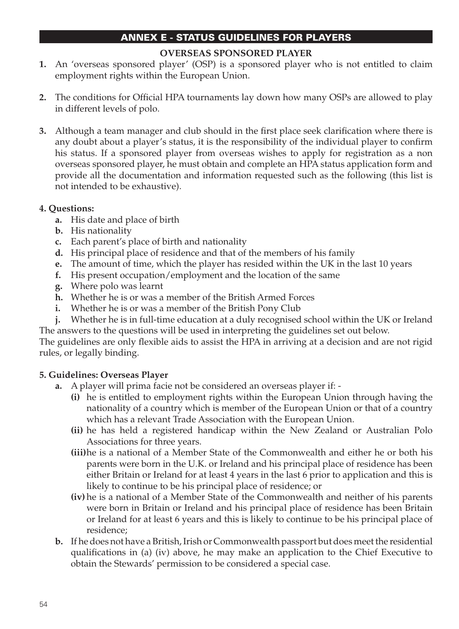## ANNEX E - Status Guidelines for Players

#### **Overseas Sponsored Player**

- **1.** An 'overseas sponsored player' (OSP) is a sponsored player who is not entitled to claim employment rights within the European Union.
- **2.** The conditions for Official HPA tournaments lay down how many OSPs are allowed to play in different levels of polo.
- **3.** Although a team manager and club should in the first place seek clarification where there is any doubt about a player's status, it is the responsibility of the individual player to confirm his status. If a sponsored player from overseas wishes to apply for registration as a non overseas sponsored player, he must obtain and complete an HPA status application form and provide all the documentation and information requested such as the following (this list is not intended to be exhaustive).

#### **4. Questions:**

- **a.** His date and place of birth
- **b.** His nationality
- **c.** Each parent's place of birth and nationality
- **d.** His principal place of residence and that of the members of his family
- **e.** The amount of time, which the player has resided within the UK in the last 10 years
- **f.** His present occupation/employment and the location of the same
- **g.** Where polo was learnt
- **h.** Whether he is or was a member of the British Armed Forces
- **i.** Whether he is or was a member of the British Pony Club
- **j.** Whether he is in full-time education at a duly recognised school within the UK or Ireland The answers to the questions will be used in interpreting the guidelines set out below.

The guidelines are only flexible aids to assist the HPA in arriving at a decision and are not rigid rules, or legally binding.

#### **5. Guidelines: Overseas Player**

- **a.** A player will prima facie not be considered an overseas player if:
	- **(i)** he is entitled to employment rights within the European Union through having the nationality of a country which is member of the European Union or that of a country which has a relevant Trade Association with the European Union.
	- **(ii)** he has held a registered handicap within the New Zealand or Australian Polo Associations for three years.
	- **(iii)**he is a national of a Member State of the Commonwealth and either he or both his parents were born in the U.K. or Ireland and his principal place of residence has been either Britain or Ireland for at least 4 years in the last 6 prior to application and this is likely to continue to be his principal place of residence; or
	- **(iv)** he is a national of a Member State of the Commonwealth and neither of his parents were born in Britain or Ireland and his principal place of residence has been Britain or Ireland for at least 6 years and this is likely to continue to be his principal place of residence;
- **b.** If he does not have a British, Irish or Commonwealth passport but does meet the residential qualifications in (a) (iv) above, he may make an application to the Chief Executive to obtain the Stewards' permission to be considered a special case.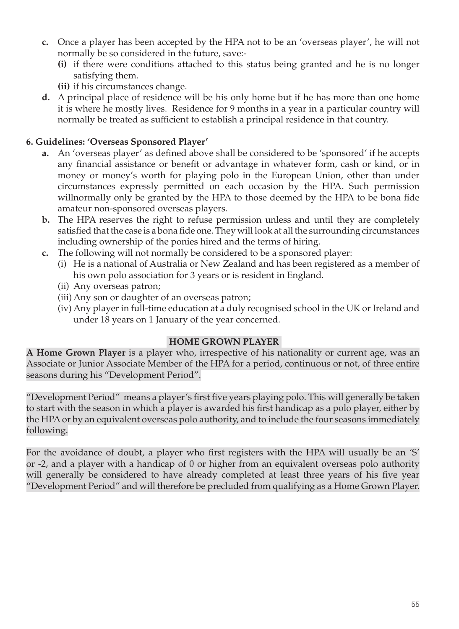- **c.** Once a player has been accepted by the HPA not to be an 'overseas player', he will not normally be so considered in the future, save:-
	- **(i)** if there were conditions attached to this status being granted and he is no longer satisfying them.
	- **(ii)** if his circumstances change.
- **d.** A principal place of residence will be his only home but if he has more than one home it is where he mostly lives. Residence for 9 months in a year in a particular country will normally be treated as sufficient to establish a principal residence in that country.

## **6. Guidelines: 'Overseas Sponsored Player'**

- **a.** An 'overseas player' as defined above shall be considered to be 'sponsored' if he accepts any financial assistance or benefit or advantage in whatever form, cash or kind, or in money or money's worth for playing polo in the European Union, other than under circumstances expressly permitted on each occasion by the HPA. Such permission willnormally only be granted by the HPA to those deemed by the HPA to be bona fide amateur non-sponsored overseas players.
- **b.** The HPA reserves the right to refuse permission unless and until they are completely satisfied that the case is a bona fide one. They will look at all the surrounding circumstances including ownership of the ponies hired and the terms of hiring.
- **c.** The following will not normally be considered to be a sponsored player:
	- (i) He is a national of Australia or New Zealand and has been registered as a member of his own polo association for 3 years or is resident in England.
	- (ii) Any overseas patron;
	- (iii) Any son or daughter of an overseas patron;
	- (iv) Any player in full-time education at a duly recognised school in the UK or Ireland and under 18 years on 1 January of the year concerned.

#### **Home Grown Player**

**A Home Grown Player** is a player who, irrespective of his nationality or current age, was an Associate or Junior Associate Member of the HPA for a period, continuous or not, of three entire seasons during his "Development Period".

"Development Period" means a player's first five years playing polo. This will generally be taken to start with the season in which a player is awarded his first handicap as a polo player, either by the HPA or by an equivalent overseas polo authority, and to include the four seasons immediately following.

For the avoidance of doubt, a player who first registers with the HPA will usually be an 'S' or -2, and a player with a handicap of 0 or higher from an equivalent overseas polo authority will generally be considered to have already completed at least three years of his five year "Development Period" and will therefore be precluded from qualifying as a Home Grown Player.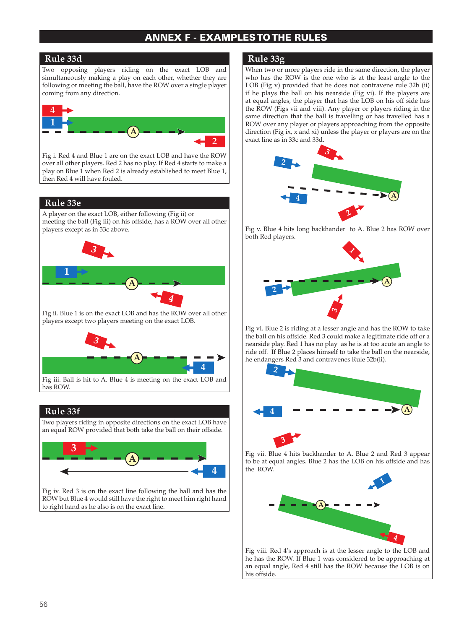#### ANNEX F - EXAMPLES tothe rules

#### **Rule 33d**

Two opposing players riding on the exact LOB and simultaneously making a play on each other, whether they are following or meeting the ball, have the ROW over a single player coming from any direction.



Fig i. Red 4 and Blue 1 are on the exact LOB and have the ROW over all other players. Red 2 has no play. If Red 4 starts to make a play on Blue 1 when Red 2 is already established to meet Blue 1, then Red 4 will have fouled.

#### **Rule 33e**

A player on the exact LOB, either following (Fig ii) or meeting the ball (Fig iii) on his offside, has a ROW over all other players except as in 33c above.



Fig ii. Blue 1 is on the exact LOB and has the ROW over all other players except two players meeting on the exact LOB.



#### **Rule 33f**

Two players riding in opposite directions on the exact LOB have an equal ROW provided that both take the ball on their offside.



Fig iv. Red 3 is on the exact line following the ball and has the ROW but Blue 4 would still have the right to meet him right hand to right hand as he also is on the exact line.

#### **Rule 33g**

When two or more players ride in the same direction, the player who has the ROW is the one who is at the least angle to the LOB (Fig v) provided that he does not contravene rule 32b (ii) if he plays the ball on his nearside (Fig vi). If the players are at equal angles, the player that has the LOB on his off side has the ROW (Figs vii and viii). Any player or players riding in the same direction that the ball is travelling or has travelled has a ROW over any player or players approaching from the opposite direction (Fig ix, x and xi) unless the player or players are on the exact line as in 33c and 33d.



Fig v. Blue 4 hits long backhander to A. Blue 2 has ROW over both Red players.



 Fig vi. Blue 2 is riding at a lesser angle and has the ROW to take the ball on his offside. Red 3 could make a legitimate ride off or a nearside play. Red 1 has no play as he is at too acute an angle to ride off. If Blue 2 places himself to take the ball on the nearside, he endangers Red 3 and contravenes Rule 32b(ii).



Fig vii. Blue 4 hits backhander to A. Blue 2 and Red 3 appear to be at equal angles. Blue 2 has the LOB on his offside and has the ROW.



Fig viii. Red 4's approach is at the lesser angle to the LOB and he has the ROW. If Blue 1 was considered to be approaching at an equal angle, Red 4 still has the ROW because the LOB is on his offside.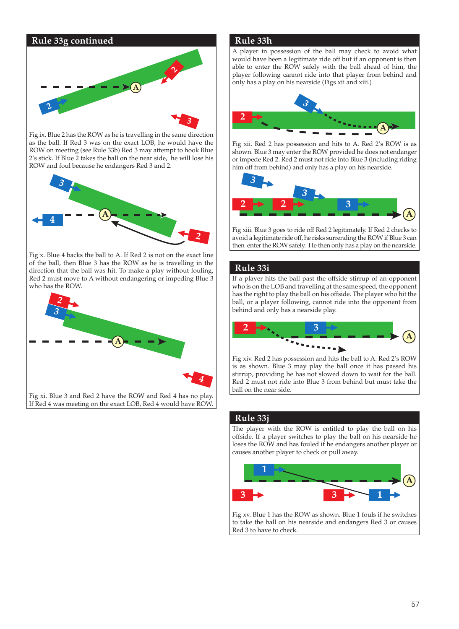

Fig ix. Blue 2 has the ROW as he is travelling in the same direction as the ball. If Red 3 was on the exact LOB, he would have the ROW on meeting (see Rule 33b) Red 3 may attempt to hook Blue 2's stick. If Blue 2 takes the ball on the near side, he will lose his ROW and foul because he endangers Red 3 and 2.



Fig x. Blue 4 backs the ball to A. If Red 2 is not on the exact line of the ball, then Blue 3 has the ROW as he is travelling in the direction that the ball was hit. To make a play without fouling, Red 2 must move to A without endangering or impeding Blue 3 who has the ROW.



#### **Rule 33h**

A player in possession of the ball may check to avoid what would have been a legitimate ride off but if an opponent is then able to enter the ROW safely with the ball ahead of him, the player following cannot ride into that player from behind and only has a play on his nearside (Figs xii and xiii.)



Fig xii. Red 2 has possession and hits to A. Red 2's ROW is as shown. Blue 3 may enter the ROW provided he does not endanger or impede Red 2. Red 2 must not ride into Blue 3 (including riding him off from behind) and only has a play on his nearside.



Fig xiii. Blue 3 goes to ride off Red 2 legitimately. If Red 2 checks to avoid a legitimate ride off, he risks surrending the ROW if Blue 3 can then enter the ROW safely. He then only has a play on the nearside.

#### **Rule 33i**

If a player hits the ball past the offside stirrup of an opponent who is on the LOB and travelling at the same speed, the opponent has the right to play the ball on his offside. The player who hit the ball, or a player following, cannot ride into the opponent from behind and only has a nearside play.



Fig xiv. Red 2 has possession and hits the ball to A. Red 2's ROW is as shown. Blue 3 may play the ball once it has passed his stirrup, providing he has not slowed down to wait for the ball. Red 2 must not ride into Blue 3 from behind but must take the ball on the near side.

#### **Rule 33j**

The player with the ROW is entitled to play the ball on his offside. If a player switches to play the ball on his nearside he loses the ROW and has fouled if he endangers another player or causes another player to check or pull away.



Fig xv. Blue 1 has the ROW as shown. Blue 1 fouls if he switches to take the ball on his nearside and endangers Red 3 or causes Red 3 to have to check.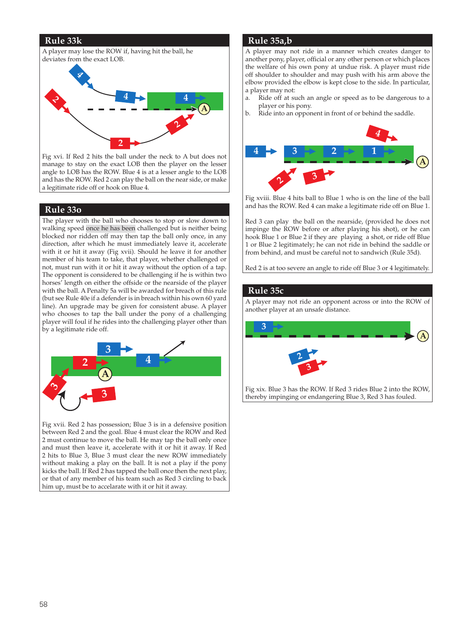#### **Rule 33k**



Fig xvi. If Red 2 hits the ball under the neck to A but does not manage to stay on the exact LOB then the player on the lesser angle to LOB has the ROW. Blue 4 is at a lesser angle to the LOB and has the ROW. Red 2 can play the ball on the near side, or make a legitimate ride off or hook on Blue 4.

#### **Rule 33o**

The player with the ball who chooses to stop or slow down to walking speed once he has been challenged but is neither being blocked nor ridden off may then tap the ball only once, in any direction, after which he must immediately leave it, accelerate with it or hit it away (Fig xvii). Should he leave it for another member of his team to take, that player, whether challenged or not, must run with it or hit it away without the option of a tap. The opponent is considered to be challenging if he is within two horses' length on either the offside or the nearside of the player with the ball. A Penalty 5a will be awarded for breach of this rule (but see Rule 40e if a defender is in breach within his own 60 yard line). An upgrade may be given for consistent abuse. A player who chooses to tap the ball under the pony of a challenging player will foul if he rides into the challenging player other than by a legitimate ride off.



Fig xvii. Red 2 has possession; Blue 3 is in a defensive position between Red 2 and the goal. Blue 4 must clear the ROW and Red 2 must continue to move the ball. He may tap the ball only once and must then leave it, accelerate with it or hit it away. If Red 2 hits to Blue 3, Blue 3 must clear the new ROW immediately without making a play on the ball. It is not a play if the pony kicks the ball. If Red 2 has tapped the ball once then the next play, or that of any member of his team such as Red 3 circling to back him up, must be to accelarate with it or hit it away.

#### **Rule 35a,b**

A player may not ride in a manner which creates danger to another pony, player, official or any other person or which places the welfare of his own pony at undue risk. A player must ride off shoulder to shoulder and may push with his arm above the elbow provided the elbow is kept close to the side. In particular, a player may not:

- a. Ride off at such an angle or speed as to be dangerous to a player or his pony.
- b. Ride into an opponent in front of or behind the saddle.



Fig xviii. Blue 4 hits ball to Blue 1 who is on the line of the ball and has the ROW. Red 4 can make a legitimate ride off on Blue 1.

Red 3 can play the ball on the nearside, (provided he does not impinge the ROW before or after playing his shot), or he can hook Blue 1 or Blue 2 if they are playing a shot, or ride off Blue 1 or Blue 2 legitimately; he can not ride in behind the saddle or from behind, and must be careful not to sandwich (Rule 35d).

Red 2 is at too severe an angle to ride off Blue 3 or 4 legitimately.

#### **Rule 35c**

A player may not ride an opponent across or into the ROW of another player at an unsafe distance.



58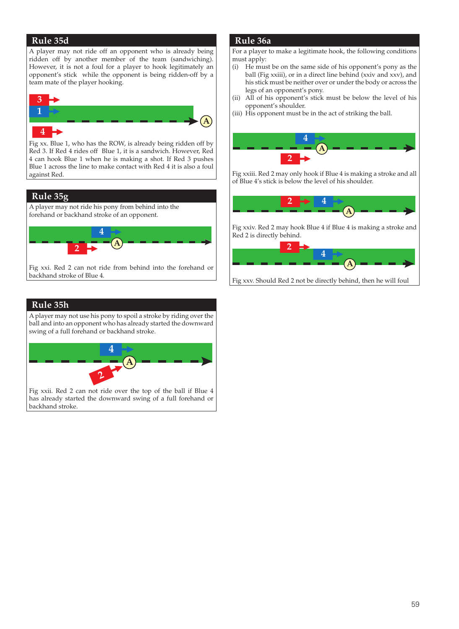#### **Rule 35d**

A player may not ride off an opponent who is already being ridden off by another member of the team (sandwiching). However, it is not a foul for a player to hook legitimately an opponent's stick while the opponent is being ridden-off by a team mate of the player hooking.



Fig xx. Blue 1, who has the ROW, is already being ridden off by Red 3. If Red 4 rides off Blue 1, it is a sandwich. However, Red 4 can hook Blue 1 when he is making a shot. If Red 3 pushes Blue 1 across the line to make contact with Red 4 it is also a foul against Red.

#### **Rule 35g**

A player may not ride his pony from behind into the forehand or backhand stroke of an opponent.



Fig xxi. Red 2 can not ride from behind into the forehand or backhand stroke of Blue 4.

#### **Rule 35h**

A player may not use his pony to spoil a stroke by riding over the ball and into an opponent who has already started the downward swing of a full forehand or backhand stroke.



Fig xxii. Red 2 can not ride over the top of the ball if Blue 4 has already started the downward swing of a full forehand or backhand stroke.

#### **Rule 36a**

For a player to make a legitimate hook, the following conditions must apply:

- (i) He must be on the same side of his opponent's pony as the ball (Fig xxiii), or in a direct line behind (xxiv and xxv), and his stick must be neither over or under the body or across the legs of an opponent's pony.
- (ii) All of his opponent's stick must be below the level of his opponent's shoulder.
- (iii) His opponent must be in the act of striking the ball.



**2 4** of Blue 4's stick is below the level of his shoulder. **2** Fig xxiii. Red 2 may only hook if Blue 4 is making a stroke and all



Fig xxv. Should Red 2 not be directly behind, then he will foul